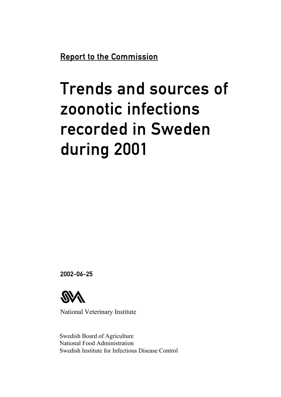Report to the Commission

# Trends and sources of zoonotic infections recorded in Sweden during 2001

2002-06-25



National Veterinary Institute

Swedish Board of Agriculture National Food Administration Swedish Institute for Infectious Disease Control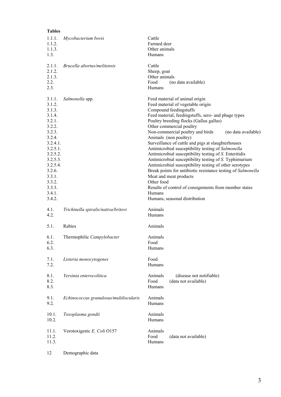| <b>Tables</b>                                                                                                                                                                                        |                                        |                                                          |                                                                                                                                                                                                                                                                                                                                                                                                                                                                                                                                                                                                                                                                                                                                                                                                |
|------------------------------------------------------------------------------------------------------------------------------------------------------------------------------------------------------|----------------------------------------|----------------------------------------------------------|------------------------------------------------------------------------------------------------------------------------------------------------------------------------------------------------------------------------------------------------------------------------------------------------------------------------------------------------------------------------------------------------------------------------------------------------------------------------------------------------------------------------------------------------------------------------------------------------------------------------------------------------------------------------------------------------------------------------------------------------------------------------------------------------|
| 1.1.1.<br>1.1.2.<br>1.1.3.<br>1.3.                                                                                                                                                                   | Mycobacterium bovis                    | Cattle<br>Farmed deer<br>Other animals<br>Humans         |                                                                                                                                                                                                                                                                                                                                                                                                                                                                                                                                                                                                                                                                                                                                                                                                |
| 2.1.1.<br>2.1.2.<br>2.1.3.<br>2.2.<br>2.3.                                                                                                                                                           | Brucella abortus/melitensis            | Cattle<br>Sheep, goat<br>Other animals<br>Food<br>Humans | (no data available)                                                                                                                                                                                                                                                                                                                                                                                                                                                                                                                                                                                                                                                                                                                                                                            |
| 3.1.1.<br>3.1.2.<br>3.1.3.<br>3.1.4.<br>3.2.1.<br>3.2.2.<br>3.2.3.<br>3.2.4.<br>3.2.4.1.<br>3.2.5.1.<br>3.2.5.2.<br>3.2.5.3.<br>3.2.5.4.<br>3.2.6.<br>3.3.1.<br>3.3.2.<br>3.3.3.<br>3.4.1.<br>3.4.2. | Salmonella spp.                        | Other food<br>Humans                                     | Feed material of animal origin<br>Feed material of vegetable origin<br>Compound feedingstuffs<br>Feed material, feedingstuffs, sero- and phage types<br>Poultry breeding flocks (Gallus gallus)<br>Other commercial poultry<br>Non-commercial poultry and birds<br>(no data available)<br>Animals (non poultry)<br>Surveillance of cattle and pigs at slaughterhouses<br>Antimicrobial susceptibility testing of Salmonella<br>Antimicrobial susceptibility testing of S. Enteritidis<br>Antimicrobial susceptibility testing of S. Typhimurium<br>Antimicrobial susceptibility testing of other serotypes<br>Break points for antibiotic resistance testing of Salmonella<br>Meat and meat products<br>Results of control of consignments from member states<br>Humans, seasonal distribution |
| 4.1.<br>4.2.                                                                                                                                                                                         | Trichinella spiralis/nativa/britovi    | Animals<br>Humans                                        |                                                                                                                                                                                                                                                                                                                                                                                                                                                                                                                                                                                                                                                                                                                                                                                                |
| 5.1.                                                                                                                                                                                                 | Rabies                                 | Animals                                                  |                                                                                                                                                                                                                                                                                                                                                                                                                                                                                                                                                                                                                                                                                                                                                                                                |
| 6.1.<br>6.2.<br>6.3.                                                                                                                                                                                 | Thermophilic Campylobacter             | Animals<br>Food<br>Humans                                |                                                                                                                                                                                                                                                                                                                                                                                                                                                                                                                                                                                                                                                                                                                                                                                                |
| 7.1.<br>7.2.                                                                                                                                                                                         | Listeria monocytogenes                 | Food<br>Humans                                           |                                                                                                                                                                                                                                                                                                                                                                                                                                                                                                                                                                                                                                                                                                                                                                                                |
| 8.1.<br>8.2.<br>8.3.                                                                                                                                                                                 | Yersinia enterocolitica                | Animals<br>Food<br>Humans                                | (disease not notifiable)<br>(data not available)                                                                                                                                                                                                                                                                                                                                                                                                                                                                                                                                                                                                                                                                                                                                               |
| 9.1.<br>9.2.                                                                                                                                                                                         | Echinococcus granulosus/multilocularis | Animals<br>Humans                                        |                                                                                                                                                                                                                                                                                                                                                                                                                                                                                                                                                                                                                                                                                                                                                                                                |
| 10.1.<br>10.2.                                                                                                                                                                                       | Toxoplasma gondii                      | Animals<br>Humans                                        |                                                                                                                                                                                                                                                                                                                                                                                                                                                                                                                                                                                                                                                                                                                                                                                                |
| 11.1.<br>11.2.<br>11.3.                                                                                                                                                                              | Verotoxigenic E. Coli O157             | Animals<br>Food<br>Humans                                | (data not available)                                                                                                                                                                                                                                                                                                                                                                                                                                                                                                                                                                                                                                                                                                                                                                           |
| 12                                                                                                                                                                                                   | Demographic data                       |                                                          |                                                                                                                                                                                                                                                                                                                                                                                                                                                                                                                                                                                                                                                                                                                                                                                                |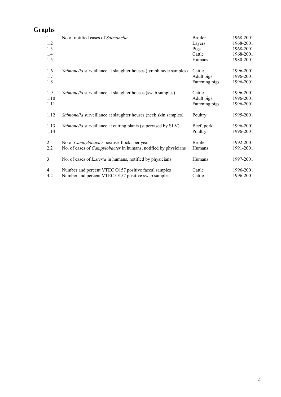# **Graphs**

| 1              | No of notified cases of Salmonella                                     | <b>Broiler</b> | 1968-2001 |
|----------------|------------------------------------------------------------------------|----------------|-----------|
| 1.2            |                                                                        | Layers         | 1968-2001 |
| 1.3            |                                                                        | Pigs           | 1968-2001 |
| 1.4            |                                                                        | Cattle         | 1968-2001 |
| 1.5            |                                                                        | Humans         | 1980-2001 |
| 1.6            | Salmonella surveillance at slaughter houses (lymph node samples)       | Cattle         | 1996-2001 |
| 1.7            |                                                                        | Adult pigs     | 1996-2001 |
| 1.8            |                                                                        | Fattening pigs | 1996-2001 |
| 1.9            | Salmonella surveillance at slaughter houses (swab samples)             | Cattle         | 1996-2001 |
| 1.10           |                                                                        | Adult pigs     | 1996-2001 |
| 1.11           |                                                                        | Fattening pigs | 1996-2001 |
| 1.12           | Salmonella surveillance at slaughter houses (neck skin samples)        | Poultry        | 1995-2001 |
| 1.13           | Salmonella surveillance at cutting plants (supervised by SLV)          | Beef, pork     | 1996-2001 |
| 1.14           |                                                                        | Poultry        | 1996-2001 |
| $\overline{2}$ | No of <i>Campylobacter</i> positive flocks per year                    | <b>Broiler</b> | 1992-2001 |
| 2.2            | No. of cases of <i>Campylobacter</i> in humans, notified by physicians | Humans         | 1991-2001 |
| 3              | No. of cases of <i>Listeria</i> in humans, notified by physicians      | Humans         | 1997-2001 |
| $\overline{4}$ | Number and percent VTEC O157 positive faecal samples                   | Cattle         | 1996-2001 |
| 4.2            | Number and percent VTEC O157 positive swab samples                     | Cattle         | 1996-2001 |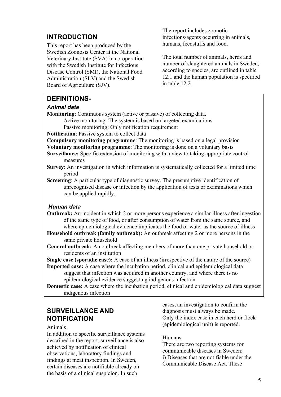# **INTRODUCTION**

This report has been produced by the Swedish Zoonosis Center at the National Veterinary Institute (SVA) in co-operation with the Swedish Institute for Infectious Disease Control (SMI), the National Food Administration (SLV) and the Swedish Board of Agriculture (SJV).

The report includes zoonotic infections/agents occurring in animals, humans, feedstuffs and food.

The total number of animals, herds and number of slaughtered animals in Sweden, according to species, are outlined in table 12.1 and the human population is specified in table 12.2.

# **DEFINITIONS-**

#### *Animal data*

**Monitoring**: Continuous system (active or passive) of collecting data.

Active monitoring: The system is based on targeted examinations

Passive monitoring: Only notification requirement

**Notification**: Passive system to collect data

**Compulsory monitoring programme**: The monitoring is based on a legal provision **Voluntary monitoring programme**: The monitoring is done on a voluntary basis

- **Surveillance:** Specific extension of monitoring with a view to taking appropriate control measures
- **Survey**: An investigation in which information is systematically collected for a limited time period

**Screening**: A particular type of diagnostic survey. The presumptive identification of unrecognised disease or infection by the application of tests or examinations which can be applied rapidly.

#### *Human data*

- **Outbreak:** An incident in which 2 or more persons experience a similar illness after ingestion of the same type of food, or after consumption of water from the same source, and where epidemiological evidence implicates the food or water as the source of illness
- **Household outbreak (family outbreak):** An outbreak affecting 2 or more persons in the same private household
- **General outbreak:** An outbreak affecting members of more than one private household or residents of an institution

**Single case (sporadic case):** A case of an illness (irrespective of the nature of the source)

**Imported case:** A case where the incubation period, clinical and epidemiological data suggest that infection was acquired in another country, and where there is no epidemiological evidence suggesting indigenous infection

**Domestic case:** A case where the incubation period, clinical and epidemiological data suggest indigenous infection

# **SURVEILLANCE AND NOTIFICATION**

#### Animals

In addition to specific surveillance systems described in the report, surveillance is also achieved by notification of clinical observations, laboratory findings and findings at meat inspection. In Sweden, certain diseases are notifiable already on the basis of a clinical suspicion. In such

cases, an investigation to confirm the diagnosis must always be made. Only the index case in each herd or flock (epidemiological unit) is reported.

#### Humans

There are two reporting systems for communicable diseases in Sweden: i) Diseases that are notifiable under the Communicable Disease Act. These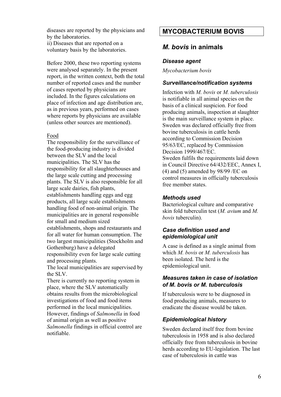diseases are reported by the physicians and by the laboratories.

ii) Diseases that are reported on a voluntary basis by the laboratories.

Before 2000, these two reporting systems were analysed separately. In the present report, in the written context, both the total number of reported cases and the number of cases reported by physicians are included. In the figures calculations on place of infection and age distribution are, as in previous years, performed on cases where reports by physicians are available (unless other sources are mentioned).

#### Food

The responsibility for the surveillance of the food-producing industry is divided between the SLV and the local municipalities. The SLV has the responsibility for all slaughterhouses and the large scale cutting and processing plants. The SLV is also responsible for all large scale dairies, fish plants, establishments handling eggs and egg products, all large scale establishments handling food of non-animal origin. The municipalities are in general responsible for small and medium sized establishments, shops and restaurants and for all water for human consumption. The two largest municipalities (Stockholm and Gothenburg) have a delegated responsibility even for large scale cutting and processing plants.

The local municipalities are supervised by the SLV.

There is currently no reporting system in place, where the SLV automatically obtains results from the microbiological investigations of food and food items performed in the local municipalities. However, findings of *Salmonella* in food of animal origin as well as positive *Salmonella* findings in official control are notifiable.

# **MYCOBACTERIUM BOVIS**

# *M. bovis* **in animals**

#### *Disease agent*

*Mycobacterium bovis*

#### *Surveillance/notification systems*

Infection with *M. bovis* or *M. tuberculosis* is notifiable in all animal species on the basis of a clinical suspicion. For food producing animals, inspection at slaughter is the main surveillance system in place. Sweden was declared officially free from bovine tuberculosis in cattle herds according to Commission Decision 95/63/EC, replaced by Commission Decision 1999/467/EC. Sweden fulfils the requirements laid down in Council Directive 64/432/EEC, Annex I, (4) and (5) amended by 98/99 /EC on control measures in officially tuberculosis free member states.

#### *Methods used*

Bacteriological culture and comparative skin fold tuberculin test (*M. avium* and *M. bovis* tuberculin).

# *Case definition used and epidemiological unit*

A case is defined as a single animal from which *M. bovis* or *M. tuberculosis* has been isolated. The herd is the epidemiological unit.

#### *Measures taken in case of isolation of M. bovis or M. tuberculosis*

If tuberculosis were to be diagnosed in food producing animals, measures to eradicate the disease would be taken.

# *Epidemiological history*

Sweden declared itself free from bovine tuberculosis in 1958 and is also declared officially free from tuberculosis in bovine herds according to EU-legislation. The last case of tuberculosis in cattle was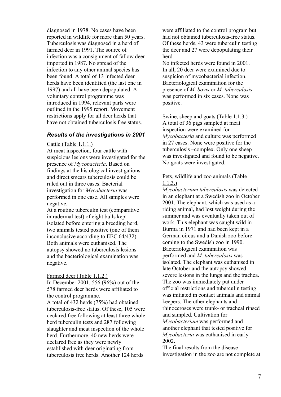diagnosed in 1978. No cases have been reported in wildlife for more than 50 years. Tuberculosis was diagnosed in a herd of farmed deer in 1991. The source of infection was a consignment of fallow deer imported in 1987. No spread of the infection to any other animal species has been found. A total of 13 infected deer herds have been identified (the last one in 1997) and all have been depopulated. A voluntary control programme was introduced in 1994, relevant parts were outlined in the 1995 report. Movement restrictions apply for all deer herds that have not obtained tuberculosis free status.

#### *Results of the investigations in 2001*

#### Cattle (Table 1.1.1.)

At meat inspection, four cattle with suspicious lesions were investigated for the presence of *Mycobacteria*. Based on findings at the histological investigations and direct smears tuberculosis could be ruled out in three cases. Bacterial investigation for *Mycobacteria* was performed in one case. All samples were negative.

At a routine tuberculin test (comparative intradermal test) of eight bulls kept isolated before entering a breeding herd, two animals tested positive (one of them inconclusive according to EEC 64/432). Both animals were euthanised. The autopsy showed no tuberculosis lesions and the bacteriological examination was negative.

Farmed deer (Table 1.1.2.)

In December 2001, 556 (96%) out of the 578 farmed deer herds were affiliated to the control programme.

A total of 432 herds (75%) had obtained tuberculosis-free status. Of these, 105 were declared free following at least three whole herd tuberculin tests and 287 following slaughter and meat inspection of the whole herd. Furthermore, 40 new herds were declared free as they were newly established with deer originating from tuberculosis free herds. Another 124 herds

were affiliated to the control program but had not obtained tuberculosis-free status. Of these herds, 43 were tuberculin testing the deer and 27 were depopulating their herd.

No infected herds were found in 2001. In all, 20 deer were examined due to suspicion of mycobacterial infection. Bacteriological examination for the presence of *M. bovis* or *M. tuberculosis* was performed in six cases. None was positive.

Swine, sheep and goats (Table 1.1.3.) A total of 36 pigs sampled at meat inspection were examined for *Mycobacteria* and culture was performed in 27 cases. None were positive for the tuberculosis –complex. Only one sheep was investigated and found to be negative. No goats were investigated.

#### Pets, wildlife and zoo animals (Table 1.1.3.)

*Mycobacterium tuberculosis* was detected in an elephant at a Swedish zoo in October 2001. The elephant, which was used as a riding animal, had lost weight during the summer and was eventually taken out of work. This elephant was caught wild in Burma in 1971 and had been kept in a German circus and a Danish zoo before coming to the Swedish zoo in 1990. Bacteriological examination was performed and *M. tuberculosis* was isolated. The elephant was euthanised in late October and the autopsy showed severe lesions in the lungs and the trachea. The zoo was immediately put under official restrictions and tuberculin testing was initiated in contact animals and animal keepers. The other elephants and rhinoceroses were trunk- or tracheal rinsed and sampled. Cultivation for *Mycobacterium* was performed and another elephant that tested positive for *Mycobacteria* was euthanised in early 2002.

The final results from the disease investigation in the zoo are not complete at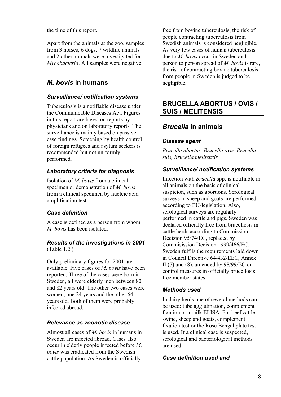the time of this report.

Apart from the animals at the zoo, samples from 3 horses, 6 dogs, 7 wildlife animals and 2 other animals were investigated for *Mycobacteria*. All samples were negative.

# *M. bovis* **in humans**

# *Surveillance/ notification systems*

Tuberculosis is a notifiable disease under the Communicable Diseases Act. Figures in this report are based on reports by physicians and on laboratory reports. The surveillance is mainly based on passive case findings. Screening by health control of foreign refugees and asylum seekers is recommended but not uniformly performed.

# *Laboratory criteria for diagnosis*

Isolation of *M. bovis* from a clinical specimen or demonstration of *M. bovis* from a clinical specimen by nucleic acid amplification test.

# *Case definition*

A case is defined as a person from whom *M. bovis* has been isolated.

#### *Results of the investigations in 2001* (Table 1.2.)

Only preliminary figures for 2001 are available. Five cases of *M. bovis* have been reported. Three of the cases were born in Sweden, all were elderly men between 80 and 82 years old. The other two cases were women, one 24 years and the other 64 years old. Both of them were probably infected abroad.

# *Relevance as zoonotic disease*

Almost all cases of *M. bovis* in humans in Sweden are infected abroad. Cases also occur in elderly people infected before *M. bovis* was eradicated from the Swedish cattle population. As Sweden is officially

free from bovine tuberculosis, the risk of people contracting tuberculosis from Swedish animals is considered negligible. As very few cases of human tuberculosis due to *M. bovis* occur in Sweden and person to person spread of *M. bovis* is rare, the risk of contracting bovine tuberculosis from people in Sweden is judged to be negligible.

# **BRUCELLA ABORTUS / OVIS / SUIS / MELITENSIS**

# *Brucella* **in animals**

# *Disease agent*

*Brucella abortus, Brucella ovis, Brucella suis, Brucella melitensis*

# *Surveillance/ notification systems*

Infection with *Brucella* spp. is notifiable in all animals on the basis of clinical suspicion, such as abortions. Serological surveys in sheep and goats are performed according to EU-legislation. Also, serological surveys are regularly performed in cattle and pigs. Sweden was declared officially free from brucellosis in cattle herds according to Commission Decision 95/74/EC, replaced by Commisission Decision 1999/466/EC. Sweden fulfils the requirements laid down in Council Directive 64/432/EEC, Annex II (7) and (8), amended by 98/99/EC on control measures in officially brucellosis free member states.

# *Methods used*

In dairy herds one of several methods can be used: tube agglutination, complement fixation or a milk ELISA. For beef cattle, swine, sheep and goats, complement fixation test or the Rose Bengal plate test is used. If a clinical case is suspected, serological and bacteriological methods are used.

# *Case definition used and*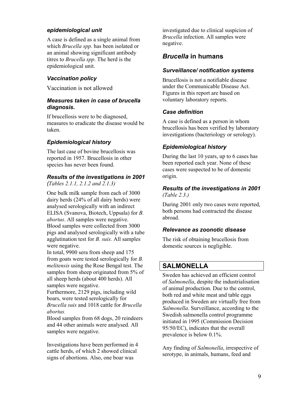# *epidemiological unit*

A case is defined as a single animal from which *Brucella spp*. has been isolated or an animal showing significant antibody titres to *Brucella spp*. The herd is the epidemiological unit.

# *Vaccination policy*

Vaccination is not allowed

# *Measures taken in case of brucella diagnosis.*

If brucellosis were to be diagnosed, measures to eradicate the disease would be taken.

# *Epidemiological history*

The last case of bovine brucellosis was reported in 1957. Brucellosis in other species has never been found.

# *Results of the investigations in 2001*

*(Tables 2.1.1, 2.1.2 and 2.1.3)*

One bulk milk sample from each of 3000 dairy herds (24% of all dairy herds) were analysed serologically with an indirect ELISA (Svanova, Biotech, Uppsala) for *B. abortus*. All samples were negative. Blood samples were collected from 3000 pigs and analysed serologically with a tube agglutination test for *B. suis.* All samples were negative.

In total, 9900 sera from sheep and 175 from goats were tested serologically for *B. melitensis* using the Rose Bengal test. The samples from sheep originated from 5% of all sheep herds (about 400 herds). All samples were negative.

Furthermore, 2129 pigs, including wild boars, were tested serologically for *Brucella suis* and 1018 cattle for *Brucella abortus.* 

Blood samples from 68 dogs, 20 reindeers and 44 other animals were analysed. All samples were negative.

Investigations have been performed in 4 cattle herds, of which 2 showed clinical signs of abortions. Also, one boar was

investigated due to clinical suspicion of *Brucella* infection. All samples were negative.

# *Brucella* **in humans**

# *Surveillance/ notification systems*

Brucellosis is not a notifiable disease under the Communicable Disease Act. Figures in this report are based on voluntary laboratory reports.

# *Case definition*

A case is defined as a person in whom brucellosis has been verified by laboratory investigations (bacteriology or serology).

# *Epidemiological history*

During the last 10 years, up to 6 cases has been reported each year. None of these cases were suspected to be of domestic origin.

#### *Results of the investigations in 2001 (Table 2.3.)*

During 2001 only two cases were reported, both persons had contracted the disease abroad.

# *Relevance as zoonotic disease*

The risk of obtaining brucellosis from domestic sources is negligible.

# **SALMONELLA**

Sweden has achieved an efficient control of *Salmonella*, despite the industrialisation of animal production. Due to the control, both red and white meat and table eggs produced in Sweden are virtually free from *Salmonella*. Surveillance, according to the Swedish salmonella control programme initiated in 1995 (Commission Decision 95/50/EC), indicates that the overall prevalence is below 0.1%.

Any finding of *Salmonella*, irrespective of serotype, in animals, humans, feed and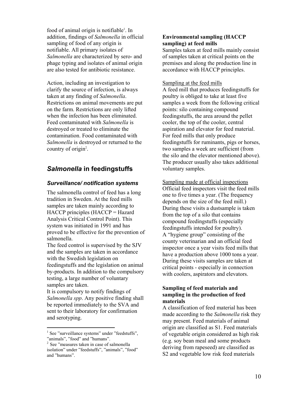food of animal origin is notifiable<sup>1</sup>. In addition, findings of *Salmonella* in official sampling of food of any origin is notifiable. All primary isolates of *Salmonella* are characterized by sero- and phage typing and isolates of animal origin are also tested for antibiotic resistance.

Action, including an investigation to clarify the source of infection, is always taken at any finding of *Salmonella*. Restrictions on animal movements are put on the farm. Restrictions are only lifted when the infection has been eliminated. Feed contaminated with *Salmonella* is destroyed or treated to eliminate the contamination. Food contaminated with *Salmonella* is destroyed or returned to the country of origin<sup>2</sup>.

# *Salmonella* **in feedingstuffs**

# *Surveillance/ notification systems*

The salmonella control of feed has a long tradition in Sweden. At the feed mills samples are taken mainly according to HACCP principles (HACCP = Hazard Analysis Critical Control Point). This system was initiated in 1991 and has proved to be effective for the prevention of salmonella.

The feed control is supervised by the SJV and the samples are taken in accordance with the Swedish legislation on feedingstuffs and the legislation on animal by-products. In addition to the compulsory testing, a large number of voluntary samples are taken.

It is compulsory to notify findings of *Salmonella spp*. Any positive finding shall be reported immediately to the SVA and sent to their laboratory for confirmation and serotyping.

#### **Environmental sampling (HACCP sampling) at feed mills**

Samples taken at feed mills mainly consist of samples taken at critical points on the premises and along the production line in accordance with HACCP principles.

#### Sampling at the feed mills

A feed mill that produces feedingstuffs for poultry is obliged to take at least five samples a week from the following critical points: silo containing compound feedingstuffs, the area around the pellet cooler, the top of the cooler, central aspiration and elevator for feed material. For feed mills that only produce feedingstuffs for ruminants, pigs or horses, two samples a week are sufficient (from the silo and the elevator mentioned above). The producer usually also takes additional voluntary samples.

Sampling made at official inspections Official feed inspectors visit the feed mills one to five times a year. (The frequency depends on the size of the feed mill.) During these visits a dustsample is taken from the top of a silo that contains compound feedingstuffs (especially feedingstuffs intended for poultry). A "hygiene group" consisting of the county veterinarian and an official feed inspector once a year visits feed mills that have a production above 1000 tons a year. During these visits samples are taken at critical points - especially in connection with coolers, aspirators and elevators.

#### **Sampling of feed materials and sampling in the production of feed materials**

A classification of feed material has been made according to the *Salmonella* risk they may present. Feed materials of animal origin are classified as S1. Feed materials of vegetable origin considered as high risk (e.g. soy bean meal and some products deriving from rapeseed) are classified as S2 and vegetable low risk feed materials

<sup>&</sup>lt;sup>1</sup> See "surveillance systems" under "feedstuffs", "animals", "food" and "humans".

<sup>&</sup>lt;sup>2</sup> See "measures taken in case of salmonella isolation" under "feedstuffs", "animals", "food" and "humans".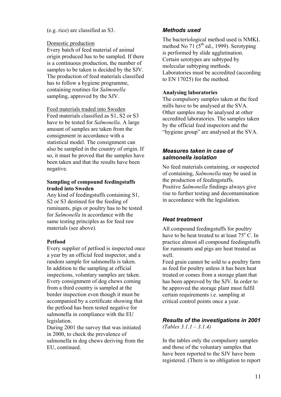#### (e.g. rice) are classified as S3.

#### Domestic production

Every batch of feed material of animal origin produced has to be sampled. If there is a continuous production, the number of samples to be taken is decided by the SJV. The production of feed materials classified has to follow a hygiene programme, containing routines for *Salmonella* sampling, approved by the SJV.

#### Feed materials traded into Sweden

Feed materials classified as S1, S2 or S3 have to be tested for *Salmonella*. A large amount of samples are taken from the consignment in accordance with a statistical model. The consignment can also be sampled in the country of origin. If so, it must be proved that the samples have been taken and that the results have been negative.

#### **Sampling of compound feedingstuffs traded into Sweden**

Any kind of feedingstuffs containing S1, S2 or S3 destined for the feeding of ruminants, pigs or poultry has to be tested for *Salmonella* in accordance with the same testing principles as for feed raw materials (see above).

#### **Petfood**

Every supplier of petfood is inspected once a year by an official feed inspector, and a random sample for salmonella is taken. In addition to the sampling at official inspections, voluntary samples are taken. Every consignment of dog chews coming from a third country is sampled at the border inspection even though it must be accompanied by a certificate showing that the petfood has been tested negative for salmonella in compliance with the EU legislation.

During 2001 the survey that was initiated in 2000, to check the prevalence of salmonella in dog chews deriving from the EU, continued.

# *Methods used*

The bacteriological method used is NMKL method No 71  $(5<sup>th</sup>$  ed., 1999). Serotyping is performed by slide agglutination. Certain serotypes are subtyped by molecular subtyping methods. Laboratories must be accredited (according to EN 17025) for the method.

#### **Analysing laboratories**

The compulsory samples taken at the feed mills have to be analysed at the SVA. Other samples may be analysed at other accredited laboratories. The samples taken by the official feed inspectors and the "hygiene group" are analysed at the SVA.

# *Measures taken in case of salmonella isolation*

No feed materials containing, or suspected of containing, *Salmonella* may be used in the production of feedingstuffs. Positive *Salmonella* findings always give rise to further testing and decontamination in accordance with the legislation.

# *Heat treatment*

All compound feedingstuffs for poultry have to be heat treated to at least 75° C. In practice almost all compound feedingstuffs for ruminants and pigs are heat treated as well.

Feed grain cannot be sold to a poultry farm as feed for poultry unless it has been heat treated or comes from a storage plant that has been approved by the SJV. In order to be approved the storage plant must fulfil certain requirements i.e. sampling at critical control points once a year.

# *Results of the investigations in 2001*

*(Tables 3.1.1 – 3.1.4)* 

In the tables only the compulsory samples and those of the voluntary samples that have been reported to the SJV have been registered. (There is no obligation to report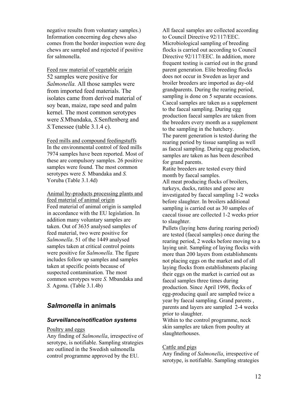negative results from voluntary samples.) Information concerning dog chews also comes from the border inspection were dog chews are sampled and rejected if positive for salmonella.

Feed raw material of vegetable origin 52 samples were positive for *Salmonella.* All those samples were from imported feed materials. The isolates came from derived material of soy bean, maize, rape seed and palm kernel. The most common serotypes were *S.*Mbandaka, *S.*Senftenberg and *S.*Tenessee (table 3.1.4 c).

Feed mills and compound feedingstuffs In the environmental control of feed mills 7974 samples have been reported. Most of these are compulsory samples. 26 positive samples were found. The most common serotypes were *S.* Mbandaka and *S.*  Yoruba (Table 3.1.4d)

Animal by-products processing plants and feed material of animal origin Feed material of animal origin is sampled in accordance with the EU legislation. In addition many voluntary samples are taken. Out of 3635 analysed samples of feed material, two were positive for *Salmonella*. 51 of the 1449 analysed samples taken at critical control points were positive for *Salmonella*. The figure includes follow up samples and samples taken at specific points because of suspected contamination. The most common serotypes were *S.* Mbandaka and *S.* Agona. (Table 3.1.4b)

# *Salmonella* **in animals**

#### *Surveillance/notification systems*

#### Poultry and eggs

Any finding of *Salmonella*, irrespective of serotype, is notifiable. Sampling strategies are outlined in the Swedish salmonella control programme approved by the EU.

All faecal samples are collected according to Council Directive 92/117/EEC. Microbiological sampling of breeding flocks is carried out according to Council Directive 92/117/EEC. In addition, more frequent testing is carried out in the grand parent generation. Elite breeding flocks does not occur in Sweden as layer and broiler breeders are imported as day-old grandparents. During the rearing period, sampling is done on 5 separate occasions. Caecal samples are taken as a supplement to the faecal sampling. During egg production faecal samples are taken from the breeders every month as a supplement to the sampling in the hatchery.

The parent generation is tested during the rearing period by tissue sampling as well as faecal sampling. During egg production, samples are taken as has been described for grand parents.

Ratite breeders are tested every third month by faecal samples.

All meat producing flocks of broilers, turkeys, ducks, ratites and geese are investigated by faecal sampling 1-2 weeks before slaughter. In broilers additional sampling is carried out as 30 samples of caecal tissue are collected 1-2 weeks prior to slaughter.

Pullets (laying hens during rearing period) are tested (faecal samples) once during the rearing period, 2 weeks before moving to a laying unit. Sampling of laying flocks with more than 200 layers from establishments not placing eggs on the market and of all laying flocks from establishments placing their eggs on the market is carried out as faecal samples three times during production. Since April 1998, flocks of egg-producing quail are sampled twice a year by faecal sampling. Grand parents , parents and layers are sampled 2-4 weeks prior to slaughter.

Within to the control programme, neck skin samples are taken from poultry at slaughterhouses.

#### Cattle and pigs

Any finding of *Salmonella*, irrespective of serotype, is notifiable. Sampling strategies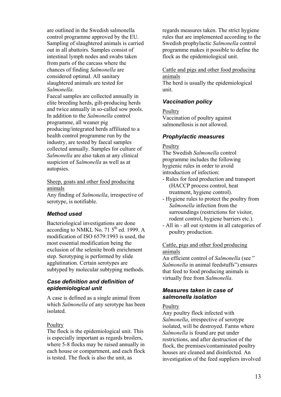are outlined in the Swedish salmonella control programme approved by the EU. Sampling of slaughtered animals is carried out in all abattoirs. Samples consist of intestinal lymph nodes and swabs taken from parts of the carcass where the chances of finding *Salmonella* are considered optimal. All sanitary slaughtered animals are tested for *Salmonella*.

Faecal samples are collected annually in elite breeding herds, gilt-producing herds and twice annually in so-called sow pools. In addition to the *Salmonella* control programme, all weaner pig producing/integrated herds affiliated to a health control programme run by the industry, are tested by faecal samples collected annually. Samples for culture of *Salmonella* are also taken at any clinical suspicion of *Salmonella* as well as at autopsies.

Sheep, goats and other food producing animals

Any finding of *Salmonella*, irrespective of serotype, is notifiable.

# *Method used*

Bacteriological investigations are done according to NMKL No. 71  $5<sup>th</sup>$  ed. 1999. A modification of ISO 6579:1993 is used, the most essential modification being the exclusion of the selenite broth enrichment step. Serotyping is performed by slide agglutination. Certain serotypes are subtyped by molecular subtyping methods.

# *Case definition and definition of epidemiological unit*

A case is defined as a single animal from which *Salmonella* of any serotype has been isolated.

#### **Poultry**

The flock is the epidemiological unit. This is especially important as regards broilers, where 5-8 flocks may be raised annually in each house or compartment, and each flock is tested. The flock is also the unit, as

regards measures taken. The strict hygiene rules that are implemented according to the Swedish prophylactic *Salmonella* control programme makes it possible to define the flock as the epidemiological unit.

Cattle and pigs and other food producing animals

The herd is usually the epidemiological unit.

# *Vaccination policy*

**Poultry** Vaccination of poultry against salmonellosis is not allowed.

# *Prophylactic measures*

#### **Poultry**

The Swedish *Salmonella* control programme includes the following hygienic rules in order to avoid introduction of infection:

- Rules for feed production and transport (HACCP process control, heat treatment, hygiene control).
- Hygiene rules to protect the poultry from *Salmonella* infection from the surroundings (restrictions for visitor, rodent control, hygiene barriers etc.).
- All in all out systems in all categories of poultry production.

#### Cattle, pigs and other food producing animals

An efficient control of *Salmonella* (see " *Salmonella* in animal feedstuffs") ensures that feed to food producing animals is virtually free from *Salmonella*.

#### *Measures taken in case of salmonella isolation*

#### **Poultry**

Any poultry flock infected with *Salmonella*, irrespective of serotype isolated, will be destroyed. Farms where *Salmonella* is found are put under restrictions, and after destruction of the flock, the premises/contaminated poultry houses are cleaned and disinfected. An investigation of the feed suppliers involved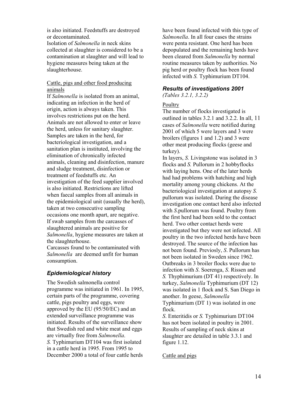is also initiated. Feedstuffs are destroyed or decontaminated. Isolation of *Salmonella* in neck skins collected at slaughter is considered to be a contamination at slaughter and will lead to hygiene measures being taken at the slaughterhouse.

#### Cattle, pigs and other food producing animals

If *Salmonella* is isolated from an animal, indicating an infection in the herd of origin, action is always taken. This involves restrictions put on the herd. Animals are not allowed to enter or leave the herd, unless for sanitary slaughter. Samples are taken in the herd, for bacteriological investigation, and a sanitation plan is instituted, involving the elimination of chronically infected animals, cleaning and disinfection, manure and sludge treatment, disinfection or treatment of feedstuffs etc. An investigation of the feed supplier involved is also initiated. Restrictions are lifted when faecal samples from all animals in the epidemiological unit (usually the herd), taken at two consecutive sampling occasions one month apart, are negative. If swab samples from the carcasses of slaughtered animals are positive for *Salmonella*, hygiene measures are taken at the slaughterhouse. Carcasses found to be contaminated with

*Salmonella* are deemed unfit for human consumption.

# *Epidemiological history*

The Swedish salmonella control programme was initiated in 1961. In 1995, certain parts of the programme, covering cattle, pigs poultry and eggs, were approved by the EU (95/50/EC) and an extended surveillance programme was initiated. Results of the surveillance show that Swedish red and white meat and eggs are virtually free from *Salmonella*. *S.* Typhimurium DT104 was first isolated in a cattle herd in 1995. From 1995 to December 2000 a total of four cattle herds

have been found infected with this type of *Salmonella*. In all four cases the strains were penta resistant. One herd has been depopulated and the remaining herds have been cleared from *Salmonella* by normal routine measures taken by authorities. No pig herd or poultry flock has been found infected with *S.* Typhimurium DT104.

#### *Results of investigations 2001*

*(Tables 3.2.1, 3.2.2)*

#### **Poultry**

The number of flocks investigated is outlined in tables 3.2.1 and 3.2.2. In all, 11 cases of *Salmonella* were notified during 2001 of which 5 were layers and 3 were broilers (figures 1 and 1.2) and 3 were other meat producing flocks (geese and turkey).

In layers, *S.* Livingstone was isolated in 3 flocks and *S.* Pullorum in 2 hobbyflocks with laying hens. One of the later herds had had problems with hatching and high mortality among young chickens. At the bacteriological investigation at autopsy *S.*  pullorum was isolated. During the disease investigation one contact herd also infected with *S*.pullorum was found. Poultry from the first herd had been sold to the contact herd. Two other contact herds were investigated but they were not infected. All poultry in the two infected herds have been destroyed. The source of the infection has not been found. Previosly, *S*. Pullorum has not been isolated in Sweden since 1962. Outbreaks in 3 broiler flocks were due to infection with *S*. Soerenga, *S*. Rissen and *S.* Thyphimurium (DT 41) respectively. In turkey, *Salmonella* Typhimurium (DT 12) was isolated in 1 flock and S. San Diego in another. In geese, *Salmonella* Typhimurium (DT 1) was isolated in one flock.

*S*. Enteritidis or *S.* Typhimurium DT104 has not been isolated in poultry in 2001. Results of sampling of neck skins at slaughter are detailed in table 3.3.1 and figure 1.12.

#### Cattle and pigs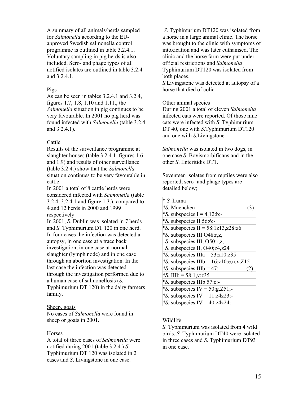A summary of all animals/herds sampled for *Salmonella* according to the EUapproved Swedish salmonella control programme is outlined in table 3.2.4.1. Voluntary sampling in pig herds is also included. Sero- and phage types of all notified isolates are outlined in table 3.2.4 and 3.2.4.1

#### Pigs

As can be seen in tables 3.2.4.1 and 3.2.4, figures 1.7, 1.8, 1.10 and 1.11., the *Salmonella* situation in pig continues to be very favourable. In 2001 no pig herd was found infected with *Salmonella* (table 3.2.4 and 3.2.4.1).

# Cattle

Results of the surveillance programme at slaughter houses (table 3.2.4.1, figures 1.6 and 1.9) and results of other surveillance (table 3.2.4.) show that the *Salmonella* situation continues to be very favourable in cattle.

In 2001 a total of 8 cattle herds were considered infected with *Salmonella* (table 3.2.4, 3.2.4.1 and figure 1.3.), compared to 4 and 12 herds in 2000 and 1999 respectively.

In 2001, *S.* Dublin was isolated in 7 herds and *S*. Typhimurium DT 120 in one herd. In four cases the infection was detected at autopsy, in one case at a trace back investigation, in one case at normal slaughter (lymph node) and in one case through an abortion investigation. In the last case the infection was detected through the investigation performed due to a human case of salmonellosis (*S*. Typhimurium DT 120) in the dairy farmers family.

#### Sheep, goats

No cases of *Salmonella* were found in sheep or goats in 2001.

#### **Horses**

A total of three cases of *Salmonella* were notified during 2001 (table 3.2.4.) *S.*  Typhimurium DT 120 was isolated in 2 cases and *S*. Livingstone in one case.

 *S*. Typhimurium DT120 was isolated from a horse in a large animal clinic. The horse was brought to the clinic with symptoms of intoxication and was later euthanised. The clinic and the horse farm were put under official restrictions and *Salmonella* Typhimurium DT120 was isolated from both places.

*S*.Livingstone was detected at autopsy of a horse that died of colic.

# Other animal species

During 2001 a total of eleven *Salmonella* infected cats were reported. Of those nine cats were infected with *S*. Typhimurium DT 40, one with *S*.Typhimurium DT120 and one with *S*.Livingstone.

*Salmonella* was isolated in two dogs, in one case *S*. Bovismorbificans and in the other *S*. Enteritidis DT1.

Seventeen isolates from reptiles were also reported, sero- and phage types are detailed below;

| * S. Iruma                               |  |
|------------------------------------------|--|
| *S. Muenchen                             |  |
| *S. subspecies $I = 4,12$ :b:-           |  |
| *S. subspecies II 56:6:-                 |  |
| *S. subspecies $II = 58:1z13, z28:z6$    |  |
| *S. subspecies III O48;r,z,              |  |
| S. subspecies III, O50;r,z,              |  |
| S. subspecies II, $O40;z4,z24$           |  |
| *S. subspecies $IIIa = 53:z10:z35$       |  |
| *S. subspecies IIIb = $16:z10:e,n,x,Z15$ |  |
| *S. subspecies $IIIb = 47$ :-:-          |  |
| *S. IIIb = 58:1, v: z 35                 |  |
| *S. subspecies IIIb 57:c:-               |  |
| *S. subspecies IV = $50:g$ , $Z51$ ;-    |  |
| *S. subspecies IV = $11:z4z23$ :-        |  |
| *S. subspecies IV = $40:z4z24$ :-        |  |

# Wildlife

*S*. Typhimurium was isolated from 4 wild birds. *S*. Typhimurium DT40 were isolated in three cases and *S*. Typhimurium DT93 in one case.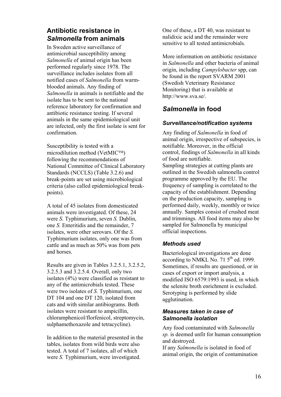# **Antibiotic resistance in**  *Salmonella* **from animals**

In Sweden active surveillance of antimicrobial susceptibility among *Salmonella* of animal origin has been performed regularly since 1978. The surveillance includes isolates from all notified cases of *Salmonella* from warmblooded animals. Any finding of *Salmonella* in animals is notifiable and the isolate has to be sent to the national reference laboratory for confirmation and antibiotic resistance testing. If several animals in the same epidemiological unit are infected, only the first isolate is sent for confirmation.

Susceptibility is tested with a microdilution method (VetMIC $TM$ ) following the recommendations of National Committee of Clinical Laboratory Standards (NCCLS) (Table 3.2.6) and break-points are set using microbiological criteria (also called epidemiological breakpoints).

A total of 45 isolates from domesticated animals were investigated. Of these, 24 were *S*. Typhimurium, seven *S.* Dublin, one *S.* Enteritidis and the remainder, 7 isolates, were other serovars. Of the *S.* Typhimurium isolates, only one was from cattle and as much as 50% was from pets and horses.

Results are given in Tables 3.2.5.1, 3.2.5.2, 3.2.5.3 and 3.2.5.4. Overall, only two isolates (4%) were classified as resistant to any of the antimicrobials tested. These were two isolates of *S.* Typhimurium, one DT 104 and one DT 120, isolated from cats and with similar antibiograms. Both isolates were resistant to ampicillin, chloramphenicol/florfenicol, streptomycin, sulphamethoxazole and tetracycline).

In addition to the material presented in the tables, isolates from wild birds were also tested. A total of 7 isolates, all of which were *S.* Typhimurium, were investigated.

One of these, a DT 40, was resistant to nalidixic acid and the remainder were sensitive to all tested antimicrobials.

More information on antibiotic resistance in *Salmonella* and other bacteria of animal origin, including *Campylobacter* spp, can be found in the report SVARM 2001 (Swedish Veterinary Resistance Monitoring) that is available at http://www.sva.se/.

# *Salmonella* **in food**

# *Surveillance/notification systems*

Any finding of *Salmonella* in food of animal origin, irrespective of subspecies, is notifiable. Moreover, in the official control, findings of *Salmonella* in all kinds of food are notifiable. Sampling strategies at cutting plants are outlined in the Swedish salmonella control programme approved by the EU. The frequency of sampling is correlated to the capacity of the establishment. Depending on the production capacity, sampling is performed daily, weekly, monthly or twice annually. Samples consist of crushed meat and trimmings. All food items may also be sampled for Salmonella by municipal official inspections.

# *Methods used*

Bacteriological investigations are done according to NMKL No.  $71.5<sup>th</sup>$  ed. 1999. Sometimes, if results are questioned, or in cases of export or import analysis, a modified ISO 6579:1993 is used, in which the selenite broth enrichment is excluded. Serotyping is performed by slide agglutination.

# *Measures taken in case of Salmonella isolation*

Any food contaminated with *Salmonella sp.* is deemed unfit for human consumption and destroyed.

If any *Salmonella* is isolated in food of animal origin, the origin of contamination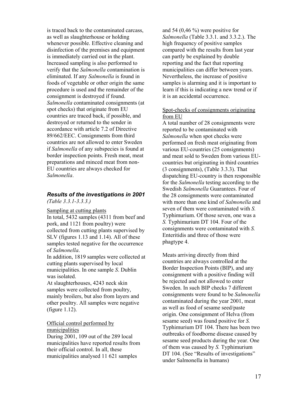is traced back to the contaminated carcass, as well as slaughterhouse or holding whenever possible. Effective cleaning and disinfection of the premises and equipment is immediately carried out in the plant. Increased sampling is also performed to verify that the *Salmonella* contamination is eliminated. If any *Salmonella* is found in foods of vegetable or other origin the same procedure is used and the remainder of the consignment is destroyed if found. *Salmonella* contaminated consignments (at spot checks) that originate from EU countries are traced back, if possible, and destroyed or returned to the sender in accordance with article 7.2 of Directive 89/662/EEC. Consignments from third countries are not allowed to enter Sweden if *Salmonella* of any subspecies is found at border inspection points. Fresh meat, meat preparations and minced meat from non-EU countries are always checked for *Salmonella*.

#### *Results of the investigations in 2001 (Table 3.3.1-3.3.3.)*

#### Sampling at cutting plants

In total, 5432 samples (4311 from beef and pork, and 1121 from poultry) were collected from cutting plants supervised by SLV (figures 1.13 and 1.14). All of these samples tested negative for the occurrence of *Salmonella*.

In addition, 1819 samples were collected at cutting plants supervised by local municipalities. In one sample *S*. Dublin was isolated.

At slaughterhouses, 4243 neck skin samples were collected from poultry, mainly broilers, but also from layers and other poultry. All samples were negative (figure 1.12).

#### Official control performed by municipalities

During 2001, 109 out of the 289 local municipalities have reported results from their official control. In all, these municipalities analysed 11 621 samples

and 54 (0,46 %) were positive for *Salmonella* (Table 3.3.1. and 3.3.2.). The high frequency of positive samples compared with the results from last year can partly be explained by double reporting and the fact that reporting municipalities can differ between years. Nevertheless, the increase of positive samples is alarming and it is important to learn if this is indicating a new trend or if it is an accidental occurrence.

#### Spot-checks of consignments originating from EU

A total number of 28 consignments were reported to be contaminated with *Salmonella* when spot checks were performed on fresh meat originating from various EU-countries (25 consignments) and meat sold to Sweden from various EUcountries but originating in third countries (3 consignments), (Table 3.3.3). That dispatching EU-country is then responsible for the *Salmonella* testing according to the Swedish *Salmonella* Guarantees. Four of the 28 consignments were contaminated with more than one kind of *Salmonella* and seven of them were contaminated with *S.* Typhimurium. Of those seven, one was a *S.* Typhimurium DT 104. Four of the consignments were contaminated with *S.*  Enteritidis and three of those were phagtype 4.

Meats arriving directly from third countries are always controlled at the Border Inspection Points (BIP), and any consignment with a positive finding will be rejected and not allowed to enter Sweden. In such BIP checks 7 different consignments were found to be *Salmonella* contaminated during the year 2001, meat as well as food of sesame seed/paste origin. One consignment of Helva (from sesame seed) was found positive for *S.*  Typhimurium DT 104. There has been two outbreaks of foodborne disease caused by sesame seed products during the year. One of them was caused by *S.* Typhimurium DT 104. (See "Results of investigations" under Salmonella in humans)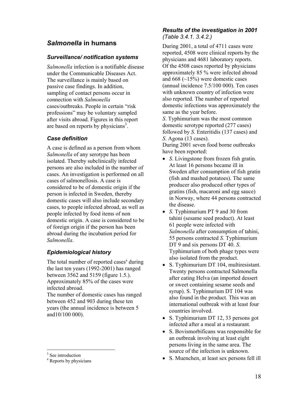# *Salmonella* **in humans**

#### *Surveillance/ notification systems*

*Salmonella* infection is a notifiable disease under the Communicable Diseases Act. The surveillance is mainly based on passive case findings. In addition, sampling of contact persons occur in connection with *Salmonella* cases/outbreaks. People in certain "risk professions" may be voluntary sampled after visits abroad. Figures in this report are based on reports by physicians<sup>3</sup>.

#### *Case definition*

A case is defined as a person from whom *Salmonella* of any serotype has been isolated. Thereby subclinically infected persons are also included in the number of cases. An investigation is performed on all cases of salmonellosis. A case is considered to be of domestic origin if the person is infected in Sweden, thereby domestic cases will also include secondary cases, to people infected abroad, as well as people infected by food items of non domestic origin. A case is considered to be of foreign origin if the person has been abroad during the incubation period for *Salmonella*.

# *Epidemiological history*

The total number of reported cases<sup>4</sup> during the last ten years (1992-2001) has ranged between 3562 and 5159 (figure 1.5.). Approximately 85% of the cases were infected abroad.

The number of domestic cases has ranged between 452 and 903 during these ten years (the annual incidence is between 5 and10/100 000).

# *Results of the investigation in 2001 (Table 3.4.1. 3.4.2.)*

During 2001, a total of 4711 cases were reported, 4508 were clinical reports by the physicians and 4681 laboratory reports. Of the 4508 cases reported by physicians approximately 85 % were infected abroad and  $668$  ( $\sim$ 15%) were domestic cases (annual incidence 7.5/100 000). Ten cases with unknown country of infection were also reported. The number of reported domestic infections was approximately the same as the year before.

*S*. Typhimurium was the most common domestic serotype reported (277 cases) followed by *S*. Enteritidis (137 cases) and *S*. Agona (13 cases).

During 2001 seven food borne outbreaks have been reported:

- *S*. Livingstone from frozen fish gratin. At least 16 persons became ill in Sweden after consumption of fish gratin (fish and mashed potatoes). The same producer also produced other types of gratins (fish, macaroni and egg sauce) in Norway, where 44 persons contracted the disease.
- *S*. Typhimurium PT 9 and 30 from tahini (sesame seed product). At least 61 people were infected with *Salmonella* after consumption of tahini, 55 persons contracted *S.* Typhimurium DT 9 and six persons DT 40. *S*. Typhimurium of both phage types were also isolated from the product.
- S. Typhimurium DT 104, multiresistant. Twenty persons contracted Salmonella after eating Helva (an imported dessert or sweet containing sesame seeds and syrup). S. Typhimurium DT 104 was also found in the product. This was an international outbreak with at least four countries involved.
- S. Typhimurium DT 12, 33 persons got infected after a meal at a restaurant.
- S. Bovismorbificans was responsible for an outbreak involving at least eight persons living in the same area. The source of the infection is unknown.
- S. Muenchen, at least sex persons fell ill

<sup>3</sup> See introduction

<sup>4</sup> Reports by physicians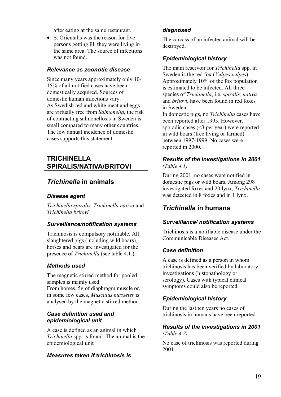after eating at the same restaurant.

• S. Orientalis was the reason for five persons getting ill, they were living in the same area. The source of infections was not found.

#### *Relevance as zoonotic disease*

Since many years approximately only 10- 15% of all notified cases have been domestically acquired. Sources of domestic human infections vary. As Swedish red and white meat and eggs are virtually free from *Salmonella*, the risk of contracting salmonellosis in Sweden is small compared to many other countries. The low annual incidence of domestic cases supports this statement.

# **TRICHINELLA SPIRALIS/NATIVA/BRITOVI**

# *Trichinella* **in animals**

# *Disease agent*

*Trichinella spiralis, Trichinella nativa* and *Trichinella britovi*

# *Surveillance/notification systems*

Trichinosis is compulsory notifiable. All slaughtered pigs (including wild boars), horses and bears are investigated for the presence of *Trichinella* (see table 4.1.).

# *Methods used*

The magnetic stirred method for pooled samples is mainly used.

From horses, 5g of diaphragm muscle or, in some few cases, *Musculus masseter* is analysed by the magnetic stirred method.

#### *Case definition used and epidemiological unit*

A case is defined as an animal in which *Trichinella* spp. is found. The animal is the epidemiological unit

# *Measures taken if trichinosis is*

# *diagnosed*

The carcass of an infected animal will be destroyed.

# *Epidemiological history*

The main reservoir for *Trichinella* spp. in Sweden is the red fox (*Vulpes vulpes*). Approximately 10% of the fox population is estimated to be infected. All three species of *Trichinella*, i.e. *spiralis, nativa* and *britovi*, have been found in red foxes in Sweden.

In domestic pigs, no *Trichinella* cases have been reported after 1995. However, sporadic cases (<3 per year) were reported in wild boars (free living or farmed) between 1997-1999. No cases were reported in 2000.

# *Results of the investigations in 2001 (Table 4.1)*

During 2001, no cases were notified in domestic pigs or wild boars. Among 298 investigated foxes and 20 lynx, *Trichinella* was detected in 8 foxes and in 1 lynx.

# *Trichinella* **in humans**

# *Surveillance/ notification systems*

Trichinosis is a notifiable disease under the Communicable Diseases Act.

# *Case definition*

A case is defined as a person in whom trichinosis has been verified by laboratory investigations (histopathology or serology). Cases with typical clinical symptoms could also be reported.

# *Epidemiological history*

During the last ten years no cases of trichinosis in humans have been reported.

# *Results of the investigations in 2001 (Table 4.2)*

No case of trichinosis was reported during 2001.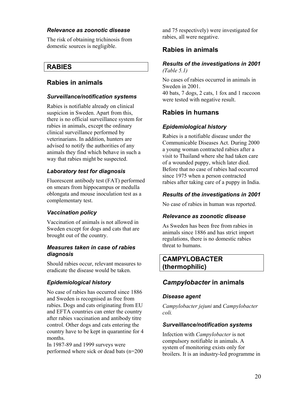# *Relevance as zoonotic disease*

The risk of obtaining trichinosis from domestic sources is negligible.

# **RABIES**

# **Rabies in animals**

# *Surveillance/notification systems*

Rabies is notifiable already on clinical suspicion in Sweden. Apart from this, there is no official surveillance system for rabies in animals, except the ordinary clinical surveillance performed by veterinarians. In addition, hunters are advised to notify the authorities of any animals they find which behave in such a way that rabies might be suspected.

# *Laboratory test for diagnosis*

Fluorescent antibody test (FAT) performed on smears from hippocampus or medulla oblongata and mouse inoculation test as a complementary test.

# *Vaccination policy*

Vaccination of animals is not allowed in Sweden except for dogs and cats that are brought out of the country.

#### *Measures taken in case of rabies diagnosis*

Should rabies occur, relevant measures to eradicate the disease would be taken.

# *Epidemiological history*

No case of rabies has occurred since 1886 and Sweden is recognised as free from rabies. Dogs and cats originating from EU and EFTA countries can enter the country after rabies vaccination and antibody titre control. Other dogs and cats entering the country have to be kept in quarantine for 4 months.

In 1987-89 and 1999 surveys were performed where sick or dead bats (n=200 and 75 respectively) were investigated for rabies, all were negative.

# **Rabies in animals**

#### *Results of the investigations in 2001 (Table 5.1)*

No cases of rabies occurred in animals in Sweden in 2001. 40 bats, 7 dogs, 2 cats, 1 fox and 1 raccoon were tested with negative result.

# **Rabies in humans**

# *Epidemiological history*

Rabies is a notifiable disease under the Communicable Diseases Act. During 2000 a young woman contracted rabies after a visit to Thailand where she had taken care of a wounded puppy, which later died. Before that no case of rabies had occurred since 1975 when a person contracted rabies after taking care of a puppy in India.

# *Results of the investigations in 2001*

No case of rabies in human was reported.

#### *Relevance as zoonotic disease*

As Sweden has been free from rabies in animals since 1886 and has strict import regulations, there is no domestic rabies threat to humans.

# **CAMPYLOBACTER (thermophilic)**

# *Campylobacter* **in animals**

# *Disease agent*

*Campylobacter jejuni* and *Campylobacter coli.*

#### *Surveillance/notification systems*

Infection with *Campylobacter* is not compulsory notifiable in animals. A system of monitoring exists only for broilers. It is an industry-led programme in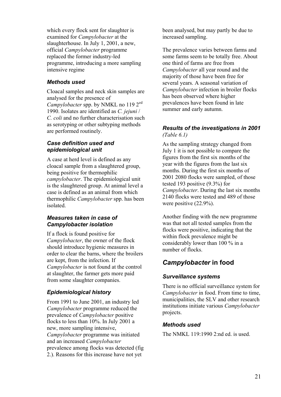which every flock sent for slaughter is examined for *Campylobacter* at the slaughterhouse. In July 1, 2001, a new, official *Campylobacter* programme replaced the former industry-led programme, introducing a more sampling intensive regime

# *Methods used*

Cloacal samples and neck skin samples are analysed for the presence of *Campylobacter* spp. by NMKL no 119 2<sup>ed</sup> 1990. Isolates are identified as *C. jejuni* / *C. coli* and no further characterisation such as serotyping or other subtyping methods are performed routinely.

# *Case definition used and epidemiological unit*

A case at herd level is defined as any cloacal sample from a slaughtered group, being positive for thermophilic *campylobacter*. The epidemiological unit is the slaughtered group. At animal level a case is defined as an animal from which thermophilic *Campylobacter* spp. has been isolated.

#### *Measures taken in case of Campylobacter isolation*

If a flock is found positive for *Campylobacter*, the owner of the flock should introduce hygienic measures in order to clear the barns, where the broilers are kept, from the infection. If *Campylobacter* is not found at the control at slaughter, the farmer gets more paid from some slaughter companies.

# *Epidemiological history*

From 1991 to June 2001, an industry led *Campylobacter* programme reduced the prevalence of *Campylobacter* positive flocks to less than 10%. In July 2001 a new, more sampling intensive, *Campylobacter* programme was initiated and an increased *Campylobacter* prevalence among flocks was detected (fig 2.). Reasons for this increase have not yet

been analysed, but may partly be due to increased sampling.

The prevalence varies between farms and some farms seem to be totally free. About one third of farms are free from *Campylobacter* all year round and the majority of those have been free for several years. A seasonal variation of *Campylobacter* infection in broiler flocks has been observed where higher prevalences have been found in late summer and early autumn.

# *Results of the investigations in 2001 (Table 6.1)*

As the sampling strategy changed from July 1 it is not possible to compare the figures from the first six months of the year with the figures from the last six months. During the first six months of 2001 2080 flocks were sampled, of those tested 193 positive (9.3%) for *Campylobacter*. During the last six months 2140 flocks were tested and 489 of those were positive  $(22.9\%)$ .

Another finding with the new programme was that not all tested samples from the flocks were positive, indicating that the within flock prevalence might be considerably lower than 100 % in a number of flocks.

# *Campylobacter* **in food**

# *Surveillance systems*

There is no official surveillance system for *Campylobacter* in food. From time to time, municipalities, the SLV and other research institutions initiate various *Campylobacter*  projects.

# *Methods used*

The NMKL 119:1990 2:nd ed. is used.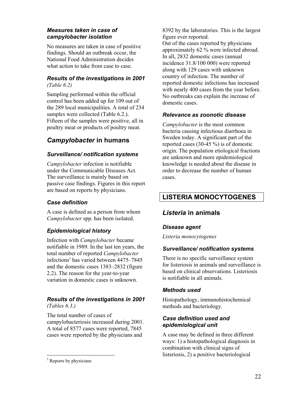# *Measures taken in case of campylobacter isolation*

No measures are taken in case of positive findings. Should an outbreak occur, the National Food Administration decides what action to take from case to case.

# *Results of the investigations in 2001 (Table 6.2)*

Sampling performed within the official control has been added up for 109 out of the 289 local municipalities. A total of 234 samples were collected (Table 6.2.). Fifteen of the samples were positive, all in poultry meat or products of poultry meat.

# *Campylobacter* **in humans**

# *Surveillance/ notification systems*

*Campylobacter* infection is notifiable under the Communicable Diseases Act. The surveillance is mainly based on passive case findings. Figures in this report are based on reports by physicians.

# *Case definition*

A case is defined as a person from whom *Campylobacter* spp. has been isolated.

# *Epidemiological history*

Infection with *Campylobacter* became notifiable in 1989. In the last ten years, the total number of reported *Campylobacter* infections<sup>5</sup> has varied between 4475–7845 and the domestic cases 1383–2832 (figure 2.2). The reason for the year-to-year variation in domestic cases is unknown.

# *Results of the investigations in 2001 (Tables 6.3.)*

The total number of cases of campylobacteriosis increased during 2001. A total of 8577 cases were reported, 7845 cases were reported by the physicians and

8392 by the laboratories. This is the largest figure ever reported.

Out of the cases reported by physicians approximately 62 % were infected abroad. In all, 2832 domestic cases (annual incidence 31.8/100 000) were reported along with 129 cases with unknown country of infection. The number of reported domestic infections has increased with nearly 400 cases from the year before. No outbreaks can explain the increase of domestic cases.

# *Relevance as zoonotic disease*

*Campylobacter* is the most common bacteria causing infectious diarrhoea in Sweden today. A significant part of the reported cases (30-45 %) is of domestic origin. The population etiological fractions are unknown and more epidemiological knowledge is needed about the disease in order to decrease the number of human cases.

# **LISTERIA MONOCYTOGENES**

# *Listeria* **in animals**

# *Disease agent*

# *Listeria monocytogenes*

# *Surveillance/ notification systems*

There is no specific surveillance system for listeriosis in animals and surveillance is based on clinical observations. Listeriosis is notifiable in all animals.

# *Methods used*

Histopathology, immunohistochemical methods and bacteriology.

# *Case definition used and epidemiological unit*

A case may be defined in three different ways: 1) a histopathological diagnosis in combination with clinical signs of listeriosis, 2) a positive bacteriological

 <sup>5</sup> Reports by physicians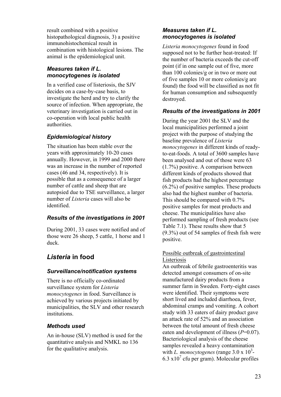result combined with a positive histopathological diagnosis, 3) a positive immunohistochemical result in combination with histological lesions. The animal is the epidemiological unit.

# *Measures taken if L. monocytogenes is isolated*

In a verified case of listeriosis, the SJV decides on a case-by-case basis, to investigate the herd and try to clarify the source of infection. When appropriate, the veterinary investigation is carried out in co-operation with local public health authorities.

# *Epidemiological history*

The situation has been stable over the years with approximately 10-20 cases annually. However, in 1999 and 2000 there was an increase in the number of reported cases (46 and 34, respectively). It is possible that as a consequence of a larger number of cattle and sheep that are autopsied due to TSE surveillance, a larger number of *Listeria* cases will also be identified.

# *Results of the investigations in 2001*

During 2001, 33 cases were notified and of those were 26 sheep, 5 cattle, 1 horse and 1 duck.

# *Listeria* **in food**

# *Surveillance/notification systems*

There is no officially co-ordinated surveillance system for *Listeria monocytogenes* in food. Surveillance is achieved by various projects initiated by municipalities, the SLV and other research institutions.

# *Methods used*

An in-house (SLV) method is used for the quantitative analysis and NMKL no 136 for the qualitative analysis.

# *Measures taken if L. monocytogenes is isolated*

*Listeria monocytogenes* found in food supposed not to be further heat-treated: If the number of bacteria exceeds the cut-off point (if in one sample out of five, more than 100 colonies/g or in two or more out of five samples 10 or more colonies/g are found) the food will be classified as not fit for human consumption and subsequently destroyed.

# *Results of the investigations in 2001*

During the year 2001 the SLV and the local municipalities performed a joint project with the purpose of studying the baseline prevalence of *Listeria monocytogenes* in different kinds of readyto-eat-foods. A total of 3600 samples have been analysed and out of those were 63 (1.7%) positive. A comparison between different kinds of products showed that fish products had the highest percentage (6.2%) of positive samples. These products also had the highest number of bacteria. This should be compared with 0.7% positive samples for meat products and cheese. The municipalities have also performed sampling of fresh products (see Table 7.1). These results show that 5 (9.3%) out of 54 samples of fresh fish were positive.

# Possible outbreak of gastrointestinal Listeriosis

An outbreak of febrile gastroenteritis was detected amongst consumers of on-site manufactured dairy products from a summer farm in Sweden. Forty-eight cases were identified. Their symptoms were short lived and included diarrhoea, fever, abdominal cramps and vomiting. A cohort study with 33 eaters of dairy product gave an attack rate of 52% and an association between the total amount of fresh cheese eaten and development of illness (*P*=0.07). Bacteriological analysis of the cheese samples revealed a heavy contamination with *L. monocytogenes* (range 3.0 x 10<sup>3</sup>- $6.3 \times 10^7$  cfu per gram). Molecular profiles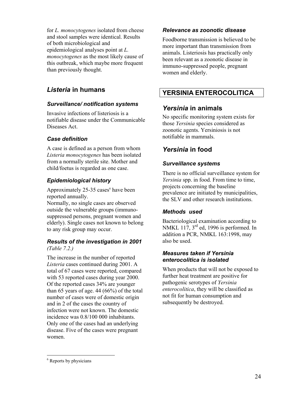for *L. monocytogenes* isolated from cheese and stool samples were identical. Results of both microbiological and epidemiological analyses point at *L. monocytogenes* as the most likely cause of this outbreak, which maybe more frequent than previously thought.

# *Listeria* **in humans**

# *Surveillance/ notification systems*

Invasive infections of listeriosis is a notifiable disease under the Communicable Diseases Act.

# *Case definition*

A case is defined as a person from whom *Listeria monocytogenes* has been isolated from a normally sterile site. Mother and child/foetus is regarded as one case.

# *Epidemiological history*

Approximately 25-35 cases<sup>6</sup> have been reported annually.

Normally, no single cases are observed outside the vulnerable groups (immunosuppressed persons, pregnant women and elderly). Single cases not known to belong to any risk group may occur.

#### *Results of the investigation in 2001 (Table 7.2.)*

The increase in the number of reported *Listeria* cases continued during 2001. A total of 67 cases were reported, compared with 53 reported cases during year 2000. Of the reported cases 34% are younger than 65 years of age.  $44 (66%)$  of the total number of cases were of domestic origin and in 2 of the cases the country of infection were not known. The domestic incidence was 0.8/100 000 inhabitants. Only one of the cases had an underlying disease. Five of the cases were pregnant women.

# *Relevance as zoonotic disease*

Foodborne transmission is believed to be more important than transmission from animals. Listeriosis has practically only been relevant as a zoonotic disease in immuno-suppressed people, pregnant women and elderly.

# **YERSINIA ENTEROCOLITICA**

# *Yersinia* **in animals**

No specific monitoring system exists for those *Yersinia* species considered as zoonotic agents. Yersiniosis is not notifiable in mammals.

# *Yersinia* **in food**

# *Surveillance systems*

There is no official surveillance system for *Yersinia* spp. in food. From time to time, projects concerning the baseline prevalence are initiated by municipalities, the SLV and other research institutions.

# *Methods used*

Bacteriological examination according to NMKL 117, 3<sup>rd</sup> ed, 1996 is performed. In addition a PCR, NMKL 163:1998, may also be used.

# *Measures taken if Yersinia enterocolitica is isolated*

When products that will not be exposed to further heat treatment are positive for pathogenic serotypes of *Yersinia enterocolitica*, they will be classified as not fit for human consumption and subsequently be destroyed.

 <sup>6</sup> Reports by physicians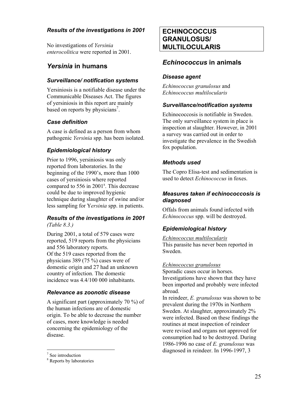# *Results of the investigations in 2001*

No investigations of *Yersinia enterocolitica* were reported in 2001.

# *Yersinia* **in humans**

# *Surveillance/ notification systems*

Yersiniosis is a notifiable disease under the Communicable Diseases Act. The figures of yersiniosis in this report are mainly based on reports by physicians<sup>7</sup>.

# *Case definition*

A case is defined as a person from whom pathogenic *Yersinia* spp. has been isolated.

# *Epidemiological history*

Prior to 1996, yersiniosis was only reported from laboratories. In the beginning of the 1990's, more than 1000 cases of yersiniosis where reported compared to 556 in 2001<sup>8</sup>. This decrease could be due to improved hygienic technique during slaughter of swine and/or less sampling for Y*ersinia* spp. in patients.

# *Results of the investigations in 2001 (Table 8.3.)*

During 2001, a total of 579 cases were reported, 519 reports from the physicians and 556 laboratory reports. Of the 519 cases reported from the physicians 389 (75 %) cases were of domestic origin and 27 had an unknown country of infection. The domestic incidence was 4.4/100 000 inhabitants.

# *Relevance as zoonotic disease*

A significant part (approximately 70 %) of the human infections are of domestic origin. To be able to decrease the number of cases, more knowledge is needed concerning the epidemiology of the disease.

# **ECHINOCOCCUS GRANULOSUS/ MULTILOCULARIS**

# *Echinococcus* **in animals**

# *Disease agent*

*Echinococcus granulosus* and *Echinococcus multilocularis* 

# *Surveillance/notification systems*

Echinococcosis is notifiable in Sweden. The only surveillance system in place is inspection at slaughter. However, in 2001 a survey was carried out in order to investigate the prevalence in the Swedish fox population.

# *Methods used*

The Copro Elisa-test and sedimentation is used to detect *Echinococcus* in foxes.

# *Measures taken if echinococcosis is diagnosed*

Offals from animals found infected with *Echinococcus* spp. will be destroyed.

# *Epidemiological history*

*Echinococcus multilocularis* This parasite has never been reported in Sweden.

#### *Echinococcus granulosus*

Sporadic cases occur in horses. Investigations have shown that they have been imported and probably were infected abroad.

In reindeer, *E. granulosus* was shown to be prevalent during the 1970s in Northern Sweden. At slaughter, approximately 2% were infected. Based on these findings the routines at meat inspection of reindeer were revised and organs not approved for consumption had to be destroyed. During 1986-1996 no case of *E. granulosus* was diagnosed in reindeer. In 1996-1997, 3

<sup>7</sup> See introduction

<sup>8</sup> Reports by laboratories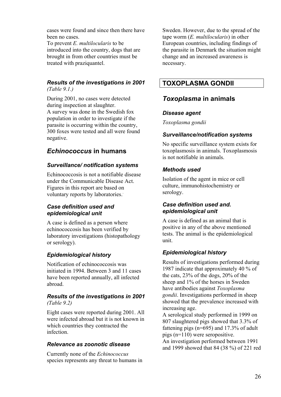cases were found and since then there have been no cases.

To prevent *E. multilocularis* to be introduced into the country, dogs that are brought in from other countries must be treated with praziquantel.

#### *Results of the investigations in 2001 (Table 9.1.)*

During 2001, no cases were detected during inspection at slaughter. A survey was done in the Swedish fox population in order to investigate if the parasite is occurring within the country, 300 foxes were tested and all were found negative.

# *Echinococcus* **in humans**

# *Surveillance/ notification systems*

Echinococcosis is not a notifiable disease under the Communicable Disease Act. Figures in this report are based on voluntary reports by laboratories.. 

# *Case definition used and epidemiological unit*

A case is defined as a person where echinococcosis has been verified by laboratory investigations (histopathology or serology).

# *Epidemiological history*

Notification of echinococcosis was initiated in 1994. Between 3 and 11 cases have been reported annually, all infected abroad.

#### *Results of the investigations in 2001 (Table 9.2)*

Eight cases were reported during 2001. All were infected abroad but it is not known in which countries they contracted the infection.

# *Relevance as zoonotic disease*

Currently none of the *Echinococcus* species represents any threat to humans in

Sweden. However, due to the spread of the tape worm (*E. multilocularis*) in other European countries, including findings of the parasite in Denmark the situation might change and an increased awareness is necessary.

# **TOXOPLASMA GONDII**

# *Toxoplasma* **in animals**

# *Disease agent*

*Toxoplasma gondii*

# *Surveillance/notification systems*

No specific surveillance system exists for toxoplasmosis in animals. Toxoplasmosis is not notifiable in animals.

# *Methods used*

Isolation of the agent in mice or cell culture, immunohistochemistry or serology.

# *Case definition used and. epidemiological unit*

A case is defined as an animal that is positive in any of the above mentioned tests. The animal is the epidemiological unit.

# *Epidemiological history*

Results of investigations performed during 1987 indicate that approximately 40 % of the cats, 23% of the dogs, 20% of the sheep and 1% of the horses in Sweden have antibodies against *Toxoplasma gondii*. Investigations performed in sheep showed that the prevalence increased with increasing age.

A serological study performed in 1999 on 807 slaughtered pigs showed that 3.3% of fattening pigs (n=695) and 17.3% of adult pigs (n=110) were seropositive.

An investigation performed between 1991 and 1999 showed that 84 (38 %) of 221 red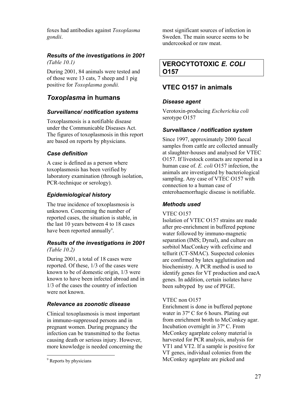foxes had antibodies against *Toxoplasma gondii*.

#### *Results of the investigations in 2001 (Table 10.1)*

During 2001, 84 animals were tested and of those were 13 cats, 7 sheep and 1 pig positive for *Toxoplasma gondii.*

# *Toxoplasma* **in humans**

# *Surveillance/ notification systems*

Toxoplasmosis is a notifiable disease under the Communicable Diseases Act. The figures of toxoplasmosis in this report are based on reports by physicians.

# *Case definition*

A case is defined as a person where toxoplasmosis has been verified by laboratory examination (through isolation, PCR-technique or serology).

# *Epidemiological history*

The true incidence of toxoplasmosis is unknown. Concerning the number of reported cases, the situation is stable, in the last 10 years between 4 to 18 cases have been reported annually<sup>9</sup>.

#### *Results of the investigations in 2001 (Table 10.2)*

During 2001, a total of 18 cases were reported. Of these, 1/3 of the cases were known to be of domestic origin, 1/3 were known to have been infected abroad and in 1/3 of the cases the country of infection were not known.

# *Relevance as zoonotic disease*

Clinical toxoplasmosis is most important in immuno-suppressed persons and in pregnant women. During pregnancy the infection can be transmitted to the foetus causing death or serious injury. However, more knowledge is needed concerning the most significant sources of infection in Sweden. The main source seems to be undercooked or raw meat.

# **VEROCYTOTOXIC** *E. COLI* **O157**

# **VTEC O157 in animals**

# *Disease agent*

Verotoxin-producing *Escherichia coli* serotype O157

# *Surveillance / notification system*

Since 1997, approximately 2000 faecal samples from cattle are collected annually at slaughter-houses and analysed for VTEC O157. If livestock contacts are reported in a human case of. *E. coli* O157 infection, the animals are investigated by bacteriological sampling. Any case of VTEC O157 with connection to a human case of enterohaemorrhagic disease is notifiable.

# *Methods used*

#### VTEC O157

Isolation of VTEC O157 strains are made after pre-enrichment in buffered peptone water followed by immuno-magnetic separation (IMS; Dynal), and culture on sorbitol MacConkey with cefixime and tellurit (CT-SMAC). Suspected colonies are confirmed by latex agglutination and biochemistry. A PCR method is used to identify genes for VT production and eaeA genes. In addition, certain isolates have been subtyped by use of PFGE.

#### VTEC non O157

Enrichment is done in buffered peptone water in 37º C for 6 hours. Plating out from enrichment broth to McConkey agar. Incubation overnight in 37º C. From McConkey agarplate colony material is harvested for PCR analysis, analysis for VT1 and VT2. If a sample is positive for VT genes, individual colonies from the McConkey agarplate are picked and

 <sup>9</sup> Reports by physicians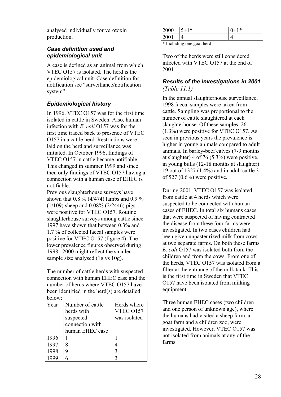analysed individually for verotoxin production.

#### *Case definition used and epidemiological unit*

A case is defined as an animal from which VTEC O157 is isolated. The herd is the epidemiological unit. Case definition for notification see "surveillance/notification system"

# *Epidemiological history*

In 1996, VTEC O157 was for the first time isolated in cattle in Sweden. Also, human infection with *E. coli* O157 was for the first time traced back to presence of VTEC O157 in a cattle herd. Restrictions were laid on the herd and surveillance was initiated. In October 1996, findings of VTEC O157 in cattle became notifiable. This changed in summer 1999 and since then only findings of VTEC O157 having a connection with a human case of EHEC is notifiable.

Previous slaughterhouse surveys have shown that 0.8 % (4/474) lambs and 0.9 % (1/109) sheep and 0.08% (2/2446) pigs were positive for VTEC O157. Routine slaughterhouse surveys among cattle since 1997 have shown that between 0.3% and 1.7 % of collected faecal samples were positive for VTEC O157 (figure 4). The lower prevalence figures observed during 1998 –2000 might reflect the smaller sample size analysed (1g vs 10g).

The number of cattle herds with suspected connection with human EHEC case and the number of herds where VTEC O157 have been identified in the herd(s) are detailed below:

| Year | Number of cattle | Herds where  |
|------|------------------|--------------|
|      | herds with       | VTEC 0157    |
|      | suspected        | was isolated |
|      | connection with  |              |
|      | human EHEC case  |              |
| 1996 |                  |              |
| 1997 | 8                |              |
| 1998 | 9                | 3            |
|      |                  |              |

| 2000 | $1*$<br>◡ | 1∗<br>ν |
|------|-----------|---------|
| м    | ↵         | ▃       |

\* Including one goat herd

Two of the herds were still considered infected with VTEC O157 at the end of 2001.

# *Results of the investigations in 2001 (Table 11.1)*

In the annual slaughterhouse surveillance, 1998 faecal samples were taken from cattle. Sampling was proportional to the number of cattle slaughtered at each slaughterhouse. Of these samples, 26 (1.3%) were positive for VTEC O157. As seen in previous years the prevalence is higher in young animals compared to adult animals. In barley-beef calves (7-9 months at slaughter) 4 of 76 (5.3%) were positive, in young bulls (12-18 months at slaughter) 19 out of 1327 (1.4%) and in adult cattle 3 of 527 (0.6%) were positive.

During 2001, VTEC O157 was isolated from cattle at 4 herds which were suspected to be connected with human cases of EHEC. In total six humans cases that were suspected of having contracted the disease from these four farms were investigated. In two cases children had been given unpasteurized milk from cows at two separate farms. On both these farms *E. coli* O157 was isolated both from the children and from the cows. From one of the herds, VTEC O157 was isolated from a filter at the entrance of the milk tank. This is the first time in Sweden that VTEC O157 have been isolated from milking equipment.

Three human EHEC cases (two children and one person of unknown age), where the humans had visited a sheep farm, a goat farm and a children zoo, were investigated. However, VTEC O157 was not isolated from animals at any of the farms.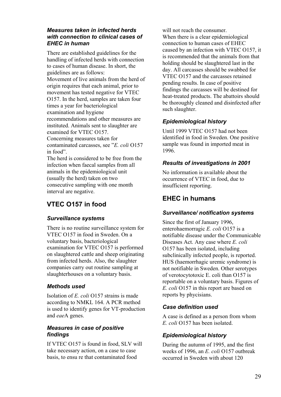# *Measures taken in infected herds with connection to clinical cases of EHEC in human*

There are established guidelines for the handling of infected herds with connection to cases of human disease. In short, the guidelines are as follows: Movement of live animals from the herd of origin requires that each animal, prior to movement has tested negative for VTEC O157. In the herd, samples are taken four times a year for bacteriological examination and hygiene recommendations and other measures are instituted. Animals sent to slaughter are examined for VTEC O157. Concerning measures taken for contaminated carcasses, see "*E. coli* O157 in food". The herd is considered to be free from the infection when faecal samples from all animals in the epidemiological unit (usually the herd) taken on two consecutive sampling with one month interval are negative.

# **VTEC O157 in food**

# *Surveillance systems*

There is no routine surveillance system for VTEC O157 in food in Sweden. On a voluntary basis, bacteriological examination for VTEC O157 is performed on slaughtered cattle and sheep originating from infected herds. Also, the slaughter companies carry out routine sampling at slaughterhouses on a voluntary basis.

# *Methods used*

Isolation of *E. coli* O157 strains is made according to NMKL 164. A PCR method is used to identify genes for VT-production and *eae*A genes.

# *Measures in case of positive findings*

If VTEC O157 is found in food, SLV will take necessary action, on a case to case basis, to ensu re that contaminated food

will not reach the consumer. When there is a clear epidemiological connection to human cases of EHEC caused by an infection with VTEC O157, it is recommended that the animals from that holding should be slaughtered last in the day. All carcasses should be swabbed for VTEC O157 and the carcasses retained pending results. In case of positive findings the carcasses will be destined for heat-treated products. The abattoirs should be thoroughly cleaned and disinfected after such slaughter.

# *Epidemiological history*

Until 1999 VTEC O157 had not been identified in food in Sweden. One positive sample was found in imported meat in 1996.

# *Results of investigations in 2001*

No information is available about the occurrence of VTEC in food, due to insufficient reporting.

# **EHEC in humans**

# *Surveillance/ notification systems*

Since the first of January 1996, enterohaemorragic *E. coli* O157 is a notifiable disease under the Communicable Diseases Act. Any case where *E. coli* O157 has been isolated, including subclinically infected people, is reported. HUS (haemorrhagic uremic syndrome) is not notifiable in Sweden. Other serotypes of verotocytotoxic E. coli than O157 is reportable on a voluntary basis. Figures of *E. coli* O157 in this report are based on reports by phycisians.

# *Case definition used*

A case is defined as a person from whom *E. coli* O157 has been isolated.

# *Epidemiological history*

During the autumn of 1995, and the first weeks of 1996, an *E. coli* O157 outbreak occurred in Sweden with about 120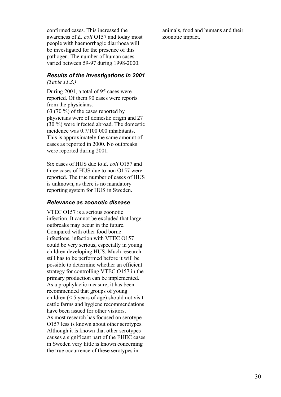confirmed cases. This increased the awareness of *E. coli* O157 and today most people with haemorrhagic diarrhoea will be investigated for the presence of this pathogen. The number of human cases varied between 59-97 during 1998-2000.

#### *Results of the investigations in 2001 (Table 11.3.)*

During 2001, a total of 95 cases were reported. Of them 90 cases were reports from the physicians. 63 (70 %) of the cases reported by physicians were of domestic origin and 27 (30 %) were infected abroad. The domestic incidence was 0.7/100 000 inhabitants. This is approximately the same amount of cases as reported in 2000. No outbreaks were reported during 2001.

Six cases of HUS due to *E. coli* O157 and three cases of HUS due to non O157 were reported. The true number of cases of HUS is unknown, as there is no mandatory reporting system for HUS in Sweden.

#### *Relevance as zoonotic disease*

VTEC O157 is a serious zoonotic infection. It cannot be excluded that large outbreaks may occur in the future. Compared with other food borne infections, infection with VTEC O157 could be very serious, especially in young children developing HUS. Much research still has to be performed before it will be possible to determine whether an efficient strategy for controlling VTEC O157 in the primary production can be implemented. As a prophylactic measure, it has been recommended that groups of young children (< 5 years of age) should not visit cattle farms and hygiene recommendations have been issued for other visitors. As most research has focused on serotype O157 less is known about other serotypes. Although it is known that other serotypes causes a significant part of the EHEC cases in Sweden very little is known concerning the true occurrence of these serotypes in

animals, food and humans and their zoonotic impact.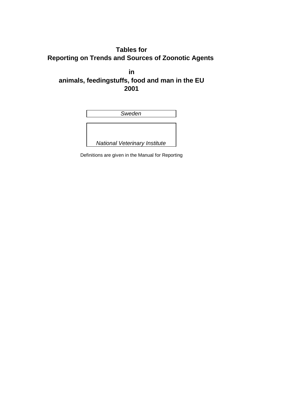# **Tables for Reporting on Trends and Sources of Zoonotic Agents**

**in animals, feedingstuffs, food and man in the EU 2001**

| Sweden                               |  |  |  |
|--------------------------------------|--|--|--|
|                                      |  |  |  |
|                                      |  |  |  |
|                                      |  |  |  |
|                                      |  |  |  |
| <b>National Veterinary Institute</b> |  |  |  |

Definitions are given in the Manual for Reporting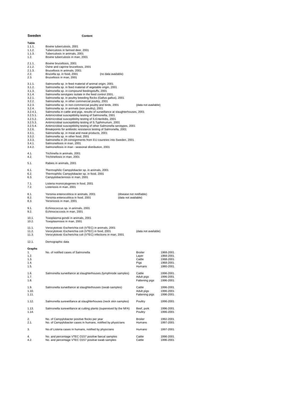| Sweden                                                                                                                                                                                                  | Content                                                                                                                                                                                                                                                                                                                                                                                                                                                                                                                                                                                                                                                                                                                                                                                                                                                                                                                                                                                                                                                                                                                                             |                                                  |                                                               |
|---------------------------------------------------------------------------------------------------------------------------------------------------------------------------------------------------------|-----------------------------------------------------------------------------------------------------------------------------------------------------------------------------------------------------------------------------------------------------------------------------------------------------------------------------------------------------------------------------------------------------------------------------------------------------------------------------------------------------------------------------------------------------------------------------------------------------------------------------------------------------------------------------------------------------------------------------------------------------------------------------------------------------------------------------------------------------------------------------------------------------------------------------------------------------------------------------------------------------------------------------------------------------------------------------------------------------------------------------------------------------|--------------------------------------------------|---------------------------------------------------------------|
| Table<br>1.1.1.<br>1.1.2.<br>1.1.3.<br>1.2.                                                                                                                                                             | Bovine tuberculosis, 2001<br>Tuberculosis in farmed deer, 2001<br>Tuberculosis in animals, 2001<br>Bovine tuberculosis in man, 2001                                                                                                                                                                                                                                                                                                                                                                                                                                                                                                                                                                                                                                                                                                                                                                                                                                                                                                                                                                                                                 |                                                  |                                                               |
| 2.1.1.<br>2.1.2.<br>2.1.3.<br>2.2.<br>2.3.                                                                                                                                                              | Bovine brucellosis, 2001<br>Ovine and caprine brucellosis, 2001<br>Brucellosis in animals, 2001<br>Brucella sp. in food, 2001<br>(no data available)<br>Brucellosis in man, 2001                                                                                                                                                                                                                                                                                                                                                                                                                                                                                                                                                                                                                                                                                                                                                                                                                                                                                                                                                                    |                                                  |                                                               |
| 3.1.1.<br>3.1.2.<br>3.1.3.<br>3.1.4.<br>3.2.1.<br>3.2.2.<br>3.2.3.<br>3.2.4.<br>3.2.4.1.<br>$3.2.5.1$ .<br>3.2.5.2.<br>3.2.5.3.<br>3.2.5.4.<br>3.2.6.<br>3.3.1.<br>3.3.2.<br>3.3.3.<br>3.4.1.<br>3.4.2. | Salmonella sp. in feed material of animal origin, 2001<br>Salmonella sp. in feed material of vegetable origin, 2001<br>Salmonella sp. in compound feedingstuffs, 2001<br>Salmonella serotypes isolate in the feed control 2001.<br>Salmonella sp. in poultry breeding flocks (Gallus gallus), 2001<br>Salmonella sp. in other commercial poultry, 2001<br>Salmonella sp. in non-commercial poultry and birds, 2001<br>Salmonella sp. in animals (non poultry), 2001<br>Salmonella in cattle and pigs, results of surveillance at slaughterhouses, 2001<br>Antimicrobial susceptibility testing of Salmonella, 2001<br>Antimicrobial susceptibility testing of S.Enteritidis, 2001<br>Antimicrobial susceptibility testing of S. Typhimurium, 2001<br>Antimicrobial susceptibility testing of other Salmonella serotypes, 2001<br>Breakpoints for antibiotic resistance testing of Salmonella, 2001<br>Salmonella sp. in meat and meat products, 2001<br>Salmonella sp. in other food, 2001<br>Salmonella in 28 consignments from EU countries into Sweden, 2001<br>Salmonellosis in man, 2001<br>Salmonellosis in man - seasonal distribution, 2001 | (data not available)                             |                                                               |
| 4.1.<br>4.2.                                                                                                                                                                                            | Trichinella in animals, 2001<br>Trichinellosis in man, 2001                                                                                                                                                                                                                                                                                                                                                                                                                                                                                                                                                                                                                                                                                                                                                                                                                                                                                                                                                                                                                                                                                         |                                                  |                                                               |
| 5.1.                                                                                                                                                                                                    | Rabies in animals, 2001                                                                                                                                                                                                                                                                                                                                                                                                                                                                                                                                                                                                                                                                                                                                                                                                                                                                                                                                                                                                                                                                                                                             |                                                  |                                                               |
| 6.1.<br>6.2.<br>6.3.                                                                                                                                                                                    | Thermophilic Campylobacter sp. in animals, 2001<br>Thermophilic Campylobacter sp. in food, 2001<br>Campylobacteriosis in man, 2001                                                                                                                                                                                                                                                                                                                                                                                                                                                                                                                                                                                                                                                                                                                                                                                                                                                                                                                                                                                                                  |                                                  |                                                               |
| 7.1.<br>7.2.                                                                                                                                                                                            | Listeria monocytogenes in food, 2001<br>Listeriosis in man, 2001                                                                                                                                                                                                                                                                                                                                                                                                                                                                                                                                                                                                                                                                                                                                                                                                                                                                                                                                                                                                                                                                                    |                                                  |                                                               |
| 8.1.<br>8.2.<br>8.3.                                                                                                                                                                                    | Yersinia enterocolitica in animals, 2001<br>Yersinia enterocolitica in food, 2001<br>Yersiniosis in man, 2001                                                                                                                                                                                                                                                                                                                                                                                                                                                                                                                                                                                                                                                                                                                                                                                                                                                                                                                                                                                                                                       | (disease not notifiable)<br>(data not available) |                                                               |
| 9.1.<br>9.2.                                                                                                                                                                                            | Echinococcus sp. in animals, 2001<br>Echinococcosis in man, 2001                                                                                                                                                                                                                                                                                                                                                                                                                                                                                                                                                                                                                                                                                                                                                                                                                                                                                                                                                                                                                                                                                    |                                                  |                                                               |
| 10.1.<br>10.2.                                                                                                                                                                                          | Toxoplasma gondii in animals, 2001<br>Toxoplasmosis in man, 2001                                                                                                                                                                                                                                                                                                                                                                                                                                                                                                                                                                                                                                                                                                                                                                                                                                                                                                                                                                                                                                                                                    |                                                  |                                                               |
| 11.1.<br>11.2.<br>11.3.                                                                                                                                                                                 | Verocytotoxic Escherichia coli (VTEC) in animals, 2001<br>Verocytotoxic Escherichia coli (VTEC) in food, 2001<br>Verocytotoxic Escherichia coli (VTEC) infections in man, 2001                                                                                                                                                                                                                                                                                                                                                                                                                                                                                                                                                                                                                                                                                                                                                                                                                                                                                                                                                                      | (data not available)                             |                                                               |
| 12.1.                                                                                                                                                                                                   | Demographic data                                                                                                                                                                                                                                                                                                                                                                                                                                                                                                                                                                                                                                                                                                                                                                                                                                                                                                                                                                                                                                                                                                                                    |                                                  |                                                               |
| Graphs<br>1.<br>1.2.<br>1.3.<br>1.4.<br>1.5.                                                                                                                                                            | No. of notified cases of Salmonella                                                                                                                                                                                                                                                                                                                                                                                                                                                                                                                                                                                                                                                                                                                                                                                                                                                                                                                                                                                                                                                                                                                 | Broiler<br>Layer<br>Cattle<br>Pigs<br>Humans     | 1968-2001<br>1968-2001<br>1968-2001<br>1968-2001<br>1980-2001 |
| 1.6.<br>1.7.<br>1.8.                                                                                                                                                                                    | Salmonella surveillance at slaughterhouses (lymphnode samples)                                                                                                                                                                                                                                                                                                                                                                                                                                                                                                                                                                                                                                                                                                                                                                                                                                                                                                                                                                                                                                                                                      | Cattle<br>Adult pigs<br>Fattening pigs           | 1996-2001<br>1996-2001<br>1996-2001                           |
| 1.9.<br>1.10.<br>1.11.                                                                                                                                                                                  | Salmonella surveillance at slaughterhouses (swab samples)                                                                                                                                                                                                                                                                                                                                                                                                                                                                                                                                                                                                                                                                                                                                                                                                                                                                                                                                                                                                                                                                                           | Cattle<br>Adult pigs<br>Fattening pigs           | 1996-2001<br>1996-2001<br>1996-2001                           |
| 1.12.                                                                                                                                                                                                   | Salmonella sureveillance at slaughterhouses (neck skin samples)                                                                                                                                                                                                                                                                                                                                                                                                                                                                                                                                                                                                                                                                                                                                                                                                                                                                                                                                                                                                                                                                                     | Poultry                                          | 1996-2001                                                     |
| 1.13.<br>1.14.                                                                                                                                                                                          | Salmonella sureveillance at cutting plants (supervised by the NFA)                                                                                                                                                                                                                                                                                                                                                                                                                                                                                                                                                                                                                                                                                                                                                                                                                                                                                                                                                                                                                                                                                  | Beef, pork<br>Poultry                            | 1996-2001<br>1996-2001                                        |
| 2.<br>2.1.                                                                                                                                                                                              | No. of Campylobacter positive flocks per year<br>No. of Campylobacter cases in humans, notified by physicians                                                                                                                                                                                                                                                                                                                                                                                                                                                                                                                                                                                                                                                                                                                                                                                                                                                                                                                                                                                                                                       | <b>Broiler</b><br>Humans                         | 1992-2001<br>1997-2001                                        |
| 3.                                                                                                                                                                                                      | No.of Listeria cases in humans, notified by physicians                                                                                                                                                                                                                                                                                                                                                                                                                                                                                                                                                                                                                                                                                                                                                                                                                                                                                                                                                                                                                                                                                              | Humans                                           | 1997-2001                                                     |
| 4.<br>4.2.                                                                                                                                                                                              | No. and percentage VTEC O157 positive faecal samples<br>No. and percentage VTEC O157 positive swab samples                                                                                                                                                                                                                                                                                                                                                                                                                                                                                                                                                                                                                                                                                                                                                                                                                                                                                                                                                                                                                                          | Cattle<br>Cattle                                 | 1996-2001<br>1996-2001                                        |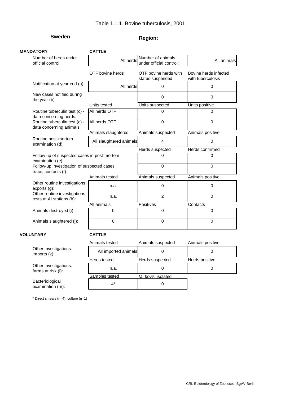# **Sweden Region:**

| <b>MANDATORY</b>                                                    | <b>CATTLE</b>           |                                              |                                            |
|---------------------------------------------------------------------|-------------------------|----------------------------------------------|--------------------------------------------|
| Number of herds under<br>official control:                          | All herds               | Number of animals<br>under official control: | All animals                                |
|                                                                     | OTF bovine herds        | OTF bovine herds with<br>status suspended    | Bovine herds infected<br>with tuberculosis |
| Notification at year end (a):                                       | All herds               | 0                                            | 0                                          |
| New cases notified during<br>the year (b):                          |                         | $\Omega$                                     | 0                                          |
|                                                                     | Units tested            | Units suspected                              | Units positive                             |
| Routine tuberculin test (c) -<br>data concerning herds:             | All herds OTF           | $\Omega$                                     | O                                          |
| Routine tuberculin test (c) -<br>data concerning animals:           | All herds OTF           | $\Omega$                                     | $\overline{0}$                             |
|                                                                     | Animals slaughtered     | Animals suspected                            | Animals positive                           |
| Routine post-mortem<br>examination (d):                             | All slaughtered animals | 4                                            | 0                                          |
|                                                                     |                         | <b>Herds suspected</b>                       | Herds confirmed                            |
| Follow up of suspected cases in post-mortem<br>examination (e):     |                         | $\Omega$                                     | 0                                          |
| Follow-up investigation of suspected cases:<br>trace, contacts (f): |                         | 0                                            | 0                                          |
|                                                                     | Animals tested          | Animals suspected                            | Animals positive                           |
| Other routine investigations:<br>exports(g):                        | n.a.                    | 0                                            | 0                                          |
| Other routine investigations:<br>tests at AI stations (h):          | n.a.                    | $\overline{2}$                               | 0                                          |
|                                                                     | All animals             | <b>Positives</b>                             | Contacts                                   |
| Animals destroyed (i):                                              | 0                       | $\Omega$                                     | $\Omega$                                   |
| Animals slaughtered (j):                                            | $\Omega$                | $\Omega$                                     | 0                                          |
| <b>VOLUNTARY</b>                                                    | <b>CATTLE</b>           |                                              |                                            |
|                                                                     | Animals tested          | Animals suspected                            | Animals positive                           |
| Other investigations:<br>imports (k):                               | All imported animals    | $\Omega$                                     | 0                                          |
|                                                                     | Herds tested            | Herds suspected                              | Herds positive                             |
| Other investigations:<br>farms at risk (I):                         | n.a.                    | $\Omega$                                     | 0                                          |
|                                                                     | Samples tested          | M. bovis isolated                            |                                            |
| Bacteriological<br>examination (m):                                 | $4^*$                   | 0                                            |                                            |

\* Direct smears (n=4), culture (n=1)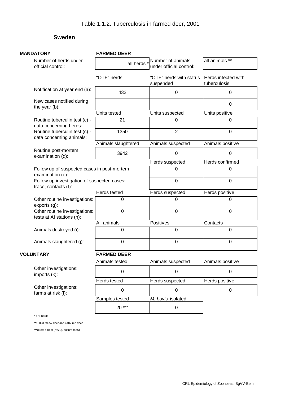# **Sweden**

| <b>MANDATORY</b>                                                    | <b>FARMED DEER</b>  |                                              |                                     |
|---------------------------------------------------------------------|---------------------|----------------------------------------------|-------------------------------------|
| Number of herds under<br>official control:                          | all herds *         | Number of animals<br>under official control: | all animals **                      |
|                                                                     | "OTF" herds         | "OTF" herds with status<br>suspended         | Herds infected with<br>tuberculosis |
| Notification at year end (a):                                       | 432                 | 0                                            | 0                                   |
| New cases notified during<br>the year (b):                          |                     |                                              | $\Omega$                            |
|                                                                     | Units tested        | Units suspected                              | Units positive                      |
| Routine tuberculin test (c) -<br>data concerning herds:             | 21                  | 0                                            | 0                                   |
| Routine tuberculin test (c) -<br>data concerning animals:           | 1350                | $\overline{2}$                               | 0                                   |
|                                                                     | Animals slaughtered | Animals suspected                            | Animals positive                    |
| Routine post-mortem<br>examination (d):                             | 3942                | $\mathbf 0$                                  | 0                                   |
|                                                                     |                     | Herds suspected                              | Herds confirmed                     |
| Follow up of suspected cases in post-mortem<br>examination (e):     |                     | 0                                            | 0                                   |
| Follow-up investigation of suspected cases:<br>trace, contacts (f): |                     | $\overline{0}$                               | 0                                   |
|                                                                     | Herds tested        | Herds suspected                              | Herds positive                      |
| Other routine investigations:<br>exports(g):                        | $\Omega$            | $\Omega$                                     | 0                                   |
| Other routine investigations:<br>tests at AI stations (h):          | $\mathbf 0$         | $\mathbf 0$                                  | 0                                   |
|                                                                     | All animals         | Positives                                    | Contacts                            |
| Animals destroyed (i):                                              | 0                   | $\mathbf 0$                                  | 0                                   |
| Animals slaughtered (j):                                            | $\mathbf 0$         | $\mathbf 0$                                  | 0                                   |
| <b>VOLUNTARY</b>                                                    | <b>FARMED DEER</b>  |                                              |                                     |
|                                                                     | Animals tested      | Animals suspected                            | Animals positive                    |
| Other investigations:<br>imports (k):                               | $\pmb{0}$           | 0                                            | 0                                   |
|                                                                     | Herds tested        | Herds suspected                              | Herds positive                      |
| Other investigations:<br>farms at risk (I):                         | 0                   | 0                                            | 0                                   |
|                                                                     | Samples tested      | M. bovis isolated                            |                                     |
|                                                                     | $20***$             | 0                                            |                                     |

\* 578 herds

\*\*13023 fallow deer and 4487 red deer

\*\*\*direct smear (n=20), culture (n=6)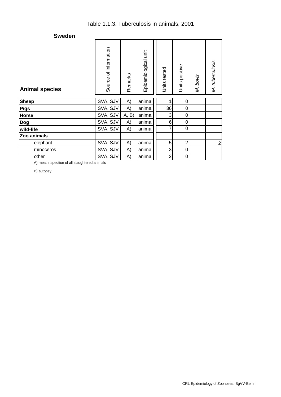# Table 1.1.3. Tuberculosis in animals, 2001

# **Sweden**

| <b>Animal species</b> | of information<br>Source | Remarks | Epidemiological unit | Units tested   | Units positive | M. bovis | M. tuberculosis  |
|-----------------------|--------------------------|---------|----------------------|----------------|----------------|----------|------------------|
| <b>Sheep</b>          | SVA, SJV                 | A)      | animal               |                | 0              |          |                  |
| <b>Pigs</b>           | SVA, SJV                 | A)      | animal               | 36             | 0              |          |                  |
| Horse                 | SVA, SJV                 | A, B    | animal               | 3              | 0              |          |                  |
| <b>Dog</b>            | SVA, SJV                 | A)      | animal               | 6              | 0              |          |                  |
| wild-life             | SVA, SJV                 | A)      | animal               | $\overline{7}$ | 0              |          |                  |
| Zoo animals           |                          |         |                      |                |                |          |                  |
| elephant              | SVA, SJV                 | A)      | animal               | 5              | $\overline{2}$ |          | $\boldsymbol{2}$ |
| rhinoceros            | SVA, SJV                 | A)      | animal               | 3              | 0              |          |                  |
| other                 | SVA, SJV                 | A)      | animal               | $\overline{2}$ | 0              |          |                  |

A) meat inspection of all slaughtered animals

B) autopsy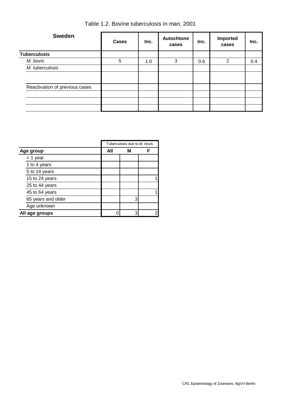| <b>Sweden</b>                  | <b>Cases</b> | Inc. | Autochtone<br>cases | Inc. | Imported<br>cases | Inc. |
|--------------------------------|--------------|------|---------------------|------|-------------------|------|
| <b>Tuberculosis</b>            |              |      |                     |      |                   |      |
| M. bovis                       | 5            | 1.0  | 3                   | 0.6  | 2                 | 0.4  |
| M. tuberculosis                |              |      |                     |      |                   |      |
|                                |              |      |                     |      |                   |      |
| Reactivation of previous cases |              |      |                     |      |                   |      |
|                                |              |      |                     |      |                   |      |
|                                |              |      |                     |      |                   |      |
|                                |              |      |                     |      |                   |      |

| Table 1.2. Bovine tuberculosis in man, 2001 |  |
|---------------------------------------------|--|
|---------------------------------------------|--|

|                    | Tuberculosis due to M. bovis |   |   |
|--------------------|------------------------------|---|---|
| Age group          | All                          | м |   |
| $<$ 1 year         |                              |   |   |
| 1 to 4 years       |                              |   |   |
| 5 to 14 years      |                              |   |   |
| 15 to 24 years     |                              |   |   |
| 25 to 44 years     |                              |   |   |
| 45 to 64 years     |                              |   |   |
| 65 years and older |                              | 3 |   |
| Age unknown        |                              |   |   |
| All age groups     |                              | 3 | 2 |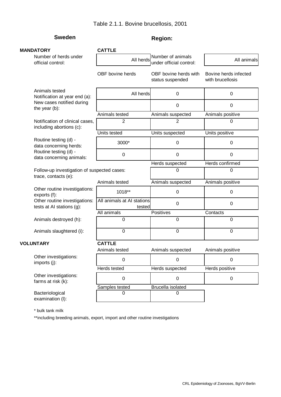# **Sweden Region: Region:**

| <b>MANDATORY</b> |                                                                     | <b>CATTLE</b>                        |                                              |                                           |
|------------------|---------------------------------------------------------------------|--------------------------------------|----------------------------------------------|-------------------------------------------|
|                  | Number of herds under<br>official control:                          | All herds                            | Number of animals<br>under official control: | All animals                               |
|                  |                                                                     | OBF bovine herds                     | OBF bovine herds with<br>status suspended    | Bovine herds infected<br>with brucellosis |
|                  | Animals tested<br>Notification at year end (a):                     | All herds                            | 0                                            | 0                                         |
|                  | New cases notified during<br>the year (b):                          |                                      | 0                                            | $\mathbf 0$                               |
|                  |                                                                     | Animals tested                       | Animals suspected                            | Animals positive                          |
|                  | Notification of clinical cases,<br>including abortions (c):         | $\overline{2}$                       | $\overline{2}$                               | 0                                         |
|                  |                                                                     | Units tested                         | Units suspected                              | Units positive                            |
|                  | Routine testing (d) -<br>data concerning herds:                     | 3000*                                | $\pmb{0}$                                    | 0                                         |
|                  | Routine testing (d) -<br>data concerning animals:                   | $\boldsymbol{0}$                     | $\pmb{0}$                                    | $\pmb{0}$                                 |
|                  |                                                                     |                                      | Herds suspected                              | Herds confirmed                           |
|                  | Follow-up investigation of suspected cases:<br>trace, contacts (e): |                                      | 0                                            | $\mathbf 0$                               |
|                  |                                                                     | Animals tested                       | Animals suspected                            | Animals positive                          |
|                  | Other routine investigations:<br>exports (f):                       | 1018**                               | 0                                            | 0                                         |
|                  | Other routine investigations:<br>tests at AI stations (g):          | All animals at AI stations<br>tested | 0                                            | 0                                         |
|                  |                                                                     | All animals                          | Positives                                    | Contacts                                  |
|                  | Animals destroyed (h):                                              | 0                                    | 0                                            | $\mathbf 0$                               |
|                  | Animals slaughtered (i):                                            | 0                                    | 0                                            | $\mathbf 0$                               |
|                  | <b>VOLUNTARY</b>                                                    | <b>CATTLE</b>                        |                                              |                                           |
|                  |                                                                     | Animals tested                       | Animals suspected                            | Animals positive                          |
|                  | Other investigations:<br>imports (j):                               | 0                                    | 0                                            | 0                                         |
|                  |                                                                     | Herds tested                         | Herds suspected                              | Herds positive                            |
|                  | Other investigations:<br>farms at risk (k):                         | $\mathbf 0$                          | 0                                            | $\pmb{0}$                                 |
|                  |                                                                     | Samples tested                       | <b>Brucella isolated</b>                     |                                           |
|                  | Bacteriological<br>examination (I):                                 | 0                                    | $\Omega$                                     |                                           |
|                  |                                                                     |                                      |                                              |                                           |

\* bulk tank milk

\*\*including breeding animals, export, import and other routine investigations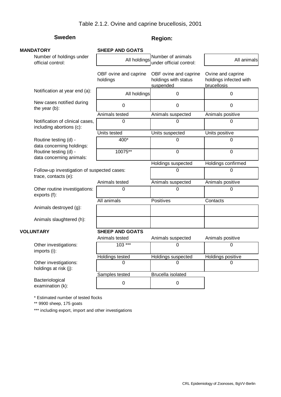# **Sweden Region: Region:**

| <b>MANDATORY</b> |                                                                     | <b>SHEEP AND GOATS</b>            |                                                            |                                                            |
|------------------|---------------------------------------------------------------------|-----------------------------------|------------------------------------------------------------|------------------------------------------------------------|
|                  | Number of holdings under<br>official control:                       | All holdings                      | Number of animals<br>under official control:               | All animals                                                |
|                  |                                                                     | OBF ovine and caprine<br>holdings | OBF ovine and caprine<br>holdings with status<br>suspended | Ovine and caprine<br>holdings infected with<br>brucellosis |
|                  | Notification at year end (a):                                       | All holdings                      | $\mathbf 0$                                                | $\mathbf 0$                                                |
|                  | New cases notified during<br>the year (b):                          | 0                                 | 0                                                          | $\mathbf 0$                                                |
|                  |                                                                     | Animals tested                    | Animals suspected                                          | Animals positive                                           |
|                  | Notification of clinical cases,<br>including abortions (c):         | 0                                 | $\Omega$                                                   | $\Omega$                                                   |
|                  |                                                                     | Units tested                      | Units suspected                                            | Units positive                                             |
|                  | Routine testing (d) -<br>data concerning holdings:                  | 400*                              | 0                                                          | $\Omega$                                                   |
|                  | Routine testing (d) -<br>data concerning animals:                   | 10075**                           | $\overline{0}$                                             | $\overline{0}$                                             |
|                  |                                                                     |                                   | Holdings suspected                                         | Holdings confirmed                                         |
|                  | Follow-up investigation of suspected cases:<br>trace, contacts (e): |                                   | $\Omega$                                                   | $\Omega$                                                   |
|                  |                                                                     | Animals tested                    | Animals suspected                                          | Animals positive                                           |
|                  | Other routine investigations:<br>exports (f):                       | 0                                 | 0                                                          | $\Omega$                                                   |
|                  |                                                                     | All animals                       | Positives                                                  | Contacts                                                   |
|                  | Animals destroyed (g):                                              |                                   |                                                            |                                                            |
|                  | Animals slaughtered (h):                                            |                                   |                                                            |                                                            |
|                  | <b>VOLUNTARY</b>                                                    | <b>SHEEP AND GOATS</b>            |                                                            |                                                            |
|                  |                                                                     | Animals tested                    | Animals suspected                                          | Animals positive                                           |
|                  | Other investigations:<br>imports (i):                               | $103***$                          | 0                                                          | $\Omega$                                                   |
|                  |                                                                     | <b>Holdings tested</b>            | <b>Holdings suspected</b>                                  | <b>Holdings positive</b>                                   |
|                  | Other investigations:<br>holdings at risk (j):                      | 0                                 | 0                                                          | 0                                                          |
|                  |                                                                     | Samples tested                    | Brucella isolated                                          |                                                            |
|                  | Bacteriological<br>examination (k):                                 | 0                                 | $\mathbf 0$                                                |                                                            |
|                  |                                                                     |                                   |                                                            |                                                            |

\* Estimated number of tested flocks

\*\* 9900 sheep, 175 goats

\*\*\* including export, import and other investigations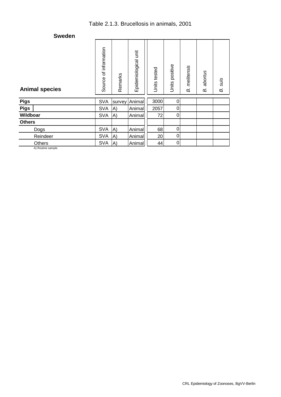# Table 2.1.3. Brucellosis in animals, 2001

### **Sweden**

| <b>Animal species</b> | of information<br>Source | Remarks | Epidemiological unit | Units tested | Units positive | melitensis<br>B. | abortus<br>B. | suis<br>B. |
|-----------------------|--------------------------|---------|----------------------|--------------|----------------|------------------|---------------|------------|
| <b>Pigs</b>           | <b>SVA</b>               | survey  | Animal               | 3000         | 0              |                  |               |            |
| <b>Pigs</b>           | <b>SVA</b>               | A)      | Animal               | 2057         | 0              |                  |               |            |
| Wildboar              | <b>SVA</b>               | A)      | Animal               | 72           | 0              |                  |               |            |
| <b>Others</b>         |                          |         |                      |              |                |                  |               |            |
| Dogs                  | <b>SVA</b>               | A)      | Animal               | 68           | $\pmb{0}$      |                  |               |            |
| Reindeer              | <b>SVA</b>               | A)      | Animal               | 20           | 0              |                  |               |            |
| <b>Others</b>         | <b>SVA</b>               | A)      | Animal               | 44           | 0              |                  |               |            |

A) Routine sample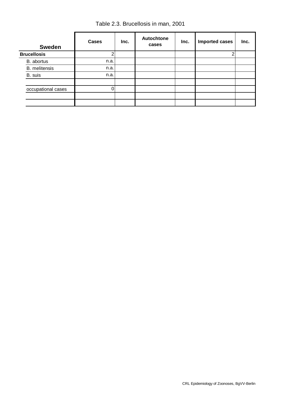Table 2.3. Brucellosis in man, 2001

| <b>Sweden</b>        | <b>Cases</b> | Inc. | <b>Autochtone</b><br>cases | Inc. | <b>Imported cases</b> | Inc. |
|----------------------|--------------|------|----------------------------|------|-----------------------|------|
| <b>Brucellosis</b>   |              |      |                            |      |                       |      |
| B. abortus           | n.a.         |      |                            |      |                       |      |
| <b>B.</b> melitensis | n.a.         |      |                            |      |                       |      |
| B. suis              | n.a.         |      |                            |      |                       |      |
|                      |              |      |                            |      |                       |      |
| occupational cases   | 0            |      |                            |      |                       |      |
|                      |              |      |                            |      |                       |      |
|                      |              |      |                            |      |                       |      |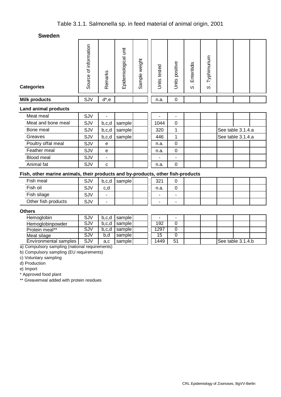| <b>Categories</b>           | Source of information | Remarks  | Epidemiological unit | ample weight<br>$\omega$ | Units tested | positive<br>Units | Enteritidis<br>S | Typhimurium<br>$\infty$ |                   |  |
|-----------------------------|-----------------------|----------|----------------------|--------------------------|--------------|-------------------|------------------|-------------------------|-------------------|--|
| <b>Milk products</b>        | SJV                   | $d^*$ ,e |                      |                          | n.a.         | 0                 |                  |                         |                   |  |
| <b>Land animal products</b> |                       |          |                      |                          |              |                   |                  |                         |                   |  |
| Meat meal                   | SJV                   | ۰        |                      |                          |              | ۰                 |                  |                         |                   |  |
| Meat and bone meal          | SJV                   | b,c,d    | sample               |                          | 1044         | 0                 |                  |                         |                   |  |
| Bone meal                   | SJV                   | b,c,d    | sample               |                          | 320          | 1                 |                  |                         | See table 3.1.4.a |  |
| Greaves                     | SJV                   | b,c,d    | sample               |                          | 446          | 1                 |                  |                         | See table 3.1.4.a |  |
| Poultry offal meal          | SJV                   | e        |                      |                          | n.a.         | $\mathbf 0$       |                  |                         |                   |  |
| Feather meal                | SJV                   | e        |                      |                          | n.a.         | $\mathbf 0$       |                  |                         |                   |  |
| Blood meal                  | SJV                   | ۰        |                      |                          |              | ۰                 |                  |                         |                   |  |
| Animal fat                  | SJV                   | C        |                      |                          | n.a.         | 0                 |                  |                         |                   |  |

# **Fish, other marine animals, their products and by-products, other fish-products**

| Fish meal           | SJV | b,c,d | sample | 321  | ັ                        |  |  |  |
|---------------------|-----|-------|--------|------|--------------------------|--|--|--|
| Fish oil            | SJV | c,d   |        | n.a. |                          |  |  |  |
| Fish silage         | SJV |       |        |      | $\overline{\phantom{a}}$ |  |  |  |
| Other fish products | SJV |       |        |      | -                        |  |  |  |

#### **Others**

| Hemoglobin            | SJV        | b.c.d | I sample l |      | -  |  |                   |  |
|-----------------------|------------|-------|------------|------|----|--|-------------------|--|
| Hemoglobinpowder      | SJV        | b.c.d | samplel    | 192  |    |  |                   |  |
| Protein meal**        | SJV        | b.c.d | samplel    | 1297 |    |  |                   |  |
| Meat silage           | SJV        | b.d   | sample     | 15   |    |  |                   |  |
| Environmental samples | <b>SJV</b> | a,c   | sample     | 1449 | 51 |  | See table 3.1.4.b |  |

a) Compulsory sampling (national requirements) b) Compulsory sampling (EU requirements)

c) Voluntary sampling d) Production

e) Import

\* Approved food plant

\*\* Greavemeal added with protein residues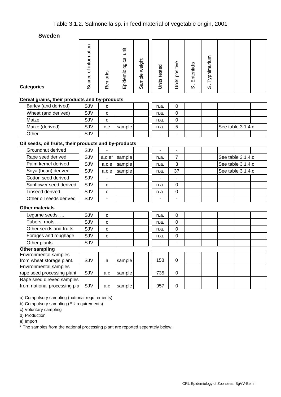| <b>Categories</b>                                     | Source of information | Remarks                  | Epidemiological unit | Sample weight | Units tested | Units positive | Enteritidis<br>$\infty$ | S. Typhimurium |                   |  |
|-------------------------------------------------------|-----------------------|--------------------------|----------------------|---------------|--------------|----------------|-------------------------|----------------|-------------------|--|
| Cereal grains, their products and by-products         |                       |                          |                      |               |              |                |                         |                |                   |  |
| Barley (and derived)                                  | SJV                   | С                        |                      |               | n.a.         | 0              |                         |                |                   |  |
| Wheat (and derived)                                   | SJV                   | C                        |                      |               | n.a.         | $\mathbf 0$    |                         |                |                   |  |
| Maize                                                 | SJV                   | $\mathbf C$              |                      |               | n.a.         | 0              |                         |                |                   |  |
| Maize (derived)                                       | SJV                   | c,e                      | sample               |               | n.a.         | 5              |                         |                | See table 3.1.4.c |  |
| Other                                                 | SJV                   |                          |                      |               |              | $\blacksquare$ |                         |                |                   |  |
| Oil seeds, oil fruits, their products and by-products |                       |                          |                      |               |              |                |                         |                |                   |  |
| Groundnut derived                                     | SJV                   |                          |                      |               |              |                |                         |                |                   |  |
| Rape seed derived                                     | SJV                   | $a,c,e^*$                | sample               |               | n.a.         | $\overline{7}$ |                         |                | See table 3.1.4.c |  |
| Palm kernel derived                                   | SJV                   | a,c,e                    | sample               |               | n.a.         | 3              |                         |                | See table 3.1.4.c |  |
| Soya (bean) derived                                   | SJV                   | a,c,e                    | sample               |               | n.a.         | 37             |                         |                | See table 3.1.4.c |  |
| Cotton seed derived                                   | SJV                   |                          |                      |               |              |                |                         |                |                   |  |
| Sunflower seed derived                                | SJV                   | $\mathbf C$              |                      |               | n.a.         | 0              |                         |                |                   |  |
| Linseed derived                                       | SJV                   | С                        |                      |               | n.a.         | $\pmb{0}$      |                         |                |                   |  |
| Other oil seeds derived                               | SJV                   |                          |                      |               |              |                |                         |                |                   |  |
| <b>Other materials</b>                                |                       |                          |                      |               |              |                |                         |                |                   |  |
| Legume seeds,                                         | SJV                   | C                        |                      |               | n.a.         | 0              |                         |                |                   |  |
| Tubers, roots,                                        | SJV                   | С                        |                      |               | n.a.         | 0              |                         |                |                   |  |
| Other seeds and fruits                                | SJV                   | C                        |                      |               | n.a.         | 0              |                         |                |                   |  |
| Forages and roughage                                  | SJV                   | С                        |                      |               | n.a.         | 0              |                         |                |                   |  |
| Other plants,                                         | SJV                   | $\overline{\phantom{a}}$ |                      |               |              |                |                         |                |                   |  |
| Other sampling                                        |                       |                          |                      |               |              |                |                         |                |                   |  |
| Environmental samples                                 |                       |                          |                      |               |              |                |                         |                |                   |  |
| from wheat storage plant.<br>Environmental samples    | SJV                   | a                        | sample               |               | 158          | 0              |                         |                |                   |  |
| rape seed processing plant                            | SJV                   | a,c                      | sample               |               | 735          | 0              |                         |                |                   |  |
| Rape seed direved samples                             |                       |                          |                      |               |              |                |                         |                |                   |  |
| from national processing pla                          | SJV                   | a,c                      | sample               |               | 957          | $\pmb{0}$      |                         |                |                   |  |

a) Compulsory sampling (national requirements)

b) Compulsory sampling (EU requirements)

c) Voluntary sampling

d) Production

e) Import

\* The samples from the national processing plant are reported seperately below.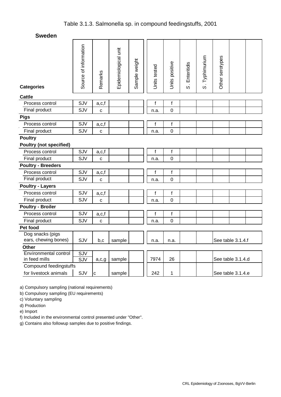| <b>Categories</b>              | Source of information | Remarks     | Epidemiological unit | Sample weight | Units tested | Units positive | S. Enteritidis | S. Typhimurium | Other serotypes |                   |  |
|--------------------------------|-----------------------|-------------|----------------------|---------------|--------------|----------------|----------------|----------------|-----------------|-------------------|--|
| <b>Cattle</b>                  |                       |             |                      |               |              |                |                |                |                 |                   |  |
| Process control                | SJV                   | a,c,f       |                      |               | f            | $\mathsf f$    |                |                |                 |                   |  |
| Final product                  | SJV                   | C           |                      |               | n.a.         | $\mathbf 0$    |                |                |                 |                   |  |
| <b>Pigs</b>                    |                       |             |                      |               |              |                |                |                |                 |                   |  |
| Process control                | SJV                   | a,c,f       |                      |               | $\mathsf{f}$ | $\mathsf f$    |                |                |                 |                   |  |
| Final product                  | SJV                   | $\mathbf c$ |                      |               | n.a.         | $\mathbf 0$    |                |                |                 |                   |  |
| <b>Poultry</b>                 |                       |             |                      |               |              |                |                |                |                 |                   |  |
| <b>Poultry (not specified)</b> |                       |             |                      |               |              |                |                |                |                 |                   |  |
| Process control                | SJV                   | a,c,f       |                      |               | f            | $\mathsf f$    |                |                |                 |                   |  |
| Final product                  | SJV                   | c           |                      |               | n.a.         | $\overline{0}$ |                |                |                 |                   |  |
| <b>Poultry - Breeders</b>      |                       |             |                      |               |              |                |                |                |                 |                   |  |
| Process control                | SJV                   | a,c,f       |                      |               | f            | $\mathsf f$    |                |                |                 |                   |  |
| Final product                  | SJV                   | C           |                      |               | n.a.         | $\mathbf 0$    |                |                |                 |                   |  |
| <b>Poultry - Layers</b>        |                       |             |                      |               |              |                |                |                |                 |                   |  |
| Process control                | SJV                   | a,c,f       |                      |               | f            | f              |                |                |                 |                   |  |
| Final product                  | SJV                   | C           |                      |               | n.a.         | $\overline{0}$ |                |                |                 |                   |  |
| <b>Poultry - Broiler</b>       |                       |             |                      |               |              |                |                |                |                 |                   |  |
| Process control                | SJV                   | a,c,f       |                      |               | f            | f              |                |                |                 |                   |  |
| Final product                  | SJV                   | C           |                      |               | n.a.         | $\mathbf 0$    |                |                |                 |                   |  |
| Pet food                       |                       |             |                      |               |              |                |                |                |                 |                   |  |
| Dog snacks (pigs               |                       |             |                      |               |              |                |                |                |                 |                   |  |
| ears, chewing bones)           | SJV                   | b,c         | sample               |               | n.a.         | n.a.           |                |                |                 | See table 3.1.4.f |  |
| <b>Other</b>                   |                       |             |                      |               |              |                |                |                |                 |                   |  |
| <b>Environmental control</b>   | <b>SJV</b>            |             |                      |               |              |                |                |                |                 |                   |  |
| in feed mills                  | $\overline{SJV}$      | a,c,g       | sample               |               | 7974         | 26             |                |                |                 | See table 3.1.4.d |  |
| Compound feedingstuffs         |                       |             |                      |               |              |                |                |                |                 |                   |  |
| for livestock animals          | SJV                   | $\mathbf C$ | sample               |               | 242          | 1              |                |                |                 | See table 3.1.4.e |  |

a) Compulsory sampling (national requirements)

b) Compulsory sampling (EU requirements)

c) Voluntary sampling

d) Production

e) Import

f) Included in the environmental control presented under "Other".

g) Contains also followup samples due to positive findings.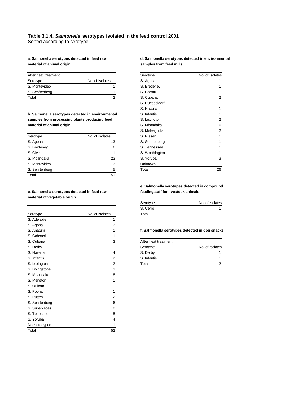#### **Table 3.1.4.** *Salmonella* **serotypes isolated in the feed control 2001**

Sorted according to serotype.

material of animal origin **notational state of animal origin** samples from feed mills

| After heat treatment |                 | Serotype    | No. of isolates |
|----------------------|-----------------|-------------|-----------------|
| Serotype             | No. of isolates | S. Agona    |                 |
| S. Montevideo        |                 | S. Bredeney |                 |
| S. Senftenberg       |                 | S. Carrau   |                 |
| Total                |                 | S. Cubana   | $\mathcal{L}$   |

**b. Salmonella serotypes detected in environmental** samples from processing plants producing feed material of animal origin

| Serotype       | No. of isolates | S. Rissen      |    |
|----------------|-----------------|----------------|----|
| S. Agona       | 13              | S. Senftenberg |    |
| S. Bredeney    | 6               | S. Tennessee   |    |
| S. Give        |                 | S. Worthington |    |
| S. Mbandaka    | 23              | S. Yoruba      | 3  |
| S. Montevideo  | 3               | Unknown        |    |
| S. Senftenberg | 5               | Total          | 26 |
| Total          | 51              |                |    |

#### **c. Salmonella serotypes detected in feed raw feedingstuff for livestock animals material of vegetable origin**

|                |                 | o. vanv              |                                               |
|----------------|-----------------|----------------------|-----------------------------------------------|
| Serotype       | No. of isolates | Total                | 1                                             |
| S. Adelaide    |                 |                      |                                               |
| S. Agona       | 3               |                      |                                               |
| S. Anatum      |                 |                      | f. Salmonella serotypes detected in dog snack |
| S. Cabanai     |                 |                      |                                               |
| S. Cubana      | 3               | After heat treatment |                                               |
| S. Derby       |                 | Serotype             | No. of isolates                               |
| S. Havana      | 4               | S. Derby             | 1.                                            |
| S. Infantis    | 2               | S. Infantis          | 1                                             |
| S. Lexington   | 2               | Total                | $\overline{2}$                                |
| S. Livingstone | 3               |                      |                                               |
| S. Mbandaka    | 8               |                      |                                               |
| S. Menston     |                 |                      |                                               |
| S. Oukam       |                 |                      |                                               |
| S. Poona       |                 |                      |                                               |
| S. Putten      | 2               |                      |                                               |
| S. Senftenberg | 6               |                      |                                               |
| S. Subspieces  | 2               |                      |                                               |
| S. Tenessee    | 5               |                      |                                               |
| S. Yoruba      | 4               |                      |                                               |
| Not sero typed |                 |                      |                                               |
| Total          | 52              |                      |                                               |
|                |                 |                      |                                               |

# a. Salmonella serotypes detected in feed raw **d. Salmonella serotypes detected in environmental**

| Serotype       | No. of isolates |
|----------------|-----------------|
| S. Agona       | 1               |
| S. Bredeney    | 1               |
| S. Carrau      | 1               |
| S. Cubana      | 2               |
| S. Duesseldorf | 1               |
| S. Havana      | 1               |
| S. Infantis    | 1               |
| S. Lexington   | 2               |
| S. Mbandaka    | 6               |
| S. Meleagridis | 2               |
| S. Rissen      | 1               |
| S. Senftenberg | 1               |
| S. Tennessee   | 1               |
| S. Worthington | 1               |
| S. Yoruba      | 3               |
| Unknown        | 1               |
| Total          | 26              |

# **e. Salmonella serotypes detected in compound**

| Serotype | No. of isolates |
|----------|-----------------|
| S. Cerro |                 |
| Total    |                 |

#### f. Salmonella serotypes detected in dog snacks

| After heat treatment |                 |
|----------------------|-----------------|
| Serotype             | No. of isolates |
| S. Derby             |                 |
| S. Infantis          |                 |
| Total                |                 |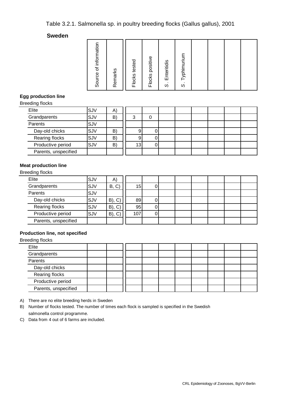# Table 3.2.1. Salmonella sp. in poultry breeding flocks (Gallus gallus), 2001

#### **Sweden**

| Source of information |         | Flocks tested | Flocks positive | S. Enteritidis | Typhimurium         |  |  |
|-----------------------|---------|---------------|-----------------|----------------|---------------------|--|--|
|                       | Remarks |               |                 |                | $\dot{\mathcal{S}}$ |  |  |

### **Egg production line**

Breeding flocks

| Elite                | SJV | A  |                 |  |  |  |  |
|----------------------|-----|----|-----------------|--|--|--|--|
| Grandparents         | SJV | B) | 3               |  |  |  |  |
| Parents              | SJV |    |                 |  |  |  |  |
| Day-old chicks       | SJV | B) | 9               |  |  |  |  |
| Rearing flocks       | SJV | B) | 9               |  |  |  |  |
| Productive period    | SJV | B) | 13 <sub>1</sub> |  |  |  |  |
| Parents, unspecified |     |    |                 |  |  |  |  |
|                      |     |    |                 |  |  |  |  |

### **Meat production line**

Breeding flocks

| Elite                | SJV | A)          |     |   |  |  |  |
|----------------------|-----|-------------|-----|---|--|--|--|
| Grandparents         | SJV | B, C        | 15  | υ |  |  |  |
| Parents              | SJV |             |     |   |  |  |  |
| Day-old chicks       | SJV | $B)$ , $C)$ | 89  |   |  |  |  |
| Rearing flocks       | SJV | $B)$ , $C)$ | 95  |   |  |  |  |
| Productive period    | SJV | $B)$ , $C)$ | 107 |   |  |  |  |
| Parents, unspecified |     |             |     |   |  |  |  |

### **Production line, not specified**

Breeding flocks

| Elite                |  |  |  |  |  |
|----------------------|--|--|--|--|--|
| Grandparents         |  |  |  |  |  |
| Parents              |  |  |  |  |  |
| Day-old chicks       |  |  |  |  |  |
| Rearing flocks       |  |  |  |  |  |
| Productive period    |  |  |  |  |  |
| Parents, unspecified |  |  |  |  |  |

A) There are no elite breeding herds in Sweden

B) Number of flocks tested. The number of times each flock is sampled is specified in the Swedish salmonella control programme.

C) Data from 4 out of 6 farms are included.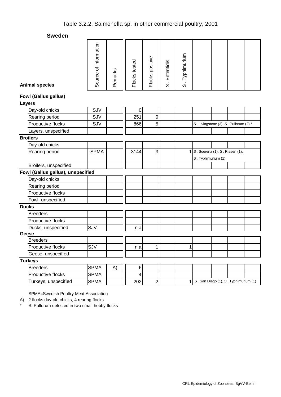| <b>Animal species</b>             | Source of information | Remarks | Flocks tested | Flocks positive | Enteritidis<br>$\ddot{\circ}$ | S. Typhimurium |                                       |  |  |  |
|-----------------------------------|-----------------------|---------|---------------|-----------------|-------------------------------|----------------|---------------------------------------|--|--|--|
| <b>Fowl (Gallus gallus)</b>       |                       |         |               |                 |                               |                |                                       |  |  |  |
| <b>Layers</b>                     |                       |         |               |                 |                               |                |                                       |  |  |  |
| Day-old chicks                    | SJV                   |         | $\mathbf 0$   |                 |                               |                |                                       |  |  |  |
| Rearing period                    | SJV                   |         | 251           | $\mathbf 0$     |                               |                |                                       |  |  |  |
| Productive flocks                 | SJV                   |         | 866           | 5               |                               |                | S. Livingstone (3), S. Pullorum (2) * |  |  |  |
| Layers, unspecified               |                       |         |               |                 |                               |                |                                       |  |  |  |
| <b>Broilers</b>                   |                       |         |               |                 |                               |                |                                       |  |  |  |
| Day-old chicks                    |                       |         |               |                 |                               |                |                                       |  |  |  |
| Rearing period                    | <b>SPMA</b>           |         | 3144          | 3               |                               | 1              | S. Soerena (1), S. Rissen (1),        |  |  |  |
|                                   |                       |         |               |                 |                               |                | S. Typhimurium (1)                    |  |  |  |
| Broilers, unspecified             |                       |         |               |                 |                               |                |                                       |  |  |  |
| Fowl (Gallus gallus), unspecified |                       |         |               |                 |                               |                |                                       |  |  |  |
| Day-old chicks                    |                       |         |               |                 |                               |                |                                       |  |  |  |
| Rearing period                    |                       |         |               |                 |                               |                |                                       |  |  |  |
| Productive flocks                 |                       |         |               |                 |                               |                |                                       |  |  |  |
| Fowl, unspecified                 |                       |         |               |                 |                               |                |                                       |  |  |  |
| <b>Ducks</b>                      |                       |         |               |                 |                               |                |                                       |  |  |  |
| <b>Breeders</b>                   |                       |         |               |                 |                               |                |                                       |  |  |  |
| Productive flocks                 |                       |         |               |                 |                               |                |                                       |  |  |  |
| Ducks, unspecified                | SJV                   |         | n.a           |                 |                               |                |                                       |  |  |  |
| Geese                             |                       |         |               |                 |                               |                |                                       |  |  |  |
| <b>Breeders</b>                   |                       |         |               |                 |                               |                |                                       |  |  |  |
| Productive flocks                 | SJV                   |         | n.a           | 1               |                               | 1              |                                       |  |  |  |
| Geese, unspecified                |                       |         |               |                 |                               |                |                                       |  |  |  |
| <b>Turkeys</b>                    |                       |         |               |                 |                               |                |                                       |  |  |  |
| <b>Breeders</b>                   | <b>SPMA</b>           | A)      | $\,6$         |                 |                               |                |                                       |  |  |  |
| Productive flocks                 | <b>SPMA</b>           |         | 4             |                 |                               |                |                                       |  |  |  |
| Turkeys, unspecified              | <b>SPMA</b>           |         | 202           | $\overline{2}$  |                               | 1              | S. San Diego (1), S. Typhimurium (1)  |  |  |  |

SPMA=Swedish Poultry Meat Association

A) 2 flocks day-old chicks, 4 rearing flocks

\* S. Pullorum detected in two small hobby flocks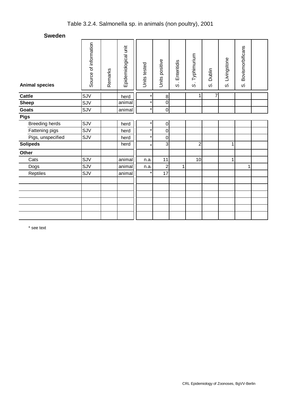| <b>Animal species</b> | Source of information | Remarks | Epidemiological unit | Units tested | Units positive | Enteritidis<br>$\dot{\infty}$ | Typhimurium<br>$\dot{\circ}$ | Dublin<br>တဲ | Livingstone<br>ω, | Bovismorbificans<br>ωj |  |
|-----------------------|-----------------------|---------|----------------------|--------------|----------------|-------------------------------|------------------------------|--------------|-------------------|------------------------|--|
| <b>Cattle</b>         | SJV                   |         | herd                 |              | $\bf8$         |                               | 1                            | 7            |                   |                        |  |
| <b>Sheep</b>          | SJV                   |         | animal               | $\star$      | 0              |                               |                              |              |                   |                        |  |
| Goats                 | SJV                   |         | animal               | $\star$      | $\mathsf 0$    |                               |                              |              |                   |                        |  |
| <b>Pigs</b>           |                       |         |                      |              |                |                               |                              |              |                   |                        |  |
| <b>Breeding herds</b> | SJV                   |         | herd                 | $\star$      | 0              |                               |                              |              |                   |                        |  |
| Fattening pigs        | SJV                   |         | herd                 | $\star$      | $\mathbf 0$    |                               |                              |              |                   |                        |  |
| Pigs, unspecified     | SJV                   |         | herd                 |              | $\mathbf 0$    |                               |                              |              |                   |                        |  |
| <b>Solipeds</b>       |                       |         | herd                 | $\star$      | 3              |                               | $\overline{2}$               |              | $\mathbf{1}$      |                        |  |
| Other                 |                       |         |                      |              |                |                               |                              |              |                   |                        |  |
| Cats                  | SJV                   |         | animal               | n.a.         | 11             |                               | 10                           |              | $\mathbf{1}$      |                        |  |
| Dogs                  | SJV                   |         | animal               | n.a.         | $\overline{c}$ | 1                             |                              |              |                   | 1                      |  |
| Reptiles              | SJV                   |         | animal               |              | 17             |                               |                              |              |                   |                        |  |
|                       |                       |         |                      |              |                |                               |                              |              |                   |                        |  |
|                       |                       |         |                      |              |                |                               |                              |              |                   |                        |  |
|                       |                       |         |                      |              |                |                               |                              |              |                   |                        |  |
|                       |                       |         |                      |              |                |                               |                              |              |                   |                        |  |
|                       |                       |         |                      |              |                |                               |                              |              |                   |                        |  |
|                       |                       |         |                      |              |                |                               |                              |              |                   |                        |  |

\* see text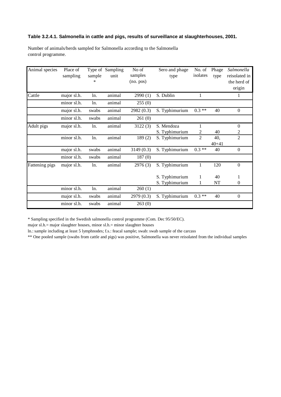#### **Table 3.2.4.1. Salmonella in cattle and pigs, results of surveillance at slaughterhouses, 2001.**

| Animal species | Place of<br>sampling | sample | Type of Sampling<br>unit | No of<br>samples | Sero and phage<br>type | No. of<br>isolates | Phage<br>type | Salmonella<br>reisolated in |
|----------------|----------------------|--------|--------------------------|------------------|------------------------|--------------------|---------------|-----------------------------|
|                |                      | ∗      |                          | (no. pos)        |                        |                    |               | the herd of                 |
|                |                      |        |                          |                  |                        |                    |               | origin                      |
| Cattle         | major sl.h.          | ln.    | animal                   | 2990(1)          | S. Dublin              | 1                  |               | $\bf{l}$                    |
|                | minor sl.h.          | ln.    | animal                   | 255(0)           |                        |                    |               |                             |
|                | major sl.h.          | swabs  | animal                   | 2982(0.3)        | S. Typhimurium         | $0.3**$            | 40            | $\mathbf{0}$                |
|                | minor sl.h.          | swabs  | animal                   | 261(0)           |                        |                    |               |                             |
| Adult pigs     | major sl.h.          | ln.    | animal                   | 3122(3)          | S. Mendoza             | 1                  |               | $\mathbf{0}$                |
|                |                      |        |                          |                  | S. Typhimurium         | 2                  | 40            | 2                           |
|                | minor sl.h.          | ln.    | animal                   | 189(2)           | S. Typhimurium         | $\overline{2}$     | 40,           | $\overline{c}$              |
|                |                      |        |                          |                  |                        |                    | $40 + 41$     |                             |
|                | major sl.h.          | swabs  | animal                   | 3149(0.3)        | S. Typhimurium         | $0.3**$            | 40            | $\mathbf{0}$                |
|                | minor sl.h.          | swabs  | animal                   | 187(0)           |                        |                    |               |                             |
| Fattening pigs | major sl.h.          | ln.    | animal                   | 2976 (3)         | S. Typhimurium         | $\mathbf{1}$       | 120           | $\boldsymbol{0}$            |
|                |                      |        |                          |                  |                        |                    |               |                             |
|                |                      |        |                          |                  | S. Typhimurium         | 1                  | 40            | 1                           |
|                |                      |        |                          |                  | S. Typhimurium         | 1                  | NT            | $\mathbf{0}$                |
|                | minor sl.h.          | ln.    | animal                   | 260(1)           |                        |                    |               |                             |
|                | major sl.h.          | swabs  | animal                   | 2979 (0.3)       | S. Typhimurium         | $0.3**$            | 40            | $\mathbf{0}$                |
|                | minor sl.h.          | swabs  | animal                   | 263(0)           |                        |                    |               |                             |

Number of animals/herds sampled for Salmonella according to the Salmonella control programme.

\* Sampling specified in the Swedish salmonella control programme (Com. Dec 95/50/EC).

major sl.h.= major slaughter houses, minor sl.h.= minor slaughter houses

ln.: sample including at least 5 lymphnodes; f.s.: feacal sample; swab: swab sample of the carcass

\*\* One pooled sample (swabs from cattle and pigs) was positive, Salmonella was never reisolated from the individual samples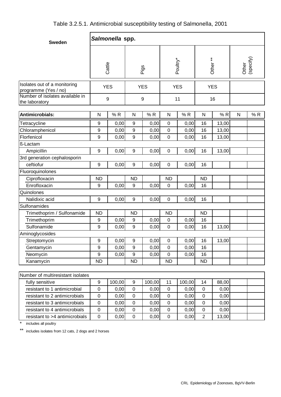| <b>Sweden</b>                                                                           |                  | Salmonella spp. |                  |            |                |            |                     |       |              |                    |
|-----------------------------------------------------------------------------------------|------------------|-----------------|------------------|------------|----------------|------------|---------------------|-------|--------------|--------------------|
|                                                                                         | Cattle           |                 |                  | Pigs       |                | Poultry*   | Other <sup>**</sup> |       |              | Other<br>(specify) |
| Isolates out of a monitoring<br>programme (Yes / no)<br>Number of isolates available in | <b>YES</b>       |                 |                  | <b>YES</b> |                | <b>YES</b> | <b>YES</b>          |       |              |                    |
| the laboratory                                                                          | $\boldsymbol{9}$ |                 |                  | 9          |                | 11         |                     | 16    |              |                    |
| Antimicrobials:                                                                         | N                | %R              | $\mathsf{N}$     | %R         | N              | %R         | $\mathsf{N}$        | %R    | $\mathsf{N}$ | %R                 |
| Tetracycline                                                                            | $\boldsymbol{9}$ | 0,00            | 9                | 0,00       | $\mathbf 0$    | 0,00       | 16                  | 13,00 |              |                    |
| Chloramphenicol                                                                         | $\boldsymbol{9}$ | 0,00            | 9                | 0,00       | $\mathbf 0$    | 0,00       | 16                  | 13,00 |              |                    |
| Florfenicol                                                                             | 9                | 0,00            | 9                | 0,00       | $\mathbf 0$    | 0,00       | 16                  | 13,00 |              |                    |
| ß-Lactam                                                                                |                  |                 |                  |            |                |            |                     |       |              |                    |
| Ampicillin                                                                              | $\boldsymbol{9}$ | 0,00            | $\boldsymbol{9}$ | 0,00       | $\mathbf 0$    | 0,00       | 16                  | 13,00 |              |                    |
| 3rd generation cephalosporin                                                            |                  |                 |                  |            |                |            |                     |       |              |                    |
| ceftiofur                                                                               | $9\,$            | 0,00            | 9                | 0,00       | $\mathbf 0$    | 0,00       | 16                  |       |              |                    |
| Fluoroquinolones                                                                        |                  |                 |                  |            |                |            |                     |       |              |                    |
| Ciprofloxacin                                                                           | <b>ND</b>        |                 | <b>ND</b>        |            | <b>ND</b>      |            | <b>ND</b>           |       |              |                    |
| Enrofloxacin                                                                            | 9                | 0,00            | 9                | 0,00       | $\mathbf 0$    | 0,00       | 16                  |       |              |                    |
| Quinolones                                                                              |                  |                 |                  |            |                |            |                     |       |              |                    |
| Nalidixic acid                                                                          | 9                | 0,00            | 9                | 0,00       | $\mathbf 0$    | 0,00       | 16                  |       |              |                    |
| Sulfonamides                                                                            |                  |                 |                  |            |                |            |                     |       |              |                    |
| Trimethoprim / Sulfonamide                                                              | <b>ND</b>        |                 | <b>ND</b>        |            | <b>ND</b>      |            | <b>ND</b>           |       |              |                    |
| Trimethoprim                                                                            | 9                | 0,00            | 9                | 0,00       | $\mathbf 0$    | 0,00       | 16                  |       |              |                    |
| Sulfonamide                                                                             | 9                | 0,00            | 9                | 0,00       | $\overline{0}$ | 0,00       | 16                  | 13,00 |              |                    |
| Aminoglycosides                                                                         |                  |                 |                  |            |                |            |                     |       |              |                    |
| Streptomycin                                                                            | $\boldsymbol{9}$ | 0,00            | 9                | 0,00       | $\pmb{0}$      | 0,00       | 16                  | 13,00 |              |                    |
| Gentamycin                                                                              | 9                | 0,00            | 9                | 0,00       | $\mathbf 0$    | 0,00       | 16                  |       |              |                    |
| Neomycin                                                                                | $\boldsymbol{9}$ | 0,00            | 9                | 0,00       | $\pmb{0}$      | 0,00       | 16                  |       |              |                    |
| Kanamycin                                                                               | <b>ND</b>        |                 | <b>ND</b>        |            | <b>ND</b>      |            | <b>ND</b>           |       |              |                    |
|                                                                                         |                  |                 |                  |            |                |            |                     |       |              |                    |
| Number of multiresistant isolates                                                       |                  |                 |                  |            |                |            |                     |       |              |                    |
| fully sensitive                                                                         | $\boldsymbol{9}$ | 100,00          | 9                | 100,00     | 11             | 100,00     | 14                  | 88,00 |              |                    |
| resistant to 1 antimicrobial                                                            | $\pmb{0}$        | 0,00            | $\pmb{0}$        | 0,00       | $\pmb{0}$      | 0,00       | $\pmb{0}$           | 0,00  |              |                    |
| resistant to 2 antimicrobials                                                           | $\pmb{0}$        | 0,00            | $\mathsf 0$      | 0,00       | $\pmb{0}$      | 0,00       | $\pmb{0}$           | 0,00  |              |                    |
| resistant to 3 antimicrobials                                                           | $\pmb{0}$        | 0,00            | $\mathbf 0$      | 0,00       | $\mathbf 0$    | 0,00       | $\pmb{0}$           | 0,00  |              |                    |
| resistant to 4 antimicrobials                                                           | $\pmb{0}$        | 0,00            | $\pmb{0}$        | 0,00       | $\pmb{0}$      | 0,00       | $\pmb{0}$           | 0,00  |              |                    |
| resistant to >4 antimicrobials                                                          | $\pmb{0}$        | 0,00            | $\pmb{0}$        | 0,00       | $\pmb{0}$      | 0,00       | $\overline{2}$      | 13,00 |              |                    |

\* includes all poultry

\*\* includes isolates from 12 cats, 2 dogs and 2 horses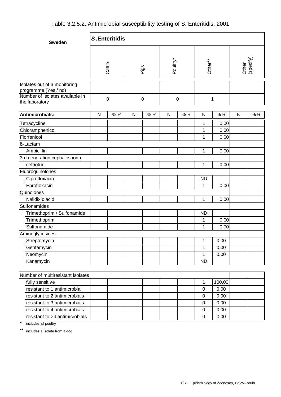| <b>Sweden</b>                                                                           | <b>S.Enteritidis</b> |    |           |      |             |    |              |        |                    |    |  |  |  |
|-----------------------------------------------------------------------------------------|----------------------|----|-----------|------|-------------|----|--------------|--------|--------------------|----|--|--|--|
|                                                                                         | Cattle               |    |           | Pigs | Poultry*    |    | Other**      |        | Other<br>(specify) |    |  |  |  |
| Isolates out of a monitoring<br>programme (Yes / no)<br>Number of isolates available in | $\pmb{0}$            |    | $\pmb{0}$ |      | $\mathbf 0$ |    | 1            |        |                    |    |  |  |  |
| the laboratory                                                                          |                      |    |           |      |             |    |              |        |                    |    |  |  |  |
| Antimicrobials:                                                                         | ${\sf N}$            | %R | ${\sf N}$ | %R   | ${\sf N}$   | %R | ${\sf N}$    | %R     | ${\sf N}$          | %R |  |  |  |
| Tetracycline                                                                            |                      |    |           |      |             |    | 1            | 0,00   |                    |    |  |  |  |
| Chloramphenicol                                                                         |                      |    |           |      |             |    | 1            | 0,00   |                    |    |  |  |  |
| Florfenicol                                                                             |                      |    |           |      |             |    | 1            | 0,00   |                    |    |  |  |  |
| ß-Lactam                                                                                |                      |    |           |      |             |    |              |        |                    |    |  |  |  |
| Ampicillin                                                                              |                      |    |           |      |             |    | 1            | 0,00   |                    |    |  |  |  |
| 3rd generation cephalosporin                                                            |                      |    |           |      |             |    |              |        |                    |    |  |  |  |
| ceftiofur                                                                               |                      |    |           |      |             |    | 1            | 0,00   |                    |    |  |  |  |
| Fluoroquinolones                                                                        |                      |    |           |      |             |    |              |        |                    |    |  |  |  |
| Ciprofloxacin                                                                           |                      |    |           |      |             |    | <b>ND</b>    |        |                    |    |  |  |  |
| Enrofloxacin                                                                            |                      |    |           |      |             |    | 1            | 0,00   |                    |    |  |  |  |
| Quinolones                                                                              |                      |    |           |      |             |    |              |        |                    |    |  |  |  |
| Nalidixic acid                                                                          |                      |    |           |      |             |    | $\mathbf{1}$ | 0,00   |                    |    |  |  |  |
| Sulfonamides                                                                            |                      |    |           |      |             |    |              |        |                    |    |  |  |  |
| Trimethoprim / Sulfonamide                                                              |                      |    |           |      |             |    | <b>ND</b>    |        |                    |    |  |  |  |
| Trimethoprim                                                                            |                      |    |           |      |             |    | 1            | 0,00   |                    |    |  |  |  |
| Sulfonamide                                                                             |                      |    |           |      |             |    | 1            | 0,00   |                    |    |  |  |  |
| Aminoglycosides                                                                         |                      |    |           |      |             |    |              |        |                    |    |  |  |  |
| Streptomycin                                                                            |                      |    |           |      |             |    | 1            | 0,00   |                    |    |  |  |  |
| Gentamycin                                                                              |                      |    |           |      |             |    | $\mathbf 1$  | 0,00   |                    |    |  |  |  |
| Neomycin                                                                                |                      |    |           |      |             |    | 1            | 0,00   |                    |    |  |  |  |
| Kanamycin                                                                               |                      |    |           |      |             |    | <b>ND</b>    |        |                    |    |  |  |  |
|                                                                                         |                      |    |           |      |             |    |              |        |                    |    |  |  |  |
| Number of multiresistant isolates                                                       |                      |    |           |      |             |    |              |        |                    |    |  |  |  |
| fully sensitive                                                                         |                      |    |           |      |             |    | $\mathbf 1$  | 100,00 |                    |    |  |  |  |
| resistant to 1 antimicrobial                                                            |                      |    |           |      |             |    | 0            | 0,00   |                    |    |  |  |  |
| resistant to 2 antimicrobials                                                           |                      |    |           |      |             |    | $\pmb{0}$    | 0,00   |                    |    |  |  |  |
| resistant to 3 antimicrobials                                                           |                      |    |           |      |             |    | $\pmb{0}$    | 0,00   |                    |    |  |  |  |

resistant to 4 antimicrobials **1 0 0,00** resistant to >4 antimicrobials **0** 0,00

\* includes all poultry

\*\* includes 1 isolate from a dog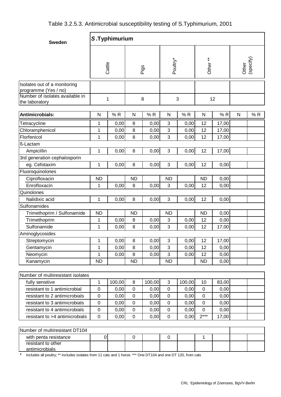| Table 3.2.5.3. Antimicrobial susceptibility testing of S. Typhimurium, 2001 |
|-----------------------------------------------------------------------------|
|-----------------------------------------------------------------------------|

| <b>Sweden</b>                                                                           | S.Typhimurium    |        |             |        |                      |        |                   |       |                    |     |  |
|-----------------------------------------------------------------------------------------|------------------|--------|-------------|--------|----------------------|--------|-------------------|-------|--------------------|-----|--|
|                                                                                         | Cattle           |        |             | Pigs   | Poultry*             |        | Other**           |       | Other<br>(specify) |     |  |
| Isolates out of a monitoring<br>programme (Yes / no)<br>Number of isolates available in | 1                |        |             | 8      |                      | 3      |                   | 12    |                    |     |  |
| the laboratory                                                                          |                  |        |             |        |                      |        |                   |       |                    |     |  |
| Antimicrobials:                                                                         | $\mathsf{N}$     | %R     | N           | %R     | N                    | %R     | N                 | %R    | N                  | % R |  |
| Tetracycline                                                                            | 1                | 0,00   | 8           | 0,00   | 3                    | 0,00   | 12                | 17,00 |                    |     |  |
| Chloramphenicol                                                                         | 1                | 0,00   | 8           | 0,00   | 3                    | 0,00   | 12                | 17,00 |                    |     |  |
| Florfenicol                                                                             | 1                | 0,00   | 8           | 0,00   | 3                    | 0,00   | 12                | 17,00 |                    |     |  |
| ß-Lactam                                                                                |                  |        |             |        |                      |        |                   |       |                    |     |  |
| Ampicillin                                                                              | 1                | 0,00   | 8           | 0,00   | 3                    | 0,00   | 12                | 17,00 |                    |     |  |
| 3rd generation cephalosporin                                                            |                  |        |             |        |                      |        |                   |       |                    |     |  |
| eg. Cefotaxim                                                                           | 1                | 0,00   | 8           | 0,00   | 3                    | 0,00   | 12                | 0,00  |                    |     |  |
| Fluoroquinolones                                                                        |                  |        |             |        |                      |        |                   |       |                    |     |  |
| Ciprofloxacin                                                                           | <b>ND</b>        |        | <b>ND</b>   |        | <b>ND</b>            |        | <b>ND</b><br>0,00 |       |                    |     |  |
| Enrofloxacin                                                                            | 1                | 0,00   | 8           | 0,00   | 3<br>0,00            |        | 12<br>0,00        |       |                    |     |  |
| Quinolones                                                                              |                  |        |             |        |                      |        |                   |       |                    |     |  |
| Nalidixic acid                                                                          | 1                | 0,00   | 8<br>0,00   |        | $\mathbf{3}$<br>0,00 |        | 12<br>0,00        |       |                    |     |  |
| Sulfonamides                                                                            |                  |        |             |        |                      |        |                   |       |                    |     |  |
| Trimethoprim / Sulfonamide                                                              | <b>ND</b>        |        | <b>ND</b>   |        | <b>ND</b>            |        | <b>ND</b>         | 0,00  |                    |     |  |
| Trimethoprim                                                                            | 1                | 0,00   | 8           | 0,00   | 3                    | 0,00   | 12                | 0,00  |                    |     |  |
| Sulfonamide                                                                             | 1                | 0,00   | 8           | 0,00   | 3                    | 0,00   | 12                | 17,00 |                    |     |  |
| Aminoglycosides                                                                         |                  |        |             |        |                      |        |                   |       |                    |     |  |
| Streptomycin                                                                            | 1                | 0,00   | 8           | 0,00   | 3                    | 0,00   | 12                | 17,00 |                    |     |  |
| Gentamycin                                                                              | 1                | 0,00   | 8           | 0,00   | 3                    | 0,00   | 12                | 0,00  |                    |     |  |
| Neomycin                                                                                | 1                | 0,00   | 8           | 0,00   | 3                    | 0,00   | 12                | 0,00  |                    |     |  |
| Kanamycin                                                                               | <b>ND</b>        |        | <b>ND</b>   |        | <b>ND</b>            |        | <b>ND</b>         | 0,00  |                    |     |  |
|                                                                                         |                  |        |             |        |                      |        |                   |       |                    |     |  |
| Number of multiresistant isolates                                                       |                  |        |             |        |                      |        |                   |       |                    |     |  |
| fully sensitive                                                                         | 1                | 100,00 | $\, 8$      | 100,00 | 3                    | 100,00 | 10                | 83,00 |                    |     |  |
| resistant to 1 antimicrobial                                                            | $\mathbf 0$      | 0,00   | $\mathbf 0$ | 0,00   | $\mathbf 0$          | 0,00   | $\mathbf 0$       | 0,00  |                    |     |  |
| resistant to 2 antimicrobials                                                           | $\mathbf 0$      | 0,00   | $\pmb{0}$   | 0,00   | $\pmb{0}$            | 0,00   | $\pmb{0}$         | 0,00  |                    |     |  |
| resistant to 3 antimicrobials                                                           | $\mathbf 0$      | 0,00   | $\mathbf 0$ | 0,00   | $\mathbf 0$          | 0,00   | $\pmb{0}$         | 0,00  |                    |     |  |
| resistant to 4 antimicrobials                                                           | $\mathbf 0$      | 0,00   | $\pmb{0}$   | 0,00   | $\pmb{0}$            | 0,00   | $\pmb{0}$         | 0,00  |                    |     |  |
| resistant to >4 antimicrobials                                                          | $\mathbf 0$      | 0,00   | $\pmb{0}$   | 0,00   | $\mathbf 0$          | 0,00   | $2***$            | 17,00 |                    |     |  |
| Number of multiresistant DT104                                                          |                  |        |             |        |                      |        |                   |       |                    |     |  |
|                                                                                         |                  |        |             |        |                      |        |                   |       |                    |     |  |
| with penta resistance<br>resistant to other                                             | $\boldsymbol{0}$ |        | $\mathbf 0$ |        | $\pmb{0}$            |        | $\mathbf 1$       |       |                    |     |  |
| antimicrobials                                                                          |                  |        |             |        |                      |        |                   |       |                    |     |  |

\* includes all poultry; \*\* includes isolates from 11 cats and 1 horse. \*\*\* One DT104 and one DT 120, from cats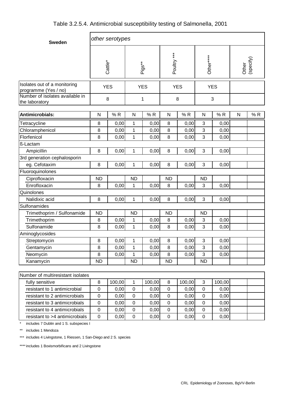| Table 3.2.5.4. Antimicrobial susceptibility testing of Salmonella, 2001 |  |  |  |
|-------------------------------------------------------------------------|--|--|--|
|-------------------------------------------------------------------------|--|--|--|

| <b>Sweden</b>                                        | other serotypes |                     |              |            |             |            |            |        |              |                    |  |  |
|------------------------------------------------------|-----------------|---------------------|--------------|------------|-------------|------------|------------|--------|--------------|--------------------|--|--|
|                                                      |                 | Cattle <sup>*</sup> |              | Pigs**     | Poultry *** |            | Other****  |        |              | Other<br>(specify) |  |  |
| Isolates out of a monitoring<br>programme (Yes / no) |                 | <b>YES</b>          |              | <b>YES</b> |             | <b>YES</b> | <b>YES</b> |        |              |                    |  |  |
| Number of isolates available in<br>the laboratory    | 8               |                     |              | 1          |             | 8          |            | 3      |              |                    |  |  |
| Antimicrobials:                                      | ${\sf N}$       | %R<br>${\sf N}$     |              | %R         | ${\sf N}$   | %R         | N          | %R     | $\mathsf{N}$ | %R                 |  |  |
| Tetracycline                                         | 8               | 0,00                | 1            | 0,00       | 8           | 0,00       | 3          | 0,00   |              |                    |  |  |
| Chloramphenicol                                      | 8               | 0,00                | 1            | 0,00       | 8           | 0,00       | 3          | 0,00   |              |                    |  |  |
| Florfenicol                                          | 8               | 0,00                | 1            | 0,00       | 8           | 0,00       | 3          | 0,00   |              |                    |  |  |
| ß-Lactam                                             |                 |                     |              |            |             |            |            |        |              |                    |  |  |
| Ampicillin                                           | $\, 8$          | 0,00                | 1            | 0,00       | 8           | 0,00       | 3          | 0,00   |              |                    |  |  |
| 3rd generation cephalosporin                         |                 |                     |              |            |             |            |            |        |              |                    |  |  |
| eg. Cefotaxim                                        | $\, 8$          | 0,00                | 1            | 0,00       | 8           | 0,00       | 3          | 0,00   |              |                    |  |  |
| Fluoroquinolones                                     |                 |                     |              |            |             |            |            |        |              |                    |  |  |
| Ciprofloxacin                                        | <b>ND</b>       |                     | <b>ND</b>    |            | <b>ND</b>   |            | <b>ND</b>  |        |              |                    |  |  |
| Enrofloxacin                                         | 8               | 0,00                | 1            | 0,00       | 8           | 0,00       | 3          | 0,00   |              |                    |  |  |
| Quinolones                                           |                 |                     |              |            |             |            |            |        |              |                    |  |  |
| Nalidixic acid                                       | $\, 8$          | 0,00                | 1            | 0,00       | 8           | 0,00       | 3          | 0,00   |              |                    |  |  |
| Sulfonamides                                         |                 |                     |              |            |             |            |            |        |              |                    |  |  |
| Trimethoprim / Sulfonamide                           | <b>ND</b>       |                     | <b>ND</b>    |            | <b>ND</b>   |            | <b>ND</b>  |        |              |                    |  |  |
| Trimethoprim                                         | 8               | 0,00                | 1            | 0,00       | 8           | 0,00       | 3          | 0,00   |              |                    |  |  |
| Sulfonamide                                          | 8               | 0,00                | 1            | 0,00       | 8           | 0,00       | 3          | 0,00   |              |                    |  |  |
| Aminoglycosides                                      |                 |                     |              |            |             |            |            |        |              |                    |  |  |
| Streptomycin                                         | 8               | 0,00                | $\mathbf{1}$ | 0,00       | 8           | 0,00       | 3          | 0,00   |              |                    |  |  |
| Gentamycin                                           | $\, 8$          | 0,00                | 1            | 0,00       | 8           | 0,00       | 3          | 0,00   |              |                    |  |  |
| Neomycin                                             | $\, 8$          | 0,00                | 1            | 0,00       | 8           | 0,00       | 3          | 0,00   |              |                    |  |  |
| Kanamycin                                            | <b>ND</b>       |                     | <b>ND</b>    |            | <b>ND</b>   |            | <b>ND</b>  |        |              |                    |  |  |
| Number of multiresistant isolates                    |                 |                     |              |            |             |            |            |        |              |                    |  |  |
| fully sensitive                                      | 8               | 100,00              | $\mathbf{1}$ | 100,00     | 8           | 100,00     | 3          | 100,00 |              |                    |  |  |
| resistant to 1 antimicrobial                         | $\mathbf 0$     | 0,00                | $\pmb{0}$    | 0,00       | $\pmb{0}$   | 0,00       | $\pmb{0}$  | 0,00   |              |                    |  |  |
| resistant to 2 antimicrobials                        | $\pmb{0}$       | 0,00                | $\mathbf 0$  | 0,00       | $\mathsf 0$ | 0,00       | $\pmb{0}$  | 0,00   |              |                    |  |  |

resistant to 3 antimicrobials 0 0,00 0 0,00 0 0,00 0 0,00 resistant to 4 antimicrobials 0 0,00 0 0,00 0 0,00 0 0,00 resistant to >4 antimicrobials  $\begin{vmatrix} 0 & 0 & 0 \\ 0 & 0 & 0 \end{vmatrix}$  0,00 0 0,00 0 0,00 0 0,00

includes 7 Dublin and 1 S. subspecies I

\*\* includes 1 Mendoza

\*\*\* includes 4 Livingstone, 1 Riessen, 1 San-Diego and 2 S. species

\*\*\*\* includes 1 Bovismorbificans and 2 Livingstone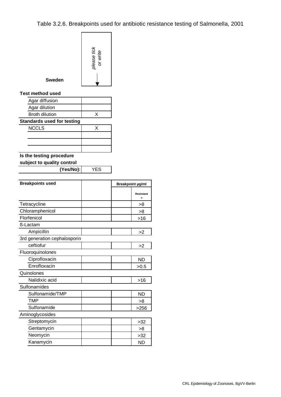|               | please tick<br>or write |
|---------------|-------------------------|
| <b>Sweden</b> |                         |

#### **Test method used**

| Agar diffusion                    |   |
|-----------------------------------|---|
| Agar dilution                     |   |
| <b>Broth dilution</b>             |   |
| <b>Standards used for testing</b> |   |
| <b>NCCLS</b>                      | x |
|                                   |   |
|                                   |   |
|                                   |   |

## **Is the testing procedure**

### **subject to quality control**

**(Yes/No):** YES

| <b>Breakpoints used</b>      | Breakpoint µg/ml |
|------------------------------|------------------|
|                              | <b>Resistant</b> |
| Tetracycline                 | >8               |
| Chloramphenicol              | >8               |
| Florfenicol                  | $>16$            |
| ß-Lactam                     |                  |
| Ampicillin                   | >2               |
| 3rd generation cephalosporin |                  |
| ceftiofur                    | >2               |
| Fluoroquinolones             |                  |
| Ciprofloxacin                | <b>ND</b>        |
| Enrofloxacin                 | >0.5             |
| Quinolones                   |                  |
| Nalidixic acid               | $>16$            |
| Sulfonamides                 |                  |
| Sulfonamide/TMP              | <b>ND</b>        |
| TMP                          | >8               |
| Sulfonamide                  | >256             |
| Aminoglycosides              |                  |
| Streptomycin                 | >32              |
| Gentamycin                   | >8               |
| Neomycin                     | >32              |
| Kanamycin                    | <b>ND</b>        |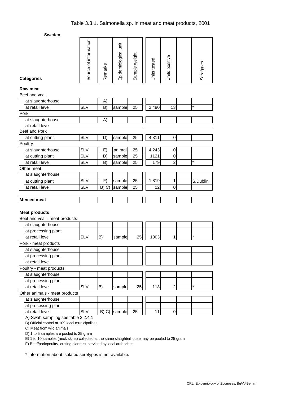| <b>Categories</b>                                     | Source of information | Remarks | Epidemiological unit | Sample weight | Units tested | Units positive   |  |
|-------------------------------------------------------|-----------------------|---------|----------------------|---------------|--------------|------------------|--|
| <b>Raw meat</b><br>Beef and veal                      |                       |         |                      |               |              |                  |  |
| at slaughterhouse                                     |                       | A)      |                      |               |              |                  |  |
| at retail level                                       | <b>SLV</b>            | B)      | sample               | 25            | 2 4 9 0      | 13               |  |
| Pork                                                  |                       |         |                      |               |              |                  |  |
| at slaughterhouse                                     |                       | A)      |                      |               |              |                  |  |
| at retail level                                       |                       |         |                      |               |              |                  |  |
| Beef and Pork                                         |                       |         |                      |               |              |                  |  |
| at cutting plant                                      | <b>SLV</b>            | D)      | sample               | 25            | 4 3 1 1      | $\mathbf 0$      |  |
| Poultry                                               |                       |         |                      |               |              |                  |  |
| at slaughterhouse                                     | <b>SLV</b>            | E)      | animal               | 25            | 4 2 4 3      | $\boldsymbol{0}$ |  |
| at cutting plant                                      | <b>SLV</b>            | D)      | sample               | 25            | 1121         | $\mathbf 0$      |  |
| at retail level                                       | <b>SLV</b>            | B)      | sample               | 25            | 179          | $\overline{2}$   |  |
| Other meat                                            |                       |         |                      |               |              |                  |  |
| at slaughterhouse                                     |                       |         |                      |               |              |                  |  |
| at cutting plant                                      | <b>SLV</b>            | F)      | sample               | 25            | 1819         | 1                |  |
| at retail level                                       | <b>SLV</b>            | B) C)   | sample               | 25            | 12           | 0                |  |
|                                                       |                       |         |                      |               |              |                  |  |
|                                                       |                       |         |                      |               |              |                  |  |
| <b>Minced meat</b>                                    |                       |         |                      |               |              |                  |  |
| <b>Meat products</b><br>Beef and veal - meat products |                       |         |                      |               |              |                  |  |
| at slaughterhouse                                     |                       |         |                      |               |              |                  |  |
| at processing plant                                   |                       |         |                      |               |              |                  |  |
| at retail level                                       | <b>SLV</b>            | B)      | sample               | 25            | 1003         | 1                |  |
| Pork - meat products                                  |                       |         |                      |               |              |                  |  |
| at slaughterhouse                                     |                       |         |                      |               |              |                  |  |
| at processing plant                                   |                       |         |                      |               |              |                  |  |
| at retail level                                       |                       |         |                      |               |              |                  |  |
| Poultry - meat products                               |                       |         |                      |               |              |                  |  |
| at slaughterhouse                                     |                       |         |                      |               |              |                  |  |
| at processing plant                                   |                       |         |                      |               |              |                  |  |
| at retail level                                       | <b>SLV</b>            | B)      | sample               | 25            | 113          | $\overline{2}$   |  |
| Other animals - meat products                         |                       |         |                      |               |              |                  |  |
| at slaughterhouse                                     |                       |         |                      |               |              |                  |  |
| at processing plant<br>at retail level                | <b>SLV</b>            | B) C)   | sample               | 25            | 11           | 0                |  |

B) Official control at 109 local municipalities

C) Meat from wild animals

D) 1 to 5 samples are pooled to 25 gram

E) 1 to 10 samples (neck skins) collected at the same slaughterhouse may be pooled to 25 gram

F) Beef/pork/poultry, cutting plants supervised by local authorities

\* Information about isolated serotypes is not available.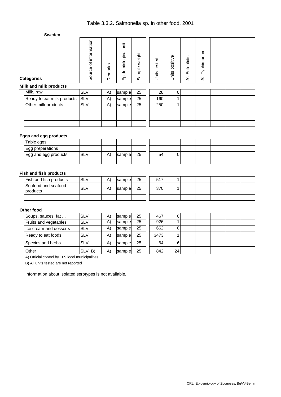| " " " " " " " " "          |                       |         |                       |                  |                 |                   |                            |                   |  |  |
|----------------------------|-----------------------|---------|-----------------------|------------------|-----------------|-------------------|----------------------------|-------------------|--|--|
| <b>Categories</b>          | Source of information | Remarks | İä<br>Epidemiological | weight<br>Sample | tested<br>Units | positive<br>Units | Enteritidis<br>$\sim$<br>S | Typhimurium<br>S, |  |  |
| Milk and milk products     |                       |         |                       |                  |                 |                   |                            |                   |  |  |
| Milk, raw                  | <b>SLV</b>            | A)      | sample                | 25               | 28              | $\mathbf 0$       |                            |                   |  |  |
| Ready to eat milk products | <b>SLV</b>            | A)      | sample                | 25               | 160             | 4                 |                            |                   |  |  |
| Other milk products        | <b>SLV</b>            | A)      | sample                | 25               | 250             | 1                 |                            |                   |  |  |
|                            |                       |         |                       |                  |                 |                   |                            |                   |  |  |
|                            |                       |         |                       |                  |                 |                   |                            |                   |  |  |
|                            |                       |         |                       |                  |                 |                   |                            |                   |  |  |

#### **Eggs and egg products**

| --<br>---            |     |    |        |    |    |  |  |  |
|----------------------|-----|----|--------|----|----|--|--|--|
| Table eggs           |     |    |        |    |    |  |  |  |
| Egg preperations     |     |    |        |    |    |  |  |  |
| Egg and egg products | SL۱ | Ά, | sample | 25 | 54 |  |  |  |
|                      |     |    |        |    |    |  |  |  |

#### **Fish and fish products**

| Fish and fish products          | <b>SLV</b> | A) | Isample | 25 | 517 |  |  |  |
|---------------------------------|------------|----|---------|----|-----|--|--|--|
| Seafood and seafood<br>products | <b>SLV</b> | A) | Isample | 25 | 370 |  |  |  |
|                                 |            |    |         |    |     |  |  |  |

#### **Other food**

| Soups, sauces, fat     | <b>SLV</b> | A) | sample  | 25 | 467  | O  |  |  |  |
|------------------------|------------|----|---------|----|------|----|--|--|--|
| Fruits and vegatables  | <b>SLV</b> | A) | sample  | 25 | 926  |    |  |  |  |
| Ice cream and desserts | <b>SLV</b> | A) | sample  | 25 | 662  | 0  |  |  |  |
| Ready to eat foods     | <b>SLV</b> | A) | sample  | 25 | 3473 |    |  |  |  |
| Species and herbs      | <b>SLV</b> | A) | samplel | 25 | 64   | 6  |  |  |  |
| Other                  | SLV B)     | A) | samplel | 25 | 842  | 24 |  |  |  |

A) Official control by 109 local municipalities

B) All units tested are not reported

Information about isolated serotypes is not available.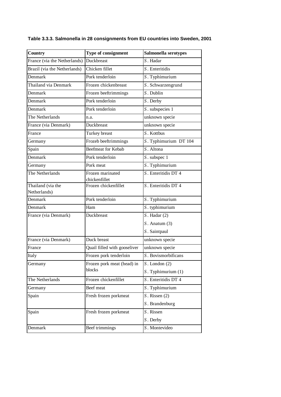| Country                           | Type of consignment               | Salmonella serotypes  |
|-----------------------------------|-----------------------------------|-----------------------|
| France (via the Netherlands)      | Duckbreast                        | S. Hadar              |
| Brazil (via the Netherlands)      | Chicken fillet                    | S. Enteritidis        |
| Denmark                           | Pork tenderloin                   | S. Typhimurium        |
| Thailand via Denmark              | Frozen chickenbreast              | S. Schwarzengrund     |
| Denmark                           | Frozen beeftrimmings              | $S$ . Dublin          |
| Denmark                           | Pork tenderloin                   | S. Derby              |
| Denmark                           | Pork tenderloin                   | S. subspecies 1       |
| The Netherlands                   | n.a.                              | unknown specie        |
| France (via Denmark)              | Duckbreast                        | unknown specie        |
| France                            | Turkey breast                     | S. Kottbus            |
| Germany                           | Frozeb beeftrimmings              | S. Typhimurium DT 104 |
| Spain                             | Beefmeat for Kebab                | S. Altona             |
| Denmark                           | Pork tenderloin                   | S. subspec 1          |
| Germany                           | Pork meat                         | S. Typhimurium        |
| The Netherlands                   | Frozen marinated<br>chickenfillet | S. Enteritidis DT 4   |
| Thailand (via the<br>Netherlands) | Frozen chickenfillet              | S. Enteritidis DT 4   |
| Denmark                           | Pork tenderloin                   | S. Typhimurium        |
| Denmark                           | Ham                               | $S.$ typhimurium      |
| France (via Denmark)              | Duckbreast                        | $S.$ Hadar $(2)$      |
|                                   |                                   | $S.$ Anatum $(3)$     |
|                                   |                                   | S. Saintpaul          |
| France (via Denmark)              | Duck breast                       | unknown specie        |
| France                            | Quail filled with gooseliver      | unknown specie        |
| Italy                             | Frozen pork tenderloin            | S. Bovismorbificans   |
| Germany                           | Frozen pork meat (head) in        | $S$ . London $(2)$    |
|                                   | blocks                            | S. Typhimurium (1)    |
| The Netherlands                   | Frozen chickenfillet              | S. Enteritidis DT 4   |
| Germany                           | Beef meat                         | S. Typhimurium        |
| Spain                             | Fresh frozen porkmeat             | $S.$ Rissen $(2)$     |
|                                   |                                   | S. Brandenburg        |
| Spain                             | Fresh frozen porkmeat             | S. Rissen             |
|                                   |                                   | S. Derby              |
| Denmark                           | Beef trimmings                    | S. Montevideo         |

**Table 3.3.3. Salmonella in 28 consignments from EU countries into Sweden, 2001**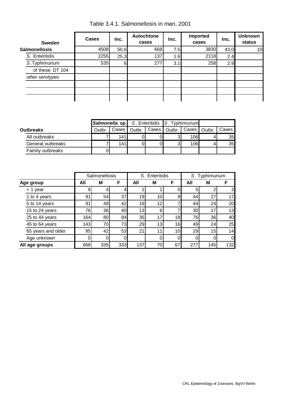| <b>Sweden</b>        | <b>Cases</b> | <b>Autochtone</b><br>Inc.<br>Inc.<br>cases |     |     | Imported<br>cases | Inc. | <b>Unknown</b><br>status |
|----------------------|--------------|--------------------------------------------|-----|-----|-------------------|------|--------------------------|
| <b>Salmonellosis</b> | 4508         | 50.6                                       | 668 | 7.5 | 3830              | 43,0 | 10                       |
| S. Enteritidis       | 2255         | 25.3                                       | 137 | 1.6 | 2118              | 2.4  |                          |
| S.Typhimurium        | 535          | 6                                          | 277 | 3.1 | 258               | 2.9  |                          |
| of these: DT 104     |              |                                            |     |     |                   |      |                          |
| other serotypes      |              |                                            |     |     |                   |      |                          |
|                      |              |                                            |     |     |                   |      |                          |
|                      |              |                                            |     |     |                   |      |                          |
|                      |              |                                            |     |     |                   |      |                          |

Table 3.4.1. Salmonellosis in man, 2001

|                   | <b>Salmonella sp.</b> S. Enteritidis S. Typhimurium |      |  |   |                                                  |         |
|-------------------|-----------------------------------------------------|------|--|---|--------------------------------------------------|---------|
| <b>Outbreaks</b>  | Outbr.                                              |      |  |   | Cases   Outbr.   Cases   Outbr.   Cases   Outbr. | Cases I |
| All outbreaks     |                                                     | 141I |  |   | 106                                              | 35      |
| General outbreaks |                                                     | 141I |  | ົ | 106                                              | 35      |
| Family outbreaks  |                                                     |      |  |   |                                                  |         |

|                    | Salmonellosis |     |     |                 | S. Enteritidis  |    | S. Typhimurium |     |                |
|--------------------|---------------|-----|-----|-----------------|-----------------|----|----------------|-----|----------------|
| Age group          | All           | М   | F   | All             | M               | F  | All            | М   | F              |
| $<$ 1 year         | 8             | 4   | 4   |                 |                 |    | 5              |     | 3              |
| 1 to 4 years       | 91            | 54  | 37  | 19              | 10              | 9  | 44             | 27  | 17             |
| 5 to 14 years      | 91            | 49  | 42  | 19              | 12              |    | 44             | 24  | 20             |
| 15 to 24 years     | 76            | 36  | 40  | 13 <sub>1</sub> | 6               |    | 30             |     | 13             |
| 25 to 44 years     | 164           | 80  | 84  | 35              | 17              | 18 | 76             | 36  | 40             |
| 45 to 64 years     | 143           | 70  | 73  | 29              | 13 <sub>1</sub> | 16 | 49             | 24  | 25             |
| 65 years and older | 95            | 42  | 53  | 21              | 11              | 10 | 29             | 15  | 14             |
| Age unknown        | 0             | 0   | 0   |                 |                 |    |                |     | $\overline{0}$ |
| All age groups     | 668           | 335 | 333 | 137             | 70              | 67 | 277            | 145 | 132            |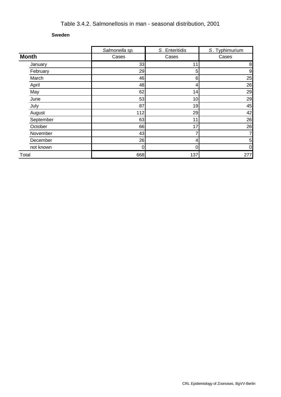# Table 3.4.2. Salmonellosis in man - seasonal distribution, 2001

#### **Sweden**

|              | Salmonella sp. | S. Enteritidis | S. Typhimurium  |
|--------------|----------------|----------------|-----------------|
| <b>Month</b> | Cases          | Cases          | Cases           |
| January      | 33             | 11             | 8               |
| February     | 29             | 5              | 9               |
| March        | 46             | 6              | 25              |
| April        | 48             | 4              | 26              |
| May          | 62             | 14             | 29              |
| June         | 53             | 10             | 29              |
| July         | 87             | 19             | 45              |
| August       | 112            | 29             | 42              |
| September    | 63             | 11             | 26              |
| October      | 66             | 17             | 26              |
| November     | 43             | 7              | 7               |
| December     | 26             | 4              | $5\overline{)}$ |
| not known    | O              | 0              | $\overline{0}$  |
| Total        | 668            | 137            | 277             |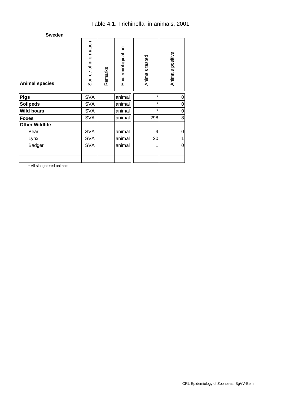| <b>Animal species</b> | Source of information | Remarks | Epidemiological unit | Animals tested | Animals positive |
|-----------------------|-----------------------|---------|----------------------|----------------|------------------|
| <b>Pigs</b>           | <b>SVA</b>            |         | animal               | $\star$        | 0                |
| <b>Solipeds</b>       | <b>SVA</b>            |         | animal               | $\star$        | 0                |
| <b>Wild boars</b>     | <b>SVA</b>            |         | animal               | $\star$        | 0                |
| <b>Foxes</b>          | <b>SVA</b>            |         | animal               | 298            | 8                |
| <b>Other Wildlife</b> |                       |         |                      |                |                  |
| Bear                  | <b>SVA</b>            |         | animal               | 9              | 0                |
| Lynx                  | <b>SVA</b>            |         | animal               | 20             |                  |
| Badger                | <b>SVA</b>            |         | animal               | 1              | $\mathbf 0$      |
|                       |                       |         |                      |                |                  |
|                       |                       |         |                      |                |                  |

\* All slaughtered animals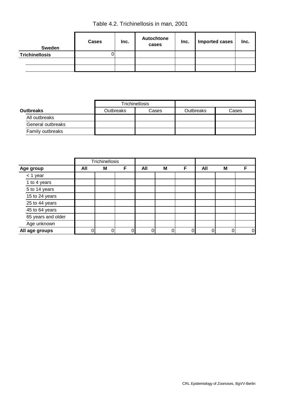Table 4.2. Trichinellosis in man, 2001

| Sweden                | <b>Cases</b> | Inc. | <b>Autochtone</b><br>cases | Inc. | <b>Imported cases</b> | Inc. |
|-----------------------|--------------|------|----------------------------|------|-----------------------|------|
| <b>Trichinellosis</b> |              |      |                            |      |                       |      |
|                       |              |      |                            |      |                       |      |
|                       |              |      |                            |      |                       |      |

|                   |                  | Trichinellosis |                  |       |
|-------------------|------------------|----------------|------------------|-------|
| <b>Outbreaks</b>  | <b>Outbreaks</b> | Cases          | <b>Outbreaks</b> | Cases |
| All outbreaks     |                  |                |                  |       |
| General outbreaks |                  |                |                  |       |
| Family outbreaks  |                  |                |                  |       |

|                    |     | Trichinellosis |   |     |   |   |     |   |                |
|--------------------|-----|----------------|---|-----|---|---|-----|---|----------------|
| Age group          | All | M              | F | All | M | F | All | M |                |
| $<$ 1 year         |     |                |   |     |   |   |     |   |                |
| 1 to 4 years       |     |                |   |     |   |   |     |   |                |
| 5 to 14 years      |     |                |   |     |   |   |     |   |                |
| 15 to 24 years     |     |                |   |     |   |   |     |   |                |
| 25 to 44 years     |     |                |   |     |   |   |     |   |                |
| 45 to 64 years     |     |                |   |     |   |   |     |   |                |
| 65 years and older |     |                |   |     |   |   |     |   |                |
| Age unknown        |     |                |   |     |   |   |     |   |                |
| All age groups     |     |                | 0 | 0   |   |   |     |   | $\overline{0}$ |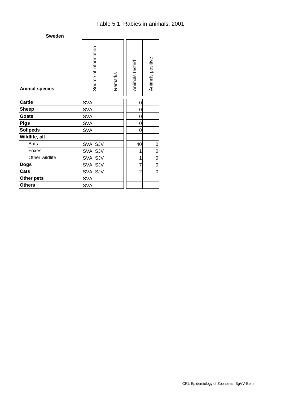| <b>Sweden</b>         |                       |         |                |                  |  |
|-----------------------|-----------------------|---------|----------------|------------------|--|
| <b>Animal species</b> | Source of information | Remarks | Animals tested | Animals positive |  |
| <b>Cattle</b>         | <b>SVA</b>            |         | 0              |                  |  |
| <b>Sheep</b>          | <b>SVA</b>            |         | 0              |                  |  |
| <b>Goats</b>          | <b>SVA</b>            |         | 0              |                  |  |
| <b>Pigs</b>           | <b>SVA</b>            |         | 0              |                  |  |
| <b>Solipeds</b>       | <b>SVA</b>            |         | 0              |                  |  |
| Wildlife, all         |                       |         |                |                  |  |
| <b>Bats</b>           | SVA, SJV              |         | 40             | 0                |  |
| Foxes                 | SVA, SJV              |         | 1              | 0                |  |
| Other wildlife        | SVA, SJV              |         | 1              | 0                |  |
| <b>Dogs</b>           | SVA, SJV              |         | $\overline{7}$ | 0                |  |
| Cats                  | SVA, SJV              |         | $\overline{2}$ | 0                |  |
| Other pets            | <b>SVA</b>            |         |                |                  |  |
| <b>Others</b>         | <b>SVA</b>            |         |                |                  |  |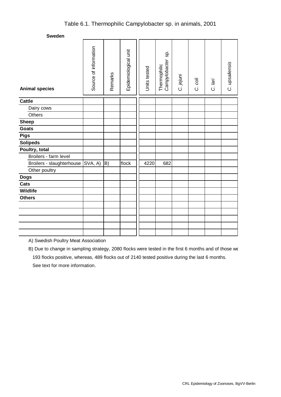## Table 6.1. Thermophilic Campylobacter sp. in animals, 2001

**Sweden**

| <b>Animal species</b>             | Source of information | Remarks                  | Epidemiological unit | Units tested | Sp.<br>Campylobacter<br>Thermophilic | C. jejuni | C. coli | C. lari | C. upsaliensis |
|-----------------------------------|-----------------------|--------------------------|----------------------|--------------|--------------------------------------|-----------|---------|---------|----------------|
| <b>Cattle</b>                     |                       |                          |                      |              |                                      |           |         |         |                |
| Dairy cows                        |                       |                          |                      |              |                                      |           |         |         |                |
| Others                            |                       |                          |                      |              |                                      |           |         |         |                |
| <b>Sheep</b>                      |                       |                          |                      |              |                                      |           |         |         |                |
| <b>Goats</b>                      |                       |                          |                      |              |                                      |           |         |         |                |
| <b>Pigs</b>                       |                       |                          |                      |              |                                      |           |         |         |                |
| <b>Solipeds</b>                   |                       |                          |                      |              |                                      |           |         |         |                |
| Poultry, total                    |                       |                          |                      |              |                                      |           |         |         |                |
| Broilers - farm level             |                       |                          |                      |              |                                      |           |         |         |                |
| Broilers - slaughterhouse SVA, A) |                       | $\left  B \right\rangle$ | flock                | 4220         | 682                                  |           |         |         |                |
| Other poultry                     |                       |                          |                      |              |                                      |           |         |         |                |
| <b>Dogs</b>                       |                       |                          |                      |              |                                      |           |         |         |                |
| Cats                              |                       |                          |                      |              |                                      |           |         |         |                |
| Wildlife                          |                       |                          |                      |              |                                      |           |         |         |                |
| <b>Others</b>                     |                       |                          |                      |              |                                      |           |         |         |                |
|                                   |                       |                          |                      |              |                                      |           |         |         |                |
|                                   |                       |                          |                      |              |                                      |           |         |         |                |
|                                   |                       |                          |                      |              |                                      |           |         |         |                |
|                                   |                       |                          |                      |              |                                      |           |         |         |                |
|                                   |                       |                          |                      |              |                                      |           |         |         |                |

A) Swedish Poultry Meat Association

B) Due to change in sampling strategy, 2080 flocks were tested in the first 6 months and of those we 193 flocks positive, whereas, 489 flocks out of 2140 tested positive during the last 6 months. See text for more information.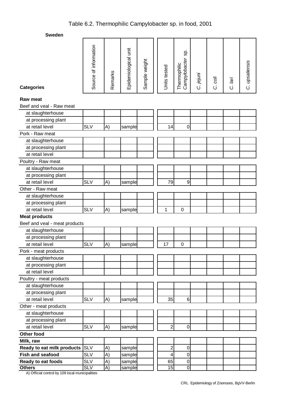# Table 6.2. Thermophilic Campylobacter sp. in food, 2001

**Sweden**

| oweuen                        |                       |         |                      |               |                         |                                      |           |         |         |                |
|-------------------------------|-----------------------|---------|----------------------|---------------|-------------------------|--------------------------------------|-----------|---------|---------|----------------|
| <b>Categories</b>             | Source of information | Remarks | Epidemiological unit | Sample weight | Units tested            | Sp.<br>Campylobacter<br>Thermophilic | C. jejuni | C. coli | C. lari | C. upsaliensis |
|                               |                       |         |                      |               |                         |                                      |           |         |         |                |
| Raw meat                      |                       |         |                      |               |                         |                                      |           |         |         |                |
| Beef and veal - Raw meat      |                       |         |                      |               |                         |                                      |           |         |         |                |
| at slaughterhouse             |                       |         |                      |               |                         |                                      |           |         |         |                |
| at processing plant           |                       |         |                      |               |                         |                                      |           |         |         |                |
| at retail level               | <b>SLV</b>            | A)      | sample               |               | 14                      | 0                                    |           |         |         |                |
| Pork - Raw meat               |                       |         |                      |               |                         |                                      |           |         |         |                |
| at slaughterhouse             |                       |         |                      |               |                         |                                      |           |         |         |                |
| at processing plant           |                       |         |                      |               |                         |                                      |           |         |         |                |
| at retail level               |                       |         |                      |               |                         |                                      |           |         |         |                |
| Poultry - Raw meat            |                       |         |                      |               |                         |                                      |           |         |         |                |
| at slaughterhouse             |                       |         |                      |               |                         |                                      |           |         |         |                |
| at processing plant           |                       |         |                      |               |                         |                                      |           |         |         |                |
| at retail level               | <b>SLV</b>            | A)      | sample               |               | 79                      | $\boldsymbol{9}$                     |           |         |         |                |
| Other - Raw meat              |                       |         |                      |               |                         |                                      |           |         |         |                |
| at slaughterhouse             |                       |         |                      |               |                         |                                      |           |         |         |                |
| at processing plant           |                       |         |                      |               |                         |                                      |           |         |         |                |
| at retail level               | <b>SLV</b>            | A)      | sample               |               | 1                       | $\mathbf 0$                          |           |         |         |                |
| <b>Meat products</b>          |                       |         |                      |               |                         |                                      |           |         |         |                |
| Beef and veal - meat products |                       |         |                      |               |                         |                                      |           |         |         |                |
| at slaughterhouse             |                       |         |                      |               |                         |                                      |           |         |         |                |
| at processing plant           |                       |         |                      |               |                         |                                      |           |         |         |                |
| at retail level               | <b>SLV</b>            | A)      | sample               |               | 17                      | $\mathbf 0$                          |           |         |         |                |
| Pork - meat products          |                       |         |                      |               |                         |                                      |           |         |         |                |
| at slaughterhouse             |                       |         |                      |               |                         |                                      |           |         |         |                |
| at processing plant           |                       |         |                      |               |                         |                                      |           |         |         |                |
| at retail level               |                       |         |                      |               |                         |                                      |           |         |         |                |
| Poultry - meat products       |                       |         |                      |               |                         |                                      |           |         |         |                |
| at slaughterhouse             |                       |         |                      |               |                         |                                      |           |         |         |                |
| at processing plant           |                       |         |                      |               |                         |                                      |           |         |         |                |
| at retail level               | <b>SLV</b>            | A)      | sample               |               | 35                      | 6                                    |           |         |         |                |
| Other - meat products         |                       |         |                      |               |                         |                                      |           |         |         |                |
| at slaughterhouse             |                       |         |                      |               |                         |                                      |           |         |         |                |
| at processing plant           |                       |         |                      |               |                         |                                      |           |         |         |                |
| at retail level               | <b>SLV</b>            | A)      | sample               |               | $\overline{c}$          | $\mathbf 0$                          |           |         |         |                |
| Other food                    |                       |         |                      |               |                         |                                      |           |         |         |                |
| Milk, raw                     |                       |         |                      |               |                         |                                      |           |         |         |                |
| Ready to eat milk products    | <b>SLV</b>            | A)      | sample               |               | $\overline{\mathbf{c}}$ | $\pmb{0}$                            |           |         |         |                |
| <b>Fish and seafood</b>       | <b>SLV</b>            | A)      | sample               |               | 4                       | $\mathbf 0$                          |           |         |         |                |
| Ready to eat foods            | <b>SLV</b>            | A)      | sample               |               | 65                      | $\pmb{0}$                            |           |         |         |                |
| <b>Others</b>                 | <b>SLV</b>            | A)      | sample               |               | $\overline{15}$         | $\overline{0}$                       |           |         |         |                |

A) Official control by 109 local municipalities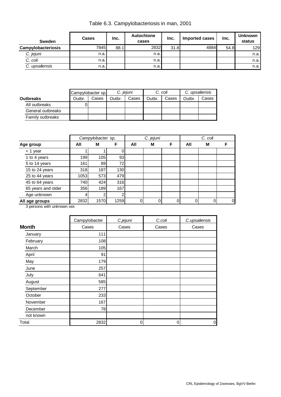| <b>Sweden</b>      | Cases | Inc. | Autochtone<br>cases | Inc. | Imported cases | Inc. | <b>Unknown</b><br>status |
|--------------------|-------|------|---------------------|------|----------------|------|--------------------------|
| Campylobacteriosis | 7845  | 88.1 | 2832                | 31.8 | 4884           | 54.8 | 129                      |
| C. jejuni          | n.a.  |      | n.a.                |      |                |      | n.a.                     |
| C. coli            | n.a.  |      | n.a.                |      |                |      | n.a.                     |
| C. upsaliensis     | n.a.  |      | n.a.                |      |                |      | n.a.                     |

|                   | Campylobacter sp. |       | C. jejuni |       | C. coli |       | C. upsaliensis |       |
|-------------------|-------------------|-------|-----------|-------|---------|-------|----------------|-------|
| <b>Outbreaks</b>  | Outbr.            | Cases | Outbr.    | Cases | Outbr.  | Cases | Outbr.         | Cases |
| All outbreaks     |                   |       |           |       |         |       |                |       |
| General outbreaks |                   |       |           |       |         |       |                |       |
| Family outbreaks  |                   |       |           |       |         |       |                |       |

|                    |      | Campylobacter sp. |      | C. jejuni |   |   |     | C. coli |                |
|--------------------|------|-------------------|------|-----------|---|---|-----|---------|----------------|
| Age group          | All  | М                 | F    | All       | M | F | All | М       | F              |
| $<$ 1 year         |      |                   | 0    |           |   |   |     |         |                |
| 1 to 4 years       | 199  | 105               | 93   |           |   |   |     |         |                |
| 5 to 14 years      | 161  | 89                | 72   |           |   |   |     |         |                |
| 15 to 24 years     | 318  | 187               | 130  |           |   |   |     |         |                |
| 25 to 44 years     | 1053 | 573               | 479  |           |   |   |     |         |                |
| 45 to 64 years     | 740  | 424               | 316  |           |   |   |     |         |                |
| 65 years and older | 356  | 189               | 167  |           |   |   |     |         |                |
| Age unknown        |      | 2                 | 2    |           |   |   |     |         |                |
| All age groups     | 2832 | 1570              | 1259 | 0         | 0 |   |     | 0       | $\overline{0}$ |

3 persons with unknown sex

|              | Campylobacter | C.jejuni | C.coli | C.upsaliensis |
|--------------|---------------|----------|--------|---------------|
| <b>Month</b> | Cases         | Cases    | Cases  | Cases         |
| January      | 111           |          |        |               |
| February     | 108           |          |        |               |
| March        | 105           |          |        |               |
| April        | 91            |          |        |               |
| May          | 179           |          |        |               |
| June         | 257           |          |        |               |
| July         | 641           |          |        |               |
| August       | 585           |          |        |               |
| September    | 277           |          |        |               |
| October      | 233           |          |        |               |
| November     | 167           |          |        |               |
| December     | 78            |          |        |               |
| not known    |               |          |        |               |
| Total        | 2832          | 0        | 0      | $\mathbf 0$   |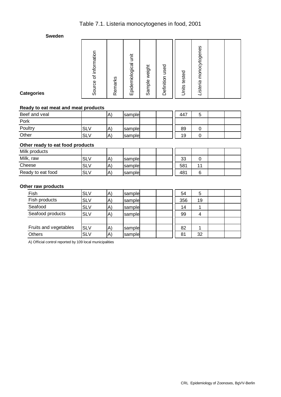# Table 7.1. Listeria monocytogenes in food, 2001

**Sweden**

| Listeria monocytogenes | Units tested | Definition used | Sample weight | Epidemiological unit | Remarks | Source of information |  |
|------------------------|--------------|-----------------|---------------|----------------------|---------|-----------------------|--|
|------------------------|--------------|-----------------|---------------|----------------------|---------|-----------------------|--|

**Categories** 

#### **Ready to eat meat and meat products**

| Beef and veal |                 | A`        | sample | 447 |  |  |
|---------------|-----------------|-----------|--------|-----|--|--|
| Pork          |                 |           |        |     |  |  |
| Poultry       | <b>SL</b>       | A,        | sample | 89  |  |  |
| Other         | SL <sub>\</sub> | $\Lambda$ | sample | 19  |  |  |

#### **Other ready to eat food products**

| Milk products     |            |                   |         |     |  |  |
|-------------------|------------|-------------------|---------|-----|--|--|
| Milk, raw         | <b>SLV</b> | $\vert A \rangle$ | Isample | 33  |  |  |
| Cheese            | SLV        | A)                | sample  | 581 |  |  |
| Ready to eat food | <b>SLV</b> | $ A\rangle$       | Isample | 481 |  |  |

#### **Other raw products**

| Fish                  | <b>SLV</b> | $\mathsf{A}$ | sample | 54  | 5  |  |
|-----------------------|------------|--------------|--------|-----|----|--|
| Fish products         | <b>SLV</b> | A)           | sample | 356 | 19 |  |
| Seafood               | <b>SLV</b> | A)           | sample | 14  |    |  |
| Seafood products      | <b>SLV</b> | A)           | sample | 99  | 4  |  |
|                       |            |              |        |     |    |  |
| Fruits and vegetables | <b>SLV</b> | $\mathsf{A}$ | sample | 82  |    |  |
| <b>Others</b>         | <b>SLV</b> | A)           | sample | 81  | 32 |  |

A) Official control reported by 109 local municipalities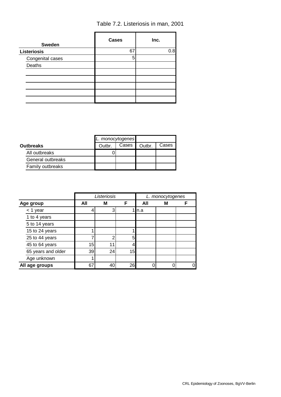Table 7.2. Listeriosis in man, 2001

| <b>Sweden</b>      | <b>Cases</b> | Inc. |
|--------------------|--------------|------|
| <b>Listeriosis</b> | 67           | 0.8  |
| Congenital cases   | 5            |      |
| Deaths             |              |      |
|                    |              |      |
|                    |              |      |
|                    |              |      |
|                    |              |      |
|                    |              |      |

|                   | L. monocytogenes |       |        |       |
|-------------------|------------------|-------|--------|-------|
| <b>Outbreaks</b>  | Outbr.           | Cases | Outbr. | Cases |
| All outbreaks     |                  |       |        |       |
| General outbreaks |                  |       |        |       |
| Family outbreaks  |                  |       |        |       |

|                    |     | Listeriosis |    |      | L. monocytogenes |   |  |
|--------------------|-----|-------------|----|------|------------------|---|--|
| Age group          | All | М           | F  | All  | М                | F |  |
| $<$ 1 year         |     | 3           |    | ln.a |                  |   |  |
| 1 to 4 years       |     |             |    |      |                  |   |  |
| 5 to 14 years      |     |             |    |      |                  |   |  |
| 15 to 24 years     |     |             |    |      |                  |   |  |
| 25 to 44 years     |     | າ           | 5  |      |                  |   |  |
| 45 to 64 years     | 15  | 11          |    |      |                  |   |  |
| 65 years and older | 39  | 24          | 15 |      |                  |   |  |
| Age unknown        |     |             |    |      |                  |   |  |
| All age groups     | 67  | 40          | 26 |      |                  | 0 |  |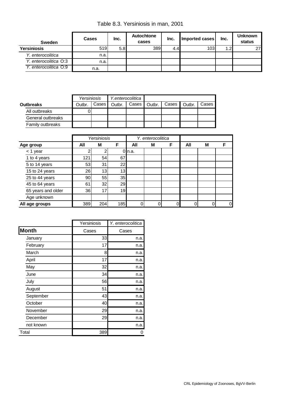Table 8.3. Yersiniosis in man, 2001

| <b>Sweden</b>         | <b>Cases</b> | Inc. | Autochtone<br>cases | Inc. | Imported cases | Inc. | Unknown<br>status |
|-----------------------|--------------|------|---------------------|------|----------------|------|-------------------|
| <b>Yersiniosis</b>    | 519          | 5.8  | 389I                | 4.4I | 103            | 1.21 | 27                |
| Y. enterocolitica     | n.a.         |      |                     |      |                |      |                   |
| Y. enterocolitica O:3 | n.a.         |      |                     |      |                |      |                   |
| Y. enterocolitica O:9 | n.a.         |      |                     |      |                |      |                   |

|                   |        | Yersiniosis |        | Y.enterocolitica |        |       |        |       |
|-------------------|--------|-------------|--------|------------------|--------|-------|--------|-------|
| <b>Outbreaks</b>  | Outbr. | Cases       | Outbr. | Cases I          | Outbr. | Cases | Outbr. | Cases |
| All outbreaks     |        |             |        |                  |        |       |        |       |
| General outbreaks |        |             |        |                  |        |       |        |       |
| Family outbreaks  |        |             |        |                  |        |       |        |       |

|                    |     | Yersiniosis |     |          | Y. enterocolitica |          |     |   |                |
|--------------------|-----|-------------|-----|----------|-------------------|----------|-----|---|----------------|
| Age group          | All | M           | F   | All      | M                 | F        | All | M | F              |
| < 1 year           |     |             |     | $0$ n.a. |                   |          |     |   |                |
| 1 to 4 years       | 121 | 54          | 67  |          |                   |          |     |   |                |
| 5 to 14 years      | 53  | 31          | 22  |          |                   |          |     |   |                |
| 15 to 24 years     | 26  | 13          | 13  |          |                   |          |     |   |                |
| 25 to 44 years     | 90  | 55          | 35  |          |                   |          |     |   |                |
| 45 to 64 years     | 61  | 32          | 29  |          |                   |          |     |   |                |
| 65 years and older | 36  | 17          | 19  |          |                   |          |     |   |                |
| Age unknown        |     |             |     |          |                   |          |     |   |                |
| All age groups     | 389 | 204         | 185 |          |                   | $\Omega$ |     |   | $\overline{0}$ |

|              | Yersiniosis | Y. enterocolitica |
|--------------|-------------|-------------------|
| <b>Month</b> | Cases       | Cases             |
| January      | 33          | n.a.              |
| February     | 17          | n.a.              |
| March        | 8           | n.a.              |
| April        | 17          | n.a.              |
| May          | 32          | n.a.              |
| June         | 34          | n.a.              |
| July         | 56          | n.a.              |
| August       | 51          | n.a.              |
| September    | 43          | n.a.              |
| October      | 40          | n.a.              |
| November     | 29          | n.a.              |
| December     | 29          | n.a.              |
| not known    |             | n.a.              |
| Total        | 389         |                   |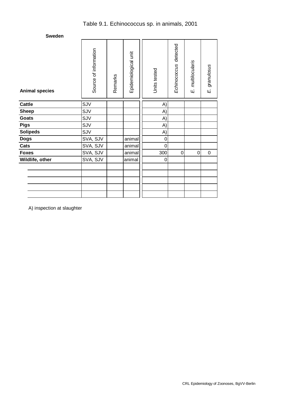| <b>Animal species</b> | Source of information | Remarks | Epidemiological unit | Units tested   | Echinococcus detected | E. multilocularis | granulosus<br>Щj |
|-----------------------|-----------------------|---------|----------------------|----------------|-----------------------|-------------------|------------------|
| <b>Cattle</b>         | SJV                   |         |                      | A)             |                       |                   |                  |
| <b>Sheep</b>          | SJV                   |         |                      | A)             |                       |                   |                  |
| Goats                 | SJV                   |         |                      | A)             |                       |                   |                  |
| <b>Pigs</b>           | SJV                   |         |                      | A)             |                       |                   |                  |
| <b>Solipeds</b>       | SJV                   |         |                      | A)             |                       |                   |                  |
| <b>Dogs</b>           | SVA, SJV              |         | animal               | 0              |                       |                   |                  |
| Cats                  | SVA, SJV              |         | animal               | $\overline{0}$ |                       |                   |                  |
| <b>Foxes</b>          | SVA, SJV              |         | animal               | 300            | 0                     | 0                 | $\mathbf 0$      |
| Wildlife, other       | SVA, SJV              |         | animal               | 0              |                       |                   |                  |
|                       |                       |         |                      |                |                       |                   |                  |
|                       |                       |         |                      |                |                       |                   |                  |
|                       |                       |         |                      |                |                       |                   |                  |
|                       |                       |         |                      |                |                       |                   |                  |
|                       |                       |         |                      |                |                       |                   |                  |

A) inspection at slaughter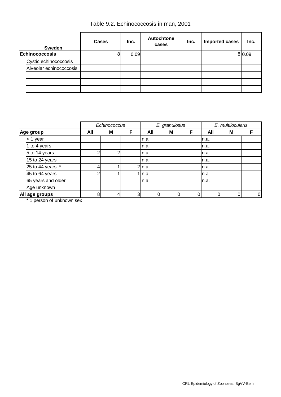Table 9.2. Echinococcosis in man, 2001

| <b>Sweden</b>           | Cases | Inc. | Autochtone<br>cases | Inc. | Imported cases | Inc.   |
|-------------------------|-------|------|---------------------|------|----------------|--------|
| <b>Echinococcosis</b>   | 8     | 0.09 |                     |      |                | 8 0.09 |
| Cystic echinococcosis   |       |      |                     |      |                |        |
| Alveolar echinococcosis |       |      |                     |      |                |        |
|                         |       |      |                     |      |                |        |
|                         |       |      |                     |      |                |        |
|                         |       |      |                     |      |                |        |

|                    |                | Echinococcus |   |          | E. granulosus |          |      | E. multilocularis |                |
|--------------------|----------------|--------------|---|----------|---------------|----------|------|-------------------|----------------|
| Age group          | All            | M            | F | All      | M             | F        | All  | F<br>M            |                |
| $<$ 1 year         |                |              |   | n.a.     |               |          | n.a. |                   |                |
| 1 to 4 years       |                |              |   | n.a.     |               |          | n.a. |                   |                |
| 5 to 14 years      | っ              | n            |   | n.a.     |               |          | n.a. |                   |                |
| 15 to 24 years     |                |              |   | n.a.     |               |          | n.a. |                   |                |
| 25 to 44 years $*$ | 4              |              |   | $2$ n.a. |               |          | n.a. |                   |                |
| 45 to 64 years     | $\overline{2}$ |              |   | 1∎n.a.   |               |          | n.a. |                   |                |
| 65 years and older |                |              |   | n.a.     |               |          | n.a. |                   |                |
| Age unknown        |                |              |   |          |               |          |      |                   |                |
| All age groups     | 8              | 4            | 3 |          | ი             | $\Omega$ |      | $\Omega$          | $\overline{0}$ |

1 person of unknown sex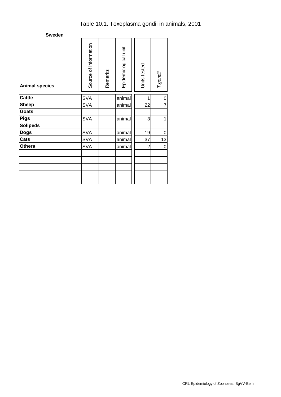| <b>Animal species</b> | Source of information | Remarks | Epidemiological unit | Units tested   | T.gondii       |
|-----------------------|-----------------------|---------|----------------------|----------------|----------------|
| <b>Cattle</b>         | <b>SVA</b>            |         | animal               | 1              | 0              |
| <b>Sheep</b>          | <b>SVA</b>            |         | animal               | 22             | $\overline{7}$ |
| <b>Goats</b>          |                       |         |                      |                |                |
| <b>Pigs</b>           | <b>SVA</b>            |         | animal               | 3              | 1              |
| <b>Solipeds</b>       |                       |         |                      |                |                |
| <b>Dogs</b>           | <b>SVA</b>            |         | animal               | 19             | 0              |
| Cats                  | <b>SVA</b>            |         | animal               | 37             | 13             |
| <b>Others</b>         | <b>SVA</b>            |         | animal               | $\overline{2}$ | 0              |
|                       |                       |         |                      |                |                |
|                       |                       |         |                      |                |                |
|                       |                       |         |                      |                |                |
|                       |                       |         |                      |                |                |
|                       |                       |         |                      |                |                |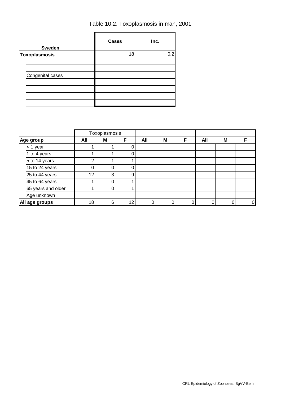| <b>Sweden</b>        | <b>Cases</b> | Inc. |
|----------------------|--------------|------|
| <b>Toxoplasmosis</b> | 18           | 0.2  |
|                      |              |      |
|                      |              |      |
| Congenital cases     |              |      |
|                      |              |      |
|                      |              |      |
|                      |              |      |
|                      |              |      |

| Table 10.2. Toxoplasmosis in man, 2001 |  |
|----------------------------------------|--|
|                                        |  |

|                |                    | Toxoplasmosis |   |    |     |   |   |     |   |          |
|----------------|--------------------|---------------|---|----|-----|---|---|-----|---|----------|
| Age group      |                    | All           | M | F  | All | M | F | All | M | F        |
|                | $<$ 1 year         |               |   |    |     |   |   |     |   |          |
|                | 1 to 4 years       |               |   | ი  |     |   |   |     |   |          |
|                | 5 to 14 years      |               |   |    |     |   |   |     |   |          |
|                | 15 to 24 years     |               |   |    |     |   |   |     |   |          |
|                | 25 to 44 years     | 12            | 3 | 9  |     |   |   |     |   |          |
|                | 45 to 64 years     |               |   |    |     |   |   |     |   |          |
|                | 65 years and older |               |   |    |     |   |   |     |   |          |
|                | Age unknown        |               |   |    |     |   |   |     |   |          |
| All age groups |                    | 18            | 6 | 12 |     |   |   |     |   | $\Omega$ |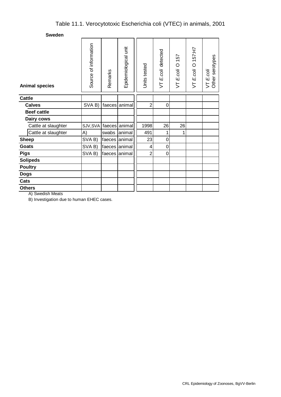| <b>Animal species</b> | Source of information | Remarks       | Epidemiological unit | Units tested   | VT E.coli detected | E.coli O 157<br>5 | $E.$ coli O 157:H7<br>5 | VT E.coli<br>Other serotypes |
|-----------------------|-----------------------|---------------|----------------------|----------------|--------------------|-------------------|-------------------------|------------------------------|
| <b>Cattle</b>         |                       |               |                      |                |                    |                   |                         |                              |
| <b>Calves</b>         | SVAB)                 |               | faeces animal        | $\overline{2}$ | 0                  |                   |                         |                              |
| <b>Beef cattle</b>    |                       |               |                      |                |                    |                   |                         |                              |
| Dairy cows            |                       |               |                      |                |                    |                   |                         |                              |
| Cattle at slaughter   | SJV, SVA              |               | faeces animal        | 1998           | 26                 | 26                |                         |                              |
| Cattle at slaughter   | A)                    | swabs         | lanimal              | 491            | 1                  | 1                 |                         |                              |
| <b>Sheep</b>          | SVA B)                | faeces animal |                      | 23             | 0                  |                   |                         |                              |
| <b>Goats</b>          | SVA B)                | faeces animal |                      | 4              | 0                  |                   |                         |                              |
| <b>Pigs</b>           | SVA B)                | faeces animal |                      | $\overline{c}$ | 0                  |                   |                         |                              |
| <b>Solipeds</b>       |                       |               |                      |                |                    |                   |                         |                              |
| <b>Poultry</b>        |                       |               |                      |                |                    |                   |                         |                              |
| <b>Dogs</b>           |                       |               |                      |                |                    |                   |                         |                              |
| Cats                  |                       |               |                      |                |                    |                   |                         |                              |
| <b>Others</b>         |                       |               |                      |                |                    |                   |                         |                              |

A) Swedish Meats

B) Investigation due to human EHEC cases.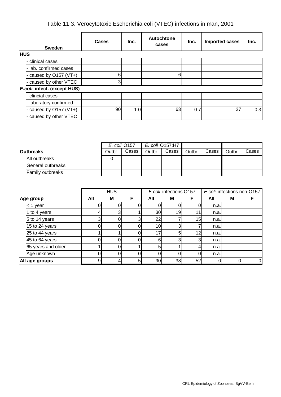Table 11.3. Verocytotoxic Escherichia coli (VTEC) infections in man, 2001

| <b>Sweden</b>               | Cases | Inc. | <b>Autochtone</b><br>cases | Inc. | Imported cases | Inc. |
|-----------------------------|-------|------|----------------------------|------|----------------|------|
| <b>HUS</b>                  |       |      |                            |      |                |      |
| - clinical cases            |       |      |                            |      |                |      |
| - lab. confirmed cases      |       |      |                            |      |                |      |
| - caused by O157 (VT+)      | 6     |      | 6                          |      |                |      |
| - caused by other VTEC      | 3     |      |                            |      |                |      |
| E.coli infect. (except HUS) |       |      |                            |      |                |      |
| - clincial cases            |       |      |                            |      |                |      |
| - laboratory confirmed      |       |      |                            |      |                |      |
| - caused by O157 (VT+)      | 90    | 1.0  | 63                         | 0.7  | 27             | 0.3  |
| - caused by other VTEC      |       |      |                            |      |                |      |

|                   | E. coli 0157:H7<br>E. coli 0157 |       |        |       |        |       |        |       |
|-------------------|---------------------------------|-------|--------|-------|--------|-------|--------|-------|
| <b>Outbreaks</b>  | Outbr.                          | Cases | Outbr. | Cases | Outbr. | Cases | Outbr. | Cases |
| All outbreaks     |                                 |       |        |       |        |       |        |       |
| General outbreaks |                                 |       |        |       |        |       |        |       |
| Family outbreaks  |                                 |       |        |       |        |       |        |       |

|                    |     | <b>HUS</b> |   |                 | E.coli infections O157 |    |      | E.coli infections non-O157 |             |  |
|--------------------|-----|------------|---|-----------------|------------------------|----|------|----------------------------|-------------|--|
| Age group          | All | M          | F | All             | M                      |    | All  | M                          | F           |  |
| $<$ 1 year         |     |            |   |                 |                        |    | n.a. |                            |             |  |
| 1 to 4 years       | 4   | 3          |   | 30 <sub>l</sub> | 19                     |    | n.a. |                            |             |  |
| 5 to 14 years      | 3   |            | 3 | 22              |                        | 15 | n.a. |                            |             |  |
| 15 to 24 years     |     |            | 0 | 10 <sub>1</sub> | 3                      |    | n.a. |                            |             |  |
| 25 to 44 years     |     |            | 0 | 17              | 5                      | 12 | n.a. |                            |             |  |
| 45 to 64 years     |     |            |   | 6               | っ                      | 3. | n.a. |                            |             |  |
| 65 years and older |     |            |   | 5               |                        |    | n.a. |                            |             |  |
| Age unknown        |     |            | 0 |                 |                        |    | n.a. |                            |             |  |
| All age groups     | 9   |            | 5 | 90              | 38                     | 52 |      |                            | $\mathbf 0$ |  |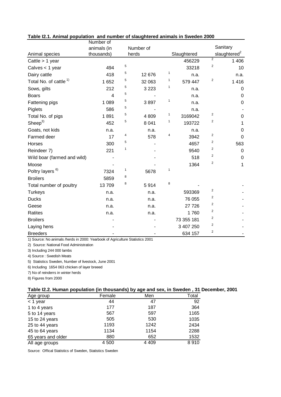|                                   | Number of      |   |           |              |             |                         |                          |
|-----------------------------------|----------------|---|-----------|--------------|-------------|-------------------------|--------------------------|
|                                   | animals (in    |   | Number of |              |             |                         | Sanitary                 |
| Animal species                    | thousands)     |   | herds     |              | Slaughtered |                         | slaughtered <sup>2</sup> |
| Cattle $> 1$ year                 |                |   |           |              | 456229      | $\overline{2}$          | 1 4 0 6                  |
| Calves < 1 year                   | 494            | 5 |           |              | 33218       | 2                       | 10                       |
| Dairy cattle                      | 418            | 5 | 12 676    | $\mathbf{1}$ | n.a.        |                         | n.a.                     |
| Total No. of cattle <sup>1)</sup> | 1 6 5 2        | 5 | 32 063    | 1            | 579 447     | 2                       | 1 4 1 6                  |
| Sows, gilts                       | 212            | 5 | 3 2 2 3   | $\mathbf{1}$ | n.a.        |                         | $\mathbf 0$              |
| <b>Boars</b>                      | $\overline{4}$ | 5 |           |              | n.a.        |                         | $\mathbf 0$              |
| Fattening pigs                    | 1 0 8 9        | 5 | 3897      | 1            | n.a.        |                         | $\boldsymbol{0}$         |
| Piglets                           | 586            | 5 |           |              | n.a.        |                         |                          |
| Total No. of pigs                 | 1891           | 5 | 4 8 0 9   | 1            | 3169042     | $\overline{2}$          | $\mathbf 0$              |
| Sheep <sup>3</sup>                | 452            | 5 | 8 0 4 1   | 1            | 193722      | 2                       | 1                        |
| Goats, not kids                   | n.a.           |   | n.a.      |              | n.a.        |                         | $\mathbf 0$              |
| Farmed deer                       | 17             | 4 | 578       | 4            | 3942        | 2                       | $\mathbf 0$              |
| Horses                            | 300            | 5 |           |              | 4657        | $\overline{\mathbf{c}}$ | 563                      |
| Reindeer 7)                       | 221            | 1 |           |              | 9540        | 2                       | $\mathbf 0$              |
| Wild boar (farmed and wild)       |                |   |           |              | 518         | $\overline{c}$          | $\boldsymbol{0}$         |
| Moose                             |                |   |           |              | 1364        | 2                       | 1                        |
| Poltry layers <sup>6)</sup>       | 7324           | 1 | 5678      | 1            |             |                         |                          |
| <b>Broilers</b>                   | 5859           | 8 |           |              |             |                         |                          |
| Total number of poultry           | 13709          | 8 | 5914      | 8            |             |                         |                          |
| <b>Turkeys</b>                    | n.a.           |   | n.a.      |              | 593369      | $\overline{c}$          |                          |
| <b>Ducks</b>                      | n.a.           |   | n.a.      |              | 76 055      | $\overline{\mathbf{c}}$ |                          |
| Geese                             | n.a.           |   | n.a.      |              | 27 726      | $\overline{2}$          |                          |
| Ratites                           | n.a.           |   | n.a.      |              | 1760        | $\overline{c}$          |                          |
| <b>Broilers</b>                   |                |   |           |              | 73 355 181  | $\overline{c}$          |                          |
| Laying hens                       |                |   |           |              | 3 407 250   | $\overline{c}$          |                          |
| <b>Breeders</b>                   |                |   |           |              | 634 157     | $\overline{\mathbf{c}}$ |                          |

## **Table I2.1. Animal population and number of slaughtered animals in Sweden 2000**

1) Source: No animals /herds in 2000: Yearbook of Agriculture Statistics 2001

2) Source: National Food Administration

3) Including 244 000 lambs

4) Source : Swedish Meats

5) Statistics Sweden, Number of livestock, June 2001

6) Including 1654 063 chicken of layer breeed

7) No of reinderrs in winter herds

8) Figures from 2000

## **Table I2.2. Human population (in thousands) by age and sex, in Sweden , 31 December, 2001**

|                    |        | -       | $\overline{\phantom{a}}$ |
|--------------------|--------|---------|--------------------------|
| Age group          | Female | Men     | Total                    |
| $<$ 1 year         | 44     | 47      | 92                       |
| 1 to 4 years       | 177    | 187     | 364                      |
| 5 to 14 years      | 567    | 597     | 1165                     |
| 15 to 24 years     | 505    | 530     | 1035                     |
| 25 to 44 years     | 1193   | 1242    | 2434                     |
| 45 to 64 years     | 1134   | 1154    | 2288                     |
| 65 years and older | 880    | 652     | 1532                     |
| All age groups     | 4 500  | 4 4 0 9 | 8910                     |

Source: Offical Statistics of Sweden, Statistics Sweden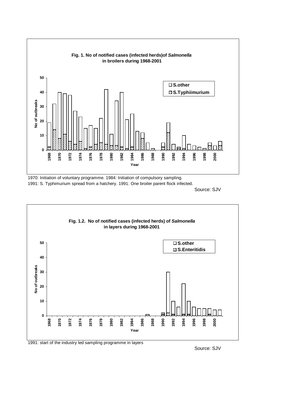

1970: Initiation of voluntary programme. 1984: Initiation of compulsory sampling. 1991: S. Typhimurium spread from a hatchery. 1991: One broiler parent flock infected.

Source: SJV



## 1991: start of the industry led sampling programme in layers

Source: SJV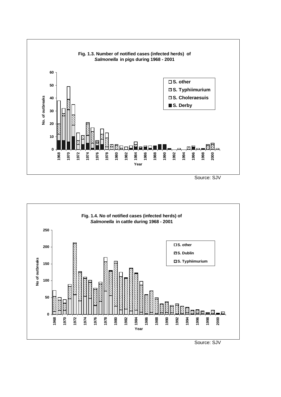

Source: SJV

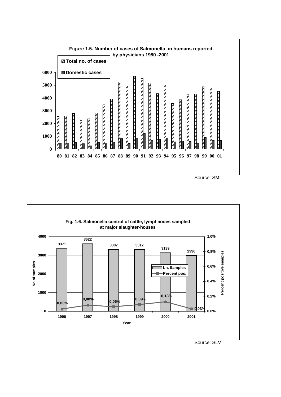

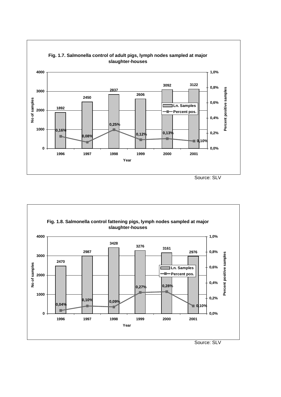



Source: SLV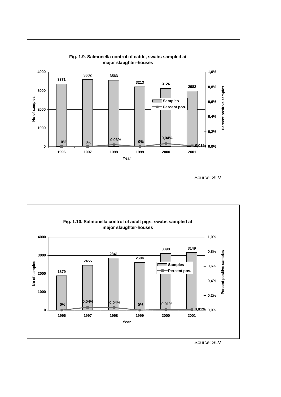

**Fig. 1.10. Salmonella control of adult pigs, swabs sampled at major slaughter-houses 4000 1,0% 3098 3149 0,8%** Percent positive samples **Percent positive samples 2841 3000 2604 2455** No of samples **No of samples Samples 0,6% Percent pos. 1879 2000 0,4% 1000 0,2% 0,04% 0% 0,01% 0,04% 0% 0 0,01% 0,0% 1996 1997 1998 1999 2000 2001 Year** Source: SLV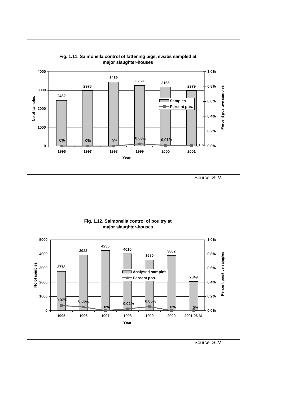

**Fig. 1.12. Salmonella control of poultry at major slaughter-houses 5000 1,0% 4235 4010 3922 3882 4000 0,8%** Percent positive samples **Percent positive samples 3580** No of samples **No of samples 3000 2778 0,6% Analysed samples 2049 Percent pos. 2000 0,4% 1000 0,2% 0,07% 0,05% 0,06% 0,02% 0% 0% 0% 0 0,0% 1995 1996 1997 1998 1999 2000 2001 06 31 Year**

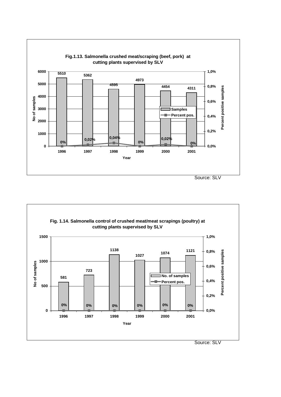

**Fig. 1.14. Salmonella control of crushed meat/meat scrapings (poultry) at cutting plants supervised by SLV 1500 1,0% 1138 0,8%** Percent positive samples **<sup>1027</sup> <sup>1074</sup> <sup>1121</sup> Percent positive samples 1000** No of samples **No of samples 0,6% 723 No. of samples 581 0,4% Percent pos. 500 0,2% 0% 0% 0% 0% 0% 0% 0 0,0% 1996 1997 1998 1999 2000 2001 Year**

Source: SLV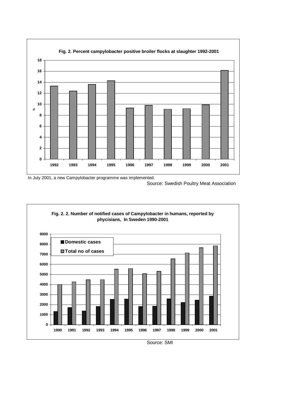



Source: Swedish Poultry Meat Association



Source: SMI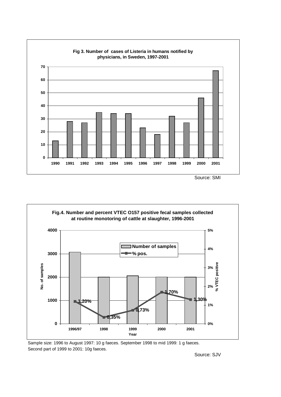





Sample size: 1996 to August 1997: 10 g faeces. September 1998 to mid 1999: 1 g faeces. Second part of 1999 to 2001: 10g faeces.

Source: SJV